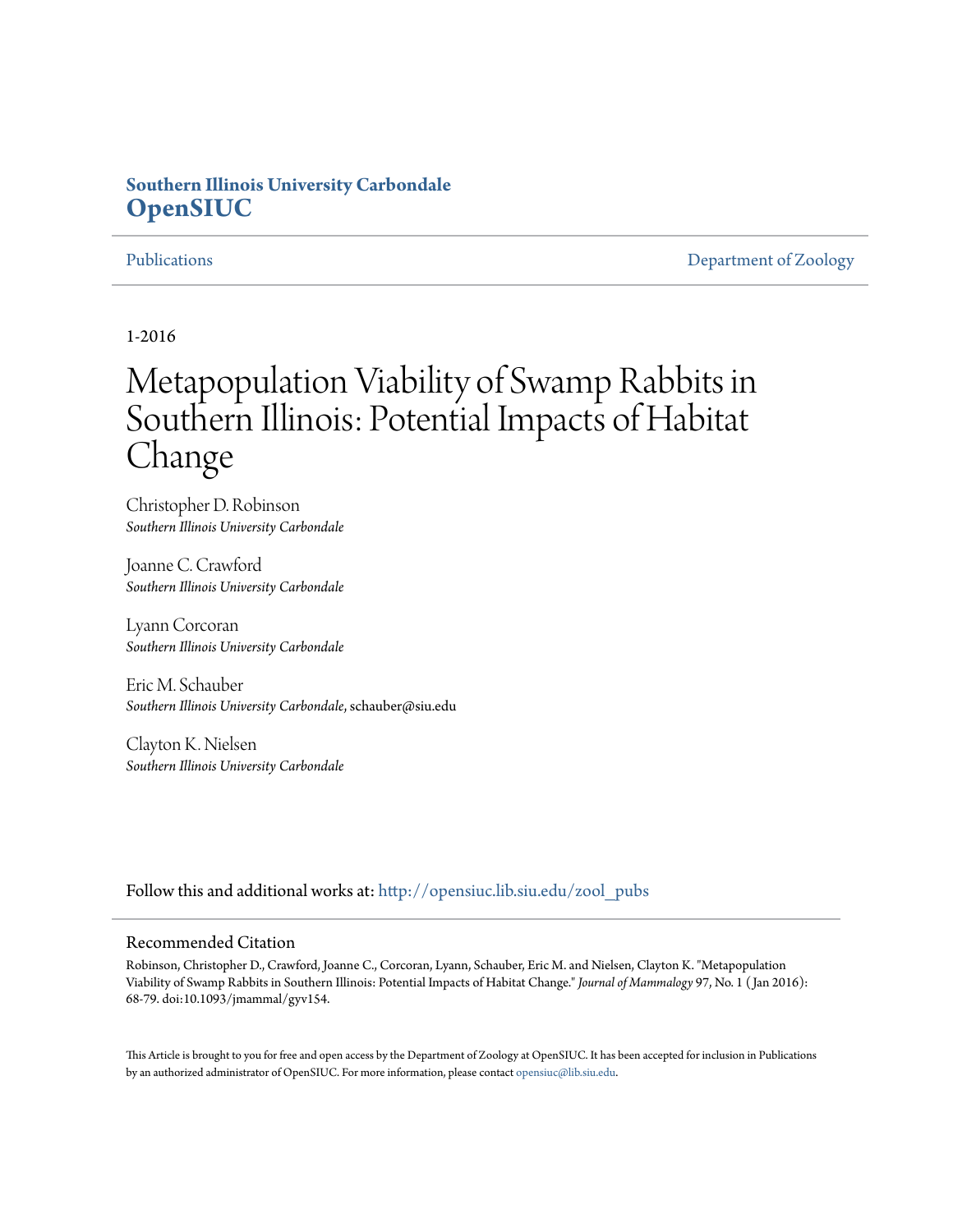# **Southern Illinois University Carbondale [OpenSIUC](http://opensiuc.lib.siu.edu?utm_source=opensiuc.lib.siu.edu%2Fzool_pubs%2F88&utm_medium=PDF&utm_campaign=PDFCoverPages)**

[Publications](http://opensiuc.lib.siu.edu/zool_pubs?utm_source=opensiuc.lib.siu.edu%2Fzool_pubs%2F88&utm_medium=PDF&utm_campaign=PDFCoverPages) **[Department of Zoology](http://opensiuc.lib.siu.edu/zool?utm_source=opensiuc.lib.siu.edu%2Fzool_pubs%2F88&utm_medium=PDF&utm_campaign=PDFCoverPages)** 

1-2016

# Metapopulation Viability of Swamp Rabbits in Southern Illinois: Potential Impacts of Habitat Change

Christopher D. Robinson *Southern Illinois University Carbondale*

Joanne C. Crawford *Southern Illinois University Carbondale*

Lyann Corcoran *Southern Illinois University Carbondale*

Eric M. Schauber *Southern Illinois University Carbondale*, schauber@siu.edu

Clayton K. Nielsen *Southern Illinois University Carbondale*

Follow this and additional works at: [http://opensiuc.lib.siu.edu/zool\\_pubs](http://opensiuc.lib.siu.edu/zool_pubs?utm_source=opensiuc.lib.siu.edu%2Fzool_pubs%2F88&utm_medium=PDF&utm_campaign=PDFCoverPages)

## Recommended Citation

Robinson, Christopher D., Crawford, Joanne C., Corcoran, Lyann, Schauber, Eric M. and Nielsen, Clayton K. "Metapopulation Viability of Swamp Rabbits in Southern Illinois: Potential Impacts of Habitat Change." *Journal of Mammalogy* 97, No. 1 ( Jan 2016): 68-79. doi:10.1093/jmammal/gyv154.

This Article is brought to you for free and open access by the Department of Zoology at OpenSIUC. It has been accepted for inclusion in Publications by an authorized administrator of OpenSIUC. For more information, please contact [opensiuc@lib.siu.edu.](mailto:opensiuc@lib.siu.edu)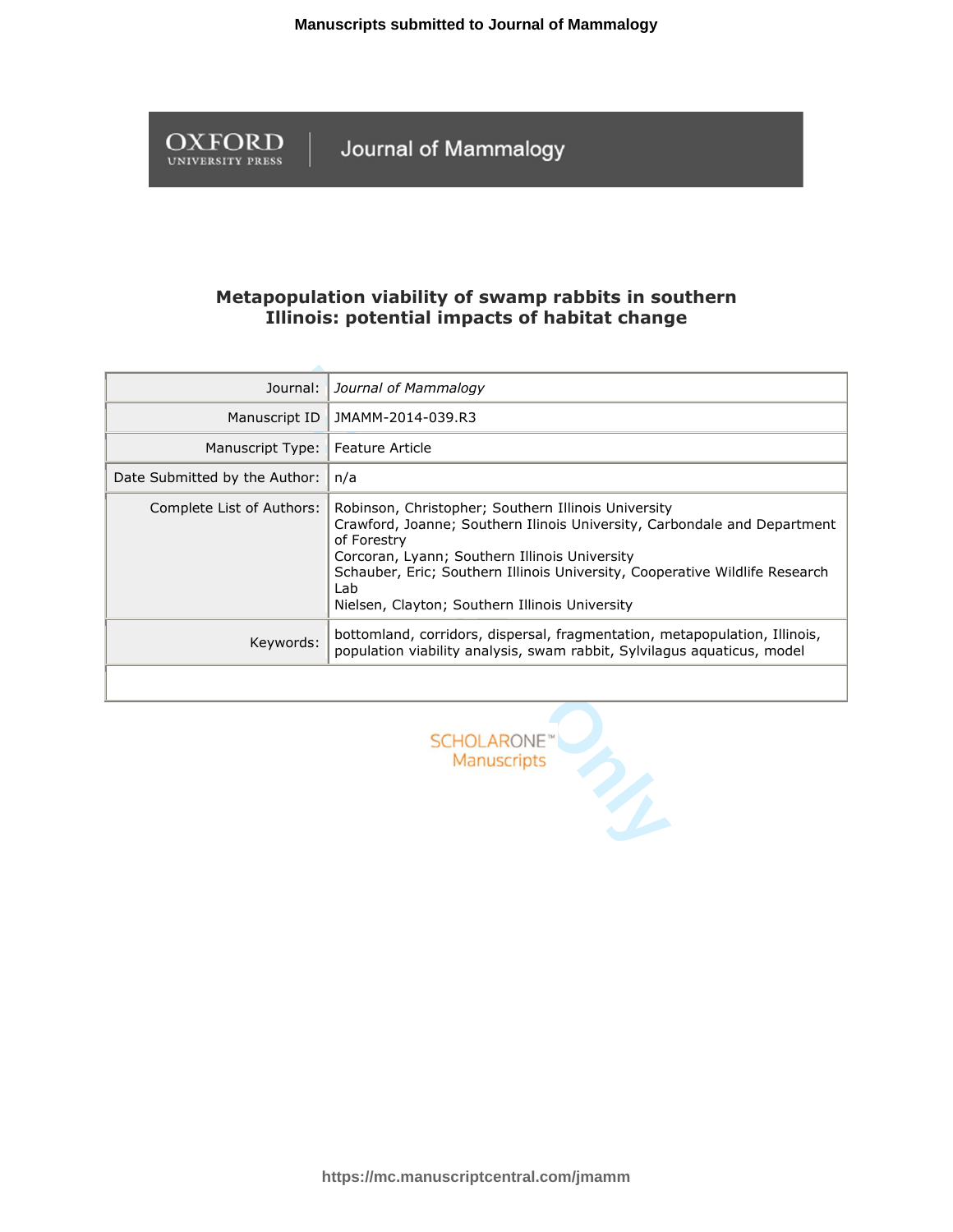

Journal of Mammalogy

# **Metapopulation viability of swamp rabbits in southern Illinois: potential impacts of habitat change**

| Journal:                      | Journal of Mammalogy                                                                                                                                                                                                                                                                                                                    |
|-------------------------------|-----------------------------------------------------------------------------------------------------------------------------------------------------------------------------------------------------------------------------------------------------------------------------------------------------------------------------------------|
| Manuscript ID                 | JMAMM-2014-039.R3                                                                                                                                                                                                                                                                                                                       |
| Manuscript Type:              | <b>Feature Article</b>                                                                                                                                                                                                                                                                                                                  |
| Date Submitted by the Author: | n/a                                                                                                                                                                                                                                                                                                                                     |
| Complete List of Authors:     | Robinson, Christopher; Southern Illinois University<br>Crawford, Joanne; Southern Ilinois University, Carbondale and Department<br>of Forestry<br>Corcoran, Lyann; Southern Illinois University<br>Schauber, Eric; Southern Illinois University, Cooperative Wildlife Research<br>Lab<br>Nielsen, Clayton; Southern Illinois University |
| Keywords:                     | bottomland, corridors, dispersal, fragmentation, metapopulation, Illinois,<br>population viability analysis, swam rabbit, Sylvilagus aquaticus, model                                                                                                                                                                                   |
|                               |                                                                                                                                                                                                                                                                                                                                         |

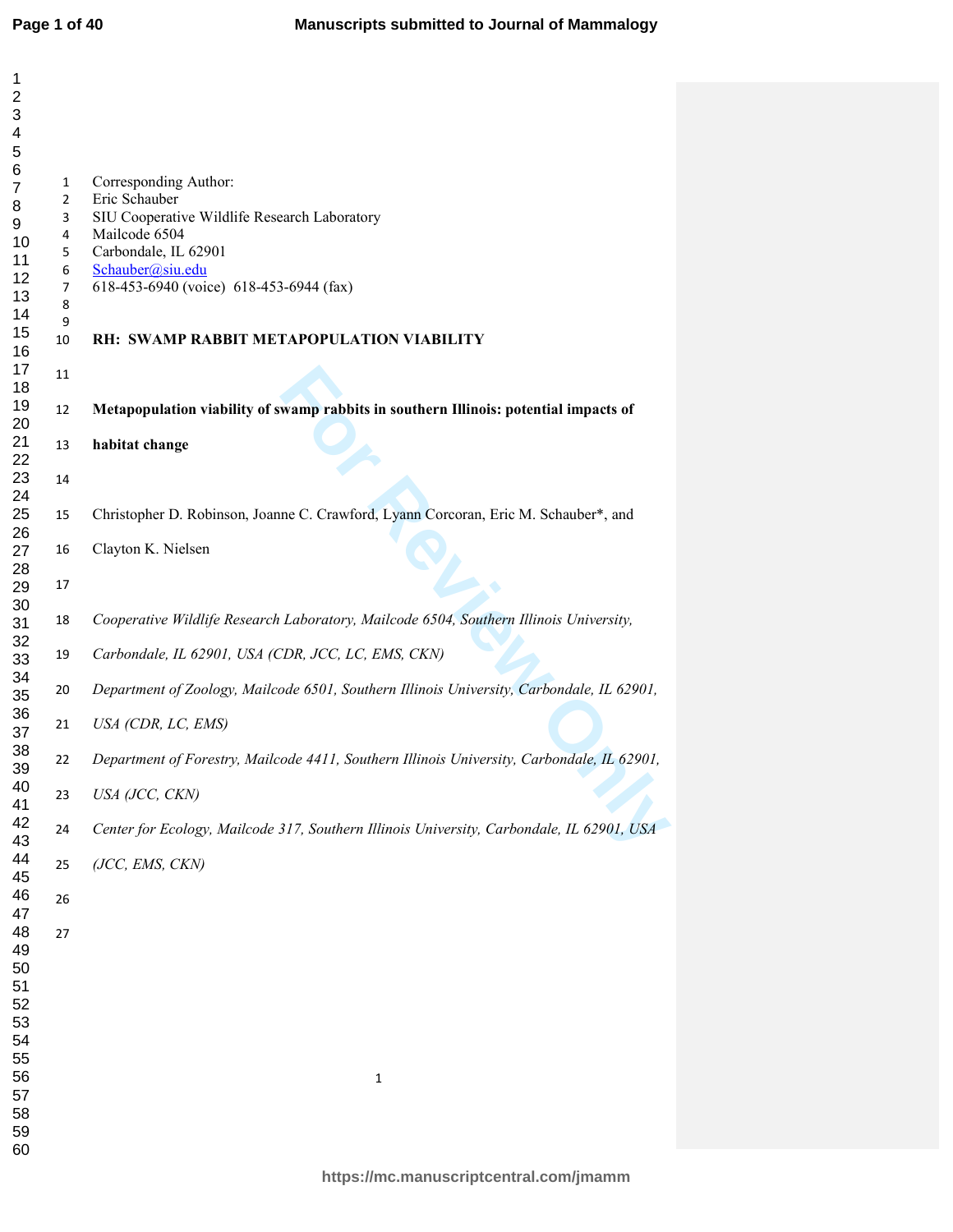| 1                       |                |                                                                                            |  |
|-------------------------|----------------|--------------------------------------------------------------------------------------------|--|
| $\overline{\mathbf{c}}$ |                |                                                                                            |  |
| 3                       |                |                                                                                            |  |
|                         |                |                                                                                            |  |
| 4                       |                |                                                                                            |  |
| 5                       |                |                                                                                            |  |
| 6                       | 1              | Corresponding Author:                                                                      |  |
| $\overline{7}$          | $\mathbf{2}$   | Eric Schauber                                                                              |  |
| 8                       | 3              | SIU Cooperative Wildlife Research Laboratory                                               |  |
| 9                       | $\overline{4}$ | Mailcode 6504                                                                              |  |
| 10                      | 5              | Carbondale, IL 62901                                                                       |  |
| 11                      | 6              | Schauber@siu.edu                                                                           |  |
| 12                      | 7              | 618-453-6940 (voice) 618-453-6944 (fax)                                                    |  |
| 13                      | 8              |                                                                                            |  |
| 14                      | 9              |                                                                                            |  |
| 15                      | 10             | RH: SWAMP RABBIT METAPOPULATION VIABILITY                                                  |  |
| 16                      |                |                                                                                            |  |
| 17                      | 11             |                                                                                            |  |
| 18                      |                |                                                                                            |  |
| 19                      | 12             | Metapopulation viability of swamp rabbits in southern Illinois: potential impacts of       |  |
| 20                      |                |                                                                                            |  |
| 21                      | 13             | habitat change                                                                             |  |
| 22                      |                |                                                                                            |  |
| 23                      | 14             |                                                                                            |  |
| 24                      |                |                                                                                            |  |
| 25                      | 15             | Christopher D. Robinson, Joanne C. Crawford, Lyann Corcoran, Eric M. Schauber*, and        |  |
| 26                      |                |                                                                                            |  |
| 27                      | 16             | Clayton K. Nielsen                                                                         |  |
| 28                      |                |                                                                                            |  |
| 29                      | 17             |                                                                                            |  |
| 30                      |                |                                                                                            |  |
| 31                      | 18             | Cooperative Wildlife Research Laboratory, Mailcode 6504, Southern Illinois University,     |  |
| 32                      |                |                                                                                            |  |
| 33                      | 19             | Carbondale, IL 62901, USA (CDR, JCC, LC, EMS, CKN)                                         |  |
| 34                      |                |                                                                                            |  |
| 35                      | 20             | Department of Zoology, Mailcode 6501, Southern Illinois University, Carbondale, IL 62901,  |  |
| 36                      |                |                                                                                            |  |
| 37                      | 21             | USA (CDR, LC, EMS)                                                                         |  |
| 38                      |                |                                                                                            |  |
| 39                      | 22             | Department of Forestry, Mailcode 4411, Southern Illinois University, Carbondale, IL 62901, |  |
| 40                      |                |                                                                                            |  |
| 41                      | 23             | USA (JCC, CKN)                                                                             |  |
| 42                      |                |                                                                                            |  |
| 43                      | 24             | Center for Ecology, Mailcode 317, Southern Illinois University, Carbondale, IL 62901, USA  |  |
| 44                      | 25             | (JCC, EMS, CKN)                                                                            |  |
| 45                      |                |                                                                                            |  |
| 46                      | 26             |                                                                                            |  |
| 47                      |                |                                                                                            |  |
| 48                      | 27             |                                                                                            |  |
| 49                      |                |                                                                                            |  |
| 50                      |                |                                                                                            |  |
| 51                      |                |                                                                                            |  |
| 52                      |                |                                                                                            |  |
| 53                      |                |                                                                                            |  |
| 54                      |                |                                                                                            |  |
| 55                      |                |                                                                                            |  |
| 56                      |                | $\mathbf 1$                                                                                |  |
| 57                      |                |                                                                                            |  |
| 58                      |                |                                                                                            |  |
| 59                      |                |                                                                                            |  |
| 60                      |                |                                                                                            |  |
|                         |                |                                                                                            |  |

**https://mc.manuscriptcentral.com/jmamm**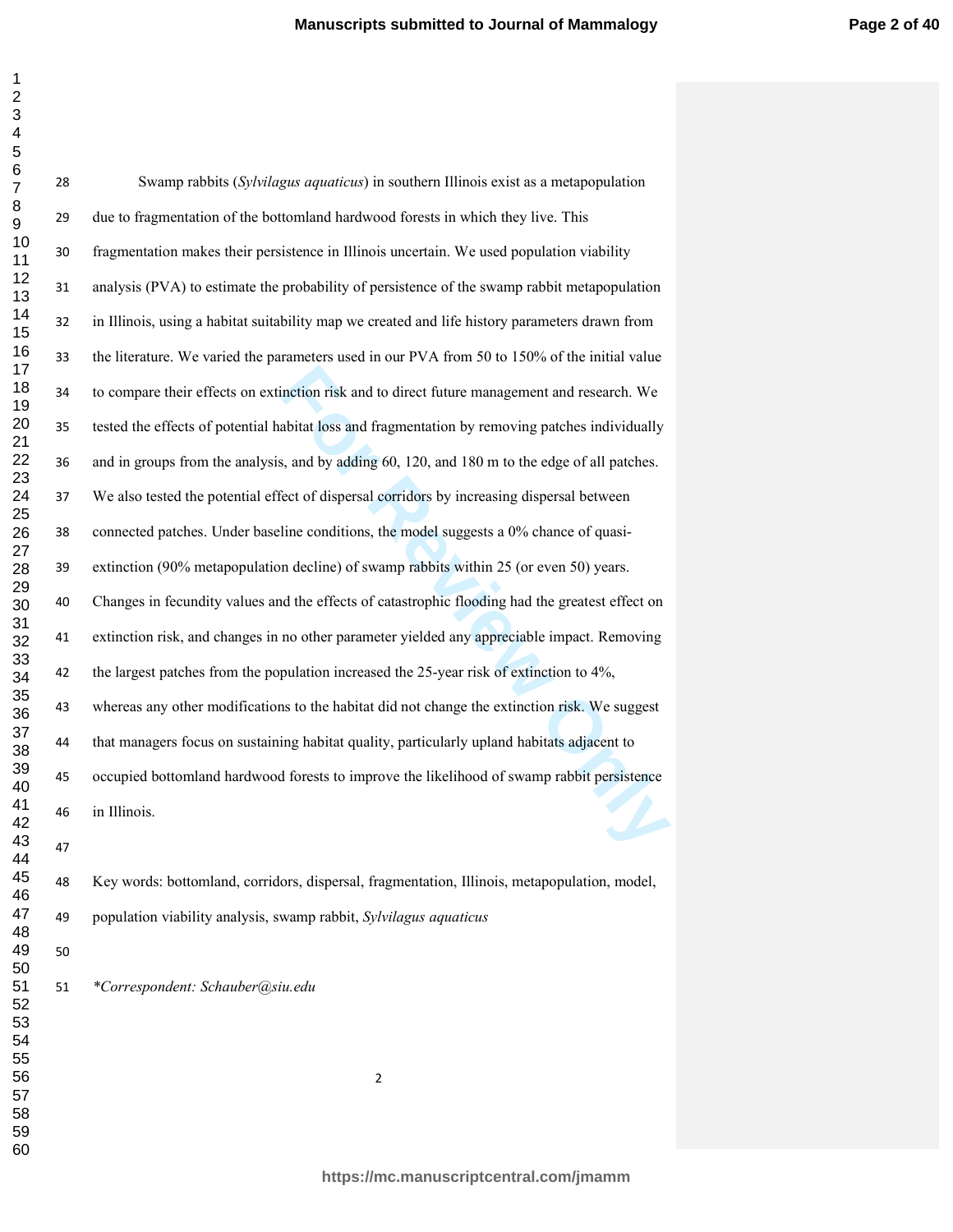| 28 | Swamp rabbits (Sylvilagus aquaticus) in southern Illinois exist as a metapopulation             |
|----|-------------------------------------------------------------------------------------------------|
| 29 | due to fragmentation of the bottomland hardwood forests in which they live. This                |
| 30 | fragmentation makes their persistence in Illinois uncertain. We used population viability       |
| 31 | analysis (PVA) to estimate the probability of persistence of the swamp rabbit metapopulation    |
| 32 | in Illinois, using a habitat suitability map we created and life history parameters drawn from  |
| 33 | the literature. We varied the parameters used in our PVA from 50 to 150% of the initial value   |
| 34 | to compare their effects on extinction risk and to direct future management and research. We    |
| 35 | tested the effects of potential habitat loss and fragmentation by removing patches individually |
| 36 | and in groups from the analysis, and by adding 60, 120, and 180 m to the edge of all patches.   |
| 37 | We also tested the potential effect of dispersal corridors by increasing dispersal between      |
| 38 | connected patches. Under baseline conditions, the model suggests a 0% chance of quasi-          |
| 39 | extinction (90% metapopulation decline) of swamp rabbits within 25 (or even 50) years.          |
| 40 | Changes in fecundity values and the effects of catastrophic flooding had the greatest effect on |
| 41 | extinction risk, and changes in no other parameter yielded any appreciable impact. Removing     |
| 42 | the largest patches from the population increased the 25-year risk of extinction to 4%,         |
| 43 | whereas any other modifications to the habitat did not change the extinction risk. We suggest   |
| 44 | that managers focus on sustaining habitat quality, particularly upland habitats adjacent to     |
| 45 | occupied bottomland hardwood forests to improve the likelihood of swamp rabbit persistence      |
| 46 | in Illinois.                                                                                    |
| 47 |                                                                                                 |
| 48 | Key words: bottomland, corridors, dispersal, fragmentation, Illinois, metapopulation, model,    |
| 49 | population viability analysis, swamp rabbit, Sylvilagus aquaticus                               |
| 50 |                                                                                                 |
| 51 | *Correspondent: Schauber@siu.edu                                                                |
|    |                                                                                                 |
|    |                                                                                                 |
|    | $\mathbf 2$                                                                                     |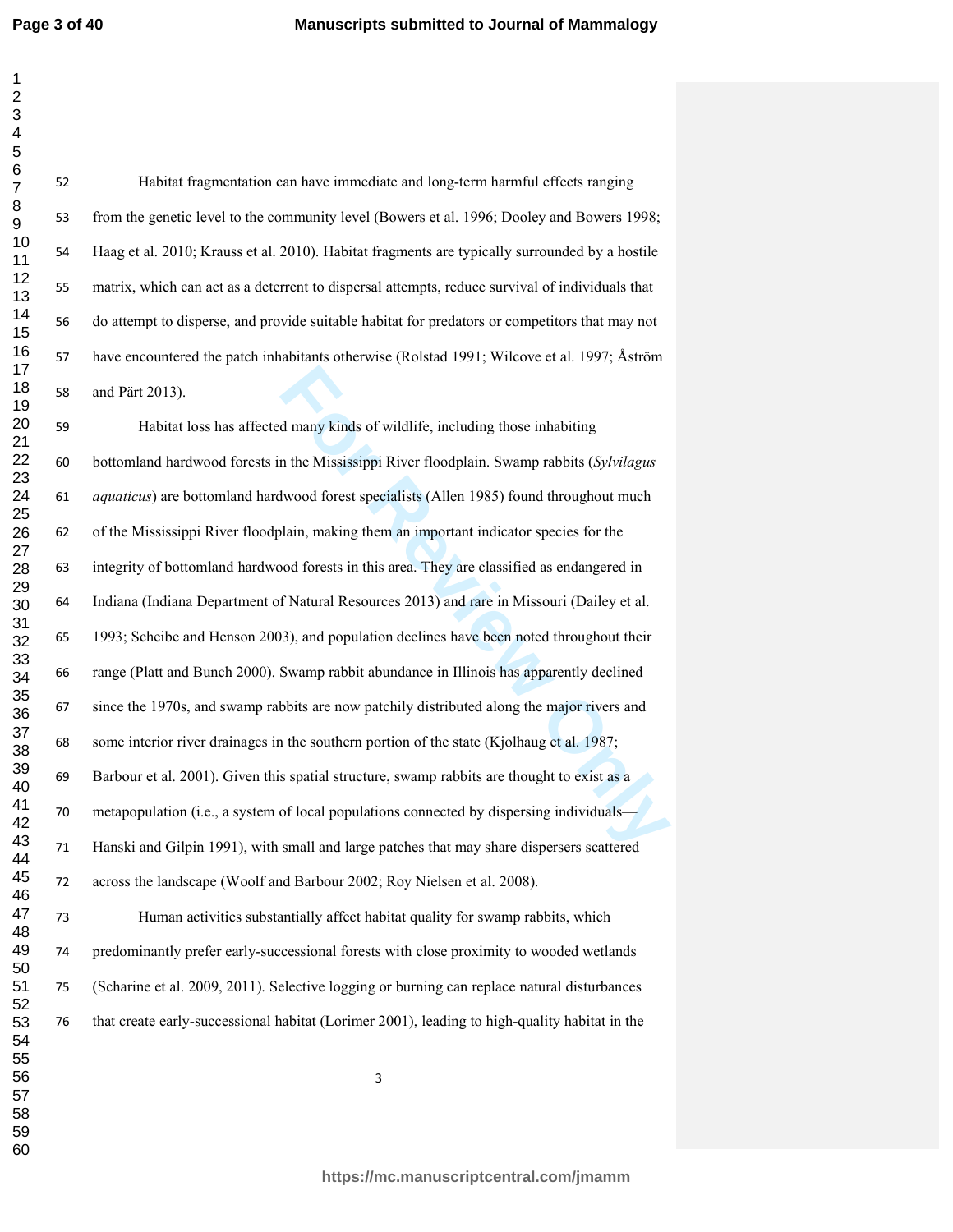$\mathbf{1}$  $\overline{2}$ 

Habitat fragmentation can have immediate and long-term harmful effects ranging from the genetic level to the community level (Bowers et al. 1996; Dooley and Bowers 1998; Haag et al. 2010; Krauss et al. 2010). Habitat fragments are typically surrounded by a hostile matrix, which can act as a deterrent to dispersal attempts, reduce survival of individuals that do attempt to disperse, and provide suitable habitat for predators or competitors that may not have encountered the patch inhabitants otherwise (Rolstad 1991; Wilcove et al. 1997; Åström and Pärt 2013).

d many kinds of wildlife, including those inhabiting<br>n the Mississippi River floodplain. Swamp rabbits (Sylvilagus<br>kwood forest specialists (Allen 1985) found throughout much<br>lain, making them an important indicator specie Habitat loss has affected many kinds of wildlife, including those inhabiting bottomland hardwood forests in the Mississippi River floodplain. Swamp rabbits (*Sylvilagus aquaticus*) are bottomland hardwood forest specialists (Allen 1985) found throughout much of the Mississippi River floodplain, making them an important indicator species for the integrity of bottomland hardwood forests in this area. They are classified as endangered in Indiana (Indiana Department of Natural Resources 2013) and rare in Missouri (Dailey et al. 1993; Scheibe and Henson 2003), and population declines have been noted throughout their range (Platt and Bunch 2000). Swamp rabbit abundance in Illinois has apparently declined since the 1970s, and swamp rabbits are now patchily distributed along the major rivers and some interior river drainages in the southern portion of the state (Kjolhaug et al. 1987; Barbour et al. 2001). Given this spatial structure, swamp rabbits are thought to exist as a metapopulation (i.e., a system of local populations connected by dispersing individuals— Hanski and Gilpin 1991), with small and large patches that may share dispersers scattered across the landscape (Woolf and Barbour 2002; Roy Nielsen et al. 2008). Human activities substantially affect habitat quality for swamp rabbits, which

predominantly prefer early-successional forests with close proximity to wooded wetlands (Scharine et al. 2009, 2011). Selective logging or burning can replace natural disturbances that create early-successional habitat (Lorimer 2001), leading to high-quality habitat in the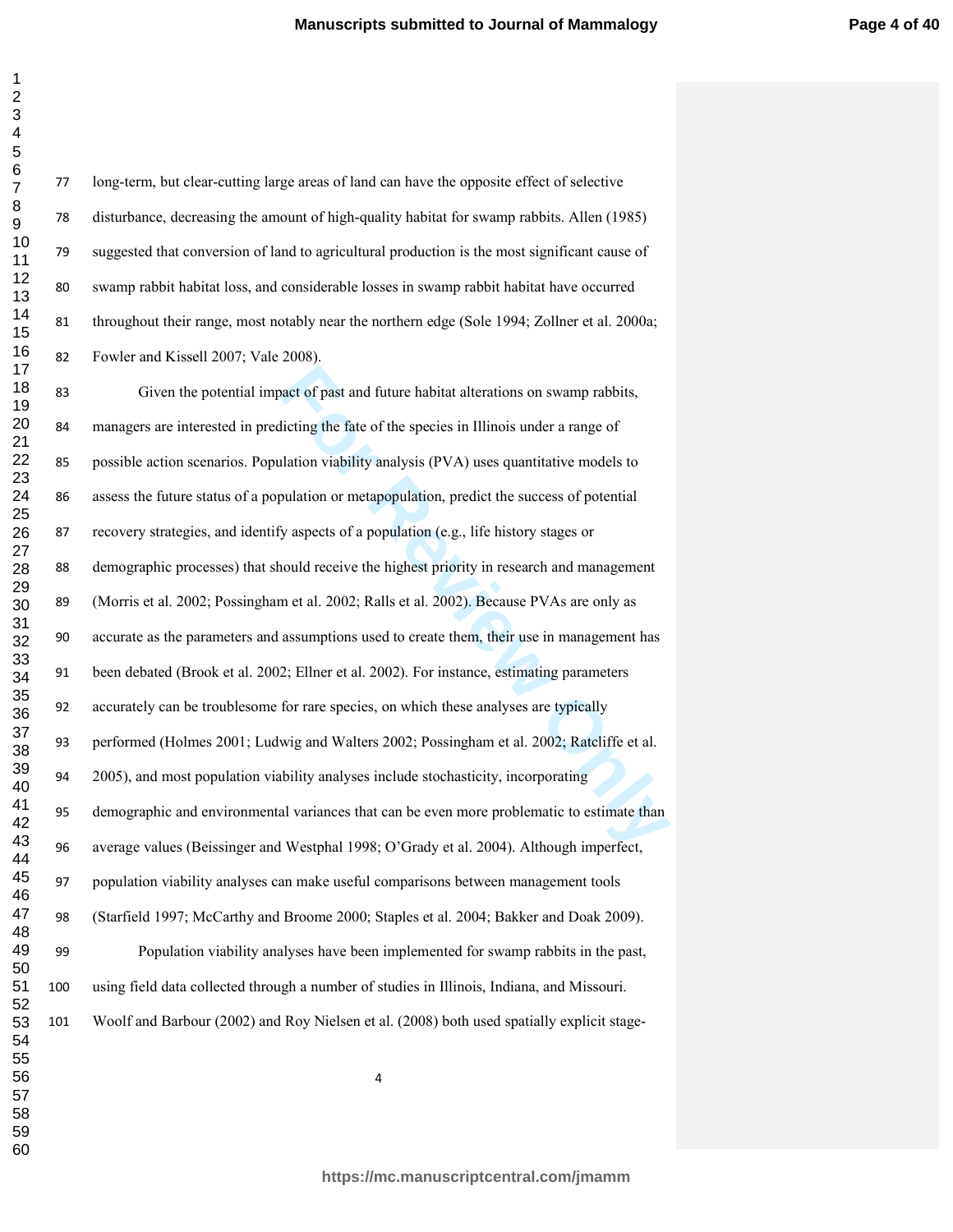long-term, but clear-cutting large areas of land can have the opposite effect of selective disturbance, decreasing the amount of high-quality habitat for swamp rabbits. Allen (1985) suggested that conversion of land to agricultural production is the most significant cause of swamp rabbit habitat loss, and considerable losses in swamp rabbit habitat have occurred throughout their range, most notably near the northern edge (Sole 1994; Zollner et al. 2000a; Fowler and Kissell 2007; Vale 2008).

act of past and future habitat alterations on swamp rabbits,<br>licting the fate of the species in Illinois under a range of<br>alation viability analysis (PVA) uses quantitative models to<br>bulation or metapopulation, predict the Given the potential impact of past and future habitat alterations on swamp rabbits, managers are interested in predicting the fate of the species in Illinois under a range of possible action scenarios. Population viability analysis (PVA) uses quantitative models to assess the future status of a population or metapopulation, predict the success of potential recovery strategies, and identify aspects of a population (e.g., life history stages or demographic processes) that should receive the highest priority in research and management (Morris et al. 2002; Possingham et al. 2002; Ralls et al. 2002). Because PVAs are only as accurate as the parameters and assumptions used to create them, their use in management has been debated (Brook et al. 2002; Ellner et al. 2002). For instance, estimating parameters accurately can be troublesome for rare species, on which these analyses are typically performed (Holmes 2001; Ludwig and Walters 2002; Possingham et al. 2002; Ratcliffe et al. 2005), and most population viability analyses include stochasticity, incorporating demographic and environmental variances that can be even more problematic to estimate than average values (Beissinger and Westphal 1998; O'Grady et al. 2004). Although imperfect, population viability analyses can make useful comparisons between management tools (Starfield 1997; McCarthy and Broome 2000; Staples et al. 2004; Bakker and Doak 2009). Population viability analyses have been implemented for swamp rabbits in the past, using field data collected through a number of studies in Illinois, Indiana, and Missouri. Woolf and Barbour (2002) and Roy Nielsen et al. (2008) both used spatially explicit stage-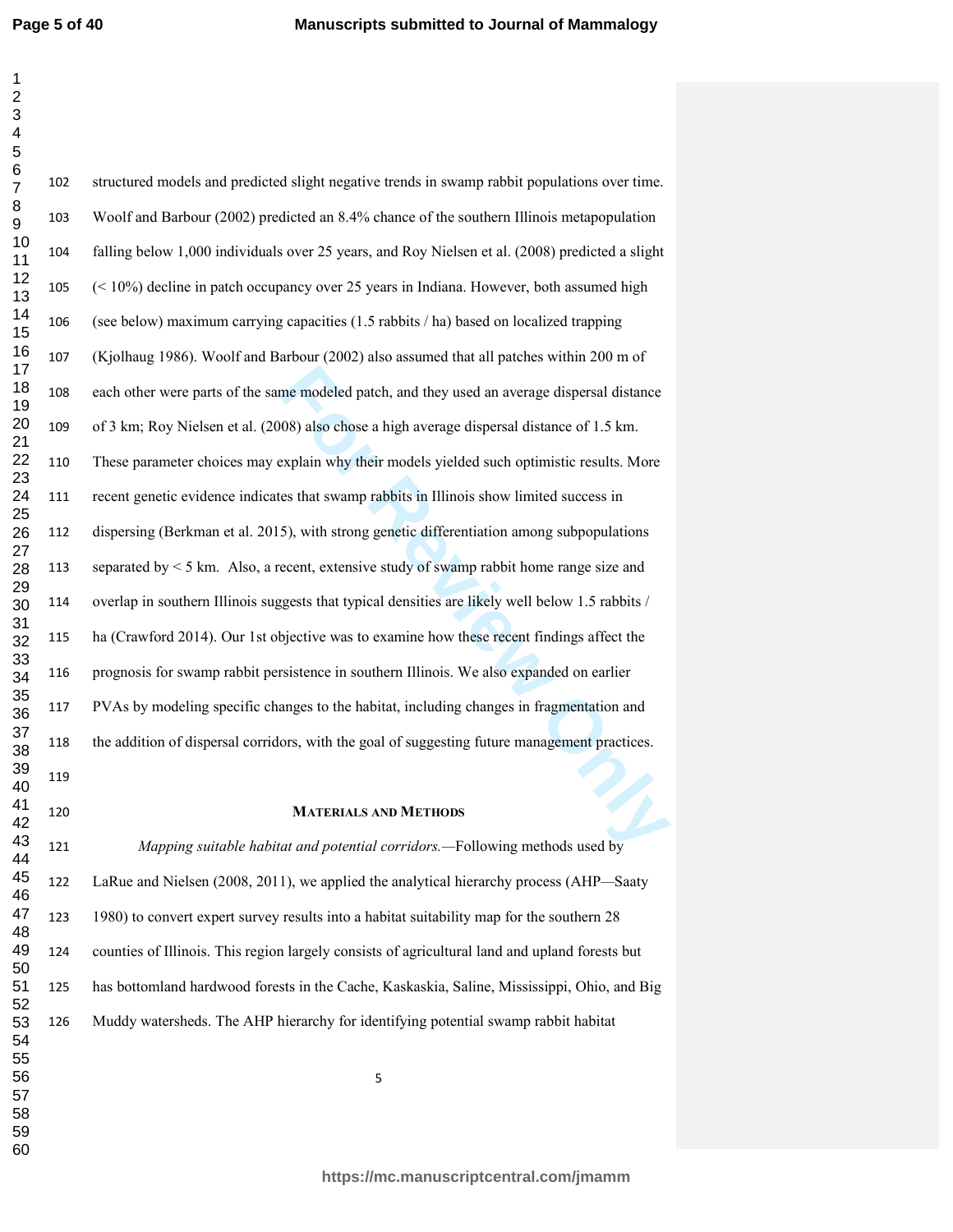| 1                         |
|---------------------------|
| Ş                         |
| S                         |
| 4                         |
|                           |
|                           |
| $\frac{6}{1}$             |
|                           |
| 8<br>9<br>10              |
|                           |
|                           |
|                           |
|                           |
|                           |
|                           |
|                           |
|                           |
|                           |
|                           |
|                           |
| 1123416789                |
|                           |
|                           |
|                           |
|                           |
|                           |
|                           |
|                           |
|                           |
|                           |
|                           |
|                           |
|                           |
|                           |
|                           |
|                           |
|                           |
|                           |
|                           |
|                           |
|                           |
|                           |
|                           |
|                           |
| -<br>39                   |
| 40                        |
| $\mathbf{4}^{\cdot}$<br>1 |
| 42                        |
| 43<br>Š                   |
| 44                        |
|                           |
| 45                        |
| 46                        |
| 47                        |
| 48                        |
| 49                        |
| 50                        |
|                           |
| $\mathbf{51}$<br>Į        |
| 52                        |
| 5.<br>ξ                   |
| 54                        |
| 55                        |
| 56<br>ć                   |
| 57                        |
|                           |
| 58                        |
| 59                        |

| 102 | structured models and predicted slight negative trends in swamp rabbit populations over time.    |
|-----|--------------------------------------------------------------------------------------------------|
| 103 | Woolf and Barbour (2002) predicted an 8.4% chance of the southern Illinois metapopulation        |
| 104 | falling below 1,000 individuals over 25 years, and Roy Nielsen et al. (2008) predicted a slight  |
| 105 | $(< 10\%)$ decline in patch occupancy over 25 years in Indiana. However, both assumed high       |
| 106 | (see below) maximum carrying capacities (1.5 rabbits / ha) based on localized trapping           |
| 107 | (Kjolhaug 1986). Woolf and Barbour (2002) also assumed that all patches within 200 m of          |
| 108 | each other were parts of the same modeled patch, and they used an average dispersal distance     |
| 109 | of 3 km; Roy Nielsen et al. (2008) also chose a high average dispersal distance of 1.5 km.       |
| 110 | These parameter choices may explain why their models yielded such optimistic results. More       |
| 111 | recent genetic evidence indicates that swamp rabbits in Illinois show limited success in         |
| 112 | dispersing (Berkman et al. 2015), with strong genetic differentiation among subpopulations       |
| 113 | separated by $\leq$ 5 km. Also, a recent, extensive study of swamp rabbit home range size and    |
| 114 | overlap in southern Illinois suggests that typical densities are likely well below 1.5 rabbits / |
| 115 | ha (Crawford 2014). Our 1st objective was to examine how these recent findings affect the        |
| 116 | prognosis for swamp rabbit persistence in southern Illinois. We also expanded on earlier         |
| 117 | PVAs by modeling specific changes to the habitat, including changes in fragmentation and         |
| 118 | the addition of dispersal corridors, with the goal of suggesting future management practices.    |
| 119 |                                                                                                  |
| 120 | <sup>1</sup> IL<br><b>MATERIALS AND METHODS</b>                                                  |
| 121 | Mapping suitable habitat and potential corridors.—Following methods used by                      |

#### **MATERIALS AND METHODS**

*Mapping suitable habitat and potential corridors.—*Following methods used by LaRue and Nielsen (2008, 2011), we applied the analytical hierarchy process (AHP *—*Saaty 1980) to convert expert survey results into a habitat suitability map for the southern 28 counties of Illinois. This region largely consists of agricultural land and upland forests but has bottomland hardwood forests in the Cache, Kaskaskia, Saline, Mississippi, Ohio, and Big Muddy watersheds. The AHP hierarchy for identifying potential swamp rabbit habitat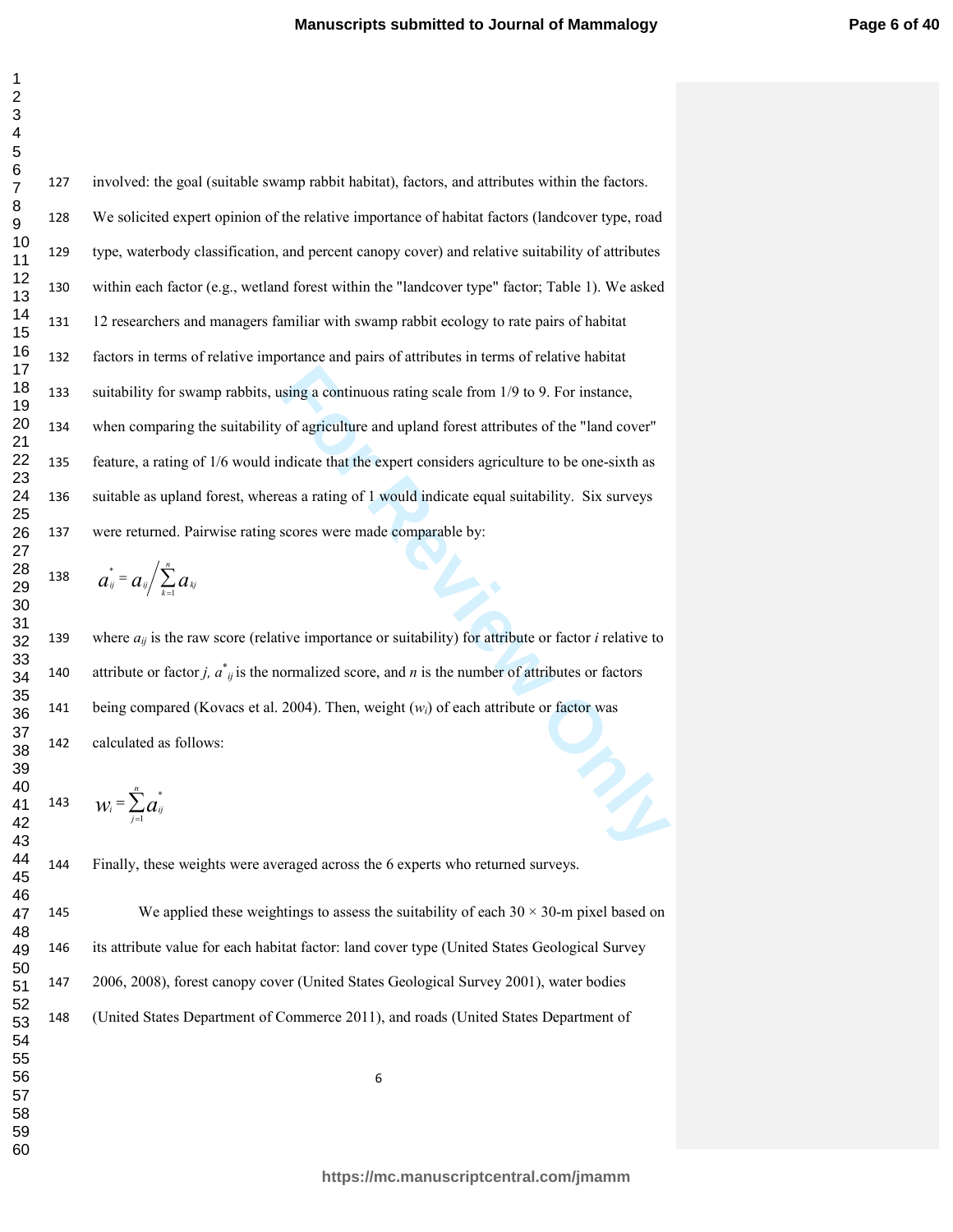$\mathbf{1}$ 

**For All Solution** is the state from 1/9 to 9. For instance, of agriculture and upland forest attributes of the "land cover" indicate that the expert considers agriculture to be one-sixth as eas a rating of 1 would indica involved: the goal (suitable swamp rabbit habitat), factors, and attributes within the factors. We solicited expert opinion of the relative importance of habitat factors (landcover type, road type, waterbody classification, and percent canopy cover) and relative suitability of attributes within each factor (e.g., wetland forest within the "landcover type" factor; Table 1). We asked 12 researchers and managers familiar with swamp rabbit ecology to rate pairs of habitat factors in terms of relative importance and pairs of attributes in terms of relative habitat suitability for swamp rabbits, using a continuous rating scale from 1/9 to 9. For instance, when comparing the suitability of agriculture and upland forest attributes of the "land cover" feature, a rating of 1/6 would indicate that the expert considers agriculture to be one-sixth as suitable as upland forest, whereas a rating of 1 would indicate equal suitability. Six surveys were returned. Pairwise rating scores were made comparable by:

 $a_{ij}^* = a_{ij} / \sum_{k=1}^n a_{kj}$ 

139 where  $a_{ij}$  is the raw score (relative importance or suitability) for attribute or factor *i* relative to 140 attribute or factor *j,*  $a^*_{ij}$  is the normalized score, and *n* is the number of attributes or factors 141 being compared (Kovacs et al. 2004). Then, weight  $(w_i)$  of each attribute or factor was calculated as follows:

$$
\mathcal{W}_i = \sum_{j=1}^n \boldsymbol{a}^*_{ij}
$$

  Finally, these weights were averaged across the 6 experts who returned surveys.

145 We applied these weightings to assess the suitability of each  $30 \times 30$ -m pixel based on its attribute value for each habitat factor: land cover type (United States Geological Survey 2006, 2008), forest canopy cover (United States Geological Survey 2001), water bodies (United States Department of Commerce 2011), and roads (United States Department of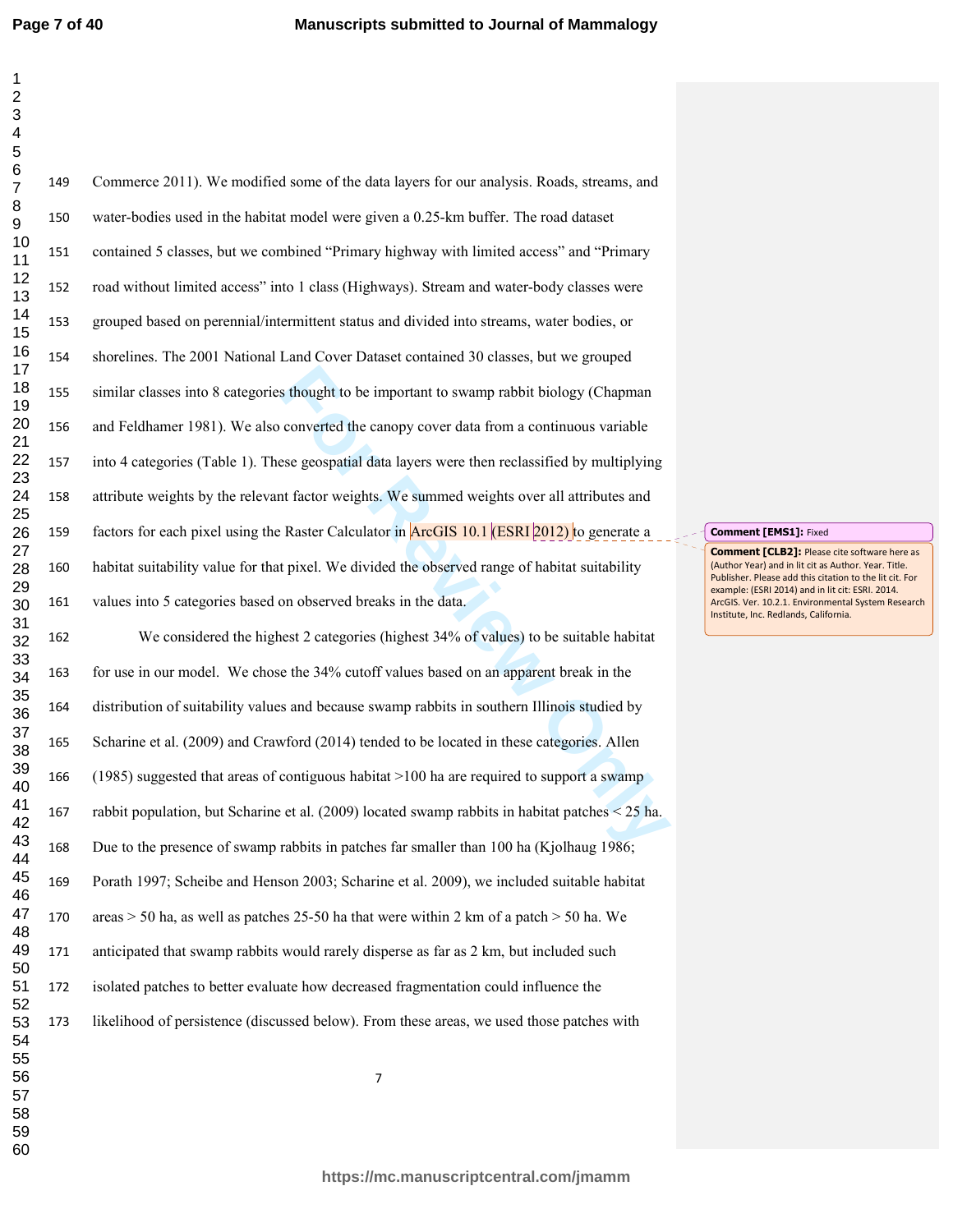| 1                         |
|---------------------------|
| Z                         |
|                           |
|                           |
|                           |
|                           |
|                           |
|                           |
|                           |
|                           |
|                           |
|                           |
|                           |
|                           |
|                           |
|                           |
|                           |
|                           |
|                           |
|                           |
|                           |
|                           |
|                           |
|                           |
|                           |
|                           |
|                           |
|                           |
|                           |
|                           |
|                           |
|                           |
|                           |
|                           |
|                           |
|                           |
|                           |
|                           |
|                           |
|                           |
|                           |
|                           |
| -<br>39                   |
| 40                        |
| $\mathbf{4}^{\cdot}$<br>1 |
| $\overline{4}$            |
| 4:<br>Š                   |
| 44                        |
| 45                        |
|                           |
| 46                        |
| 47                        |
| 48                        |
| 49                        |
| 50                        |
| 5<br>1                    |
| 52                        |
| 5.<br>ś                   |
| 54                        |
| 55                        |
|                           |
| 56<br>ć                   |
| 57                        |
| 58                        |
| 59<br>J                   |

**Follow Example 10** important to swamp rabbit biology (Chapman<br>
converted the canopy cover data from a continuous variable<br>
see geospatial data layers were then reclassified by multiplying<br>
at factor weights. We summed we Commerce 2011). We modified some of the data layers for our analysis. Roads, streams, and water-bodies used in the habitat model were given a 0.25-km buffer. The road dataset contained 5 classes, but we combined "Primary highway with limited access" and "Primary road without limited access" into 1 class (Highways). Stream and water-body classes were grouped based on perennial/intermittent status and divided into streams, water bodies, or shorelines. The 2001 National Land Cover Dataset contained 30 classes, but we grouped similar classes into 8 categories thought to be important to swamp rabbit biology (Chapman and Feldhamer 1981). We also converted the canopy cover data from a continuous variable into 4 categories (Table 1). These geospatial data layers were then reclassified by multiplying attribute weights by the relevant factor weights. We summed weights over all attributes and 159 factors for each pixel using the Raster Calculator in **ArcGIS 10.1** (ESRI 2012) to generate a habitat suitability value for that pixel. We divided the observed range of habitat suitability values into 5 categories based on observed breaks in the data. We considered the highest 2 categories (highest 34% of values) to be suitable habitat 163 for use in our model. We chose the 34% cutoff values based on an apparent break in the distribution of suitability values and because swamp rabbits in southern Illinois studied by Scharine et al. (2009) and Crawford (2014) tended to be located in these categories. Allen (1985) suggested that areas of contiguous habitat >100 ha are required to support a swamp rabbit population, but Scharine et al. (2009) located swamp rabbits in habitat patches < 25 ha. Due to the presence of swamp rabbits in patches far smaller than 100 ha (Kjolhaug 1986;

Porath 1997; Scheibe and Henson 2003; Scharine et al. 2009), we included suitable habitat areas > 50 ha, as well as patches 25-50 ha that were within 2 km of a patch > 50 ha. We

anticipated that swamp rabbits would rarely disperse as far as 2 km, but included such

isolated patches to better evaluate how decreased fragmentation could influence the

likelihood of persistence (discussed below). From these areas, we used those patches with

**Comment [EMS1]:** Fixed

**Comment [CLB2]: Please cite software here as** (Author Year) and in lit cit as Author. Year. Title. Publisher. Please add this citation to the lit cit. For example: (ESRI 2014) and in lit cit: ESRI. 2014. ArcGIS. Ver. 10.2.1. Environmental System Research Institute, Inc. Redlands, California.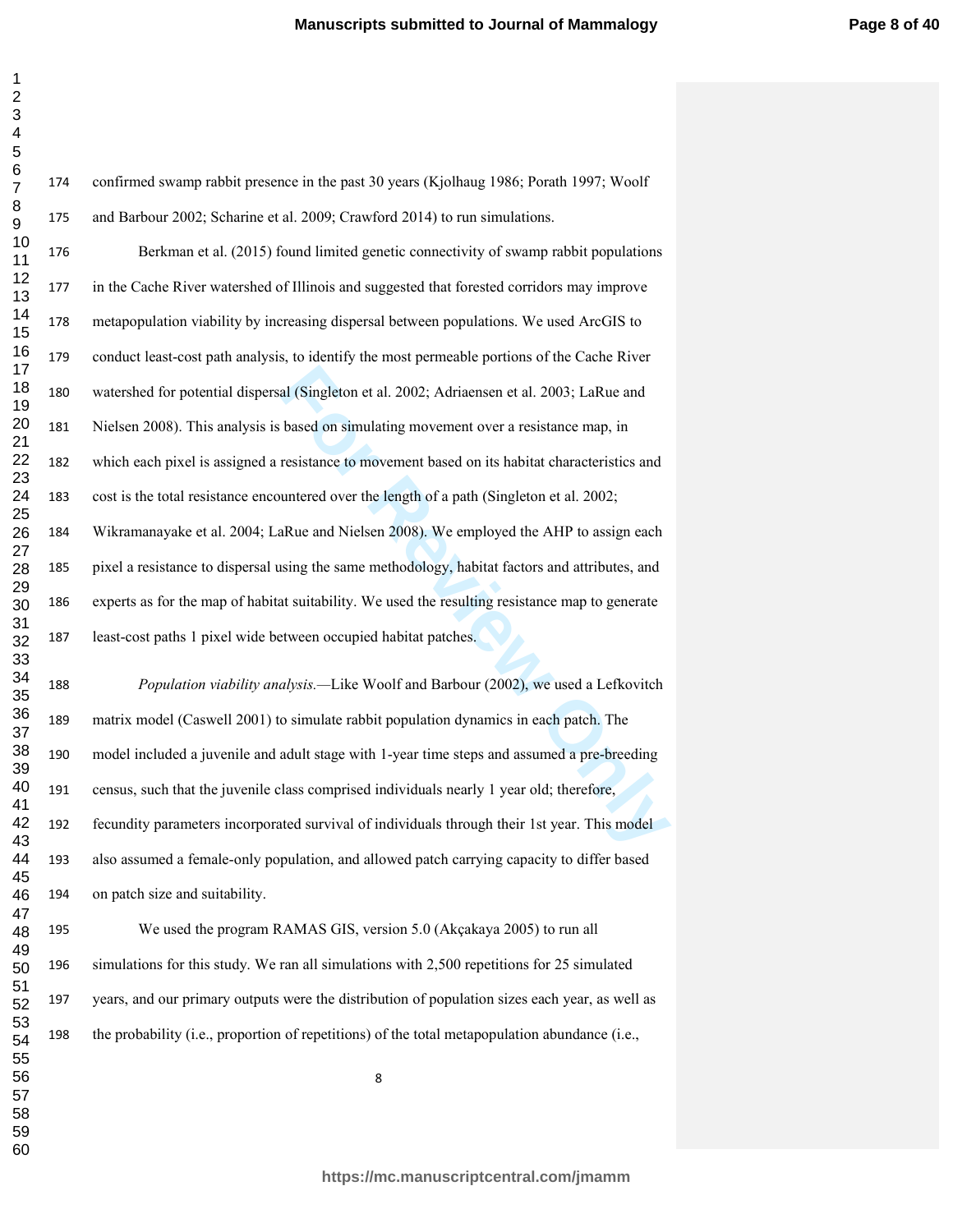| 1              |
|----------------|
| $\overline{2}$ |
|                |
|                |
|                |
|                |
|                |
|                |
|                |
|                |
|                |
|                |
|                |
|                |
|                |
|                |
|                |
|                |
|                |
|                |
|                |
|                |
|                |
|                |
|                |
|                |
|                |
|                |
|                |
|                |
|                |
|                |
|                |
|                |
|                |
|                |
|                |
|                |
|                |
|                |
| 39             |
| 40             |
| 41             |
| 42             |
| 43<br>ξ        |
| 44             |
| 45             |
| 46             |
| 47             |
|                |
| 48<br>49       |
|                |
| 50             |
| 51             |
| -<br>52        |
| 53             |
| 54             |
| 55             |
| 56<br>ì        |
| 57             |
| 58             |
| 59             |
| 60             |
|                |

 $\mathbf{1}$ 

| 174 | confirmed swamp rabbit presence in the past 30 years (Kjolhaug 1986; Porath 1997; Woolf         |
|-----|-------------------------------------------------------------------------------------------------|
| 175 | and Barbour 2002; Scharine et al. 2009; Crawford 2014) to run simulations.                      |
| 176 | Berkman et al. (2015) found limited genetic connectivity of swamp rabbit populations            |
| 177 | in the Cache River watershed of Illinois and suggested that forested corridors may improve      |
| 178 | metapopulation viability by increasing dispersal between populations. We used ArcGIS to         |
| 179 | conduct least-cost path analysis, to identify the most permeable portions of the Cache River    |
| 180 | watershed for potential dispersal (Singleton et al. 2002; Adriaensen et al. 2003; LaRue and     |
| 181 | Nielsen 2008). This analysis is based on simulating movement over a resistance map, in          |
| 182 | which each pixel is assigned a resistance to movement based on its habitat characteristics and  |
| 183 | cost is the total resistance encountered over the length of a path (Singleton et al. 2002;      |
| 184 | Wikramanayake et al. 2004; LaRue and Nielsen 2008). We employed the AHP to assign each          |
| 185 | pixel a resistance to dispersal using the same methodology, habitat factors and attributes, and |
| 186 | experts as for the map of habitat suitability. We used the resulting resistance map to generate |
| 187 | least-cost paths 1 pixel wide between occupied habitat patches.                                 |
| 188 | Population viability analysis.—Like Woolf and Barbour (2002), we used a Lefkovitch              |
|     |                                                                                                 |
| 189 | matrix model (Caswell 2001) to simulate rabbit population dynamics in each patch. The           |
| 190 | model included a juvenile and adult stage with 1-year time steps and assumed a pre-breeding     |
| 191 | census, such that the juvenile class comprised individuals nearly 1 year old; therefore,        |
| 192 | fecundity parameters incorporated survival of individuals through their 1st year. This model    |
| 193 | also assumed a female-only population, and allowed patch carrying capacity to differ based      |
| 194 | on patch size and suitability.                                                                  |
| 195 | We used the program RAMAS GIS, version 5.0 (Akçakaya 2005) to run all                           |
| 196 | simulations for this study. We ran all simulations with 2,500 repetitions for 25 simulated      |
| 197 | years, and our primary outputs were the distribution of population sizes each year, as well as  |

the probability (i.e., proportion of repetitions) of the total metapopulation abundance (i.e.,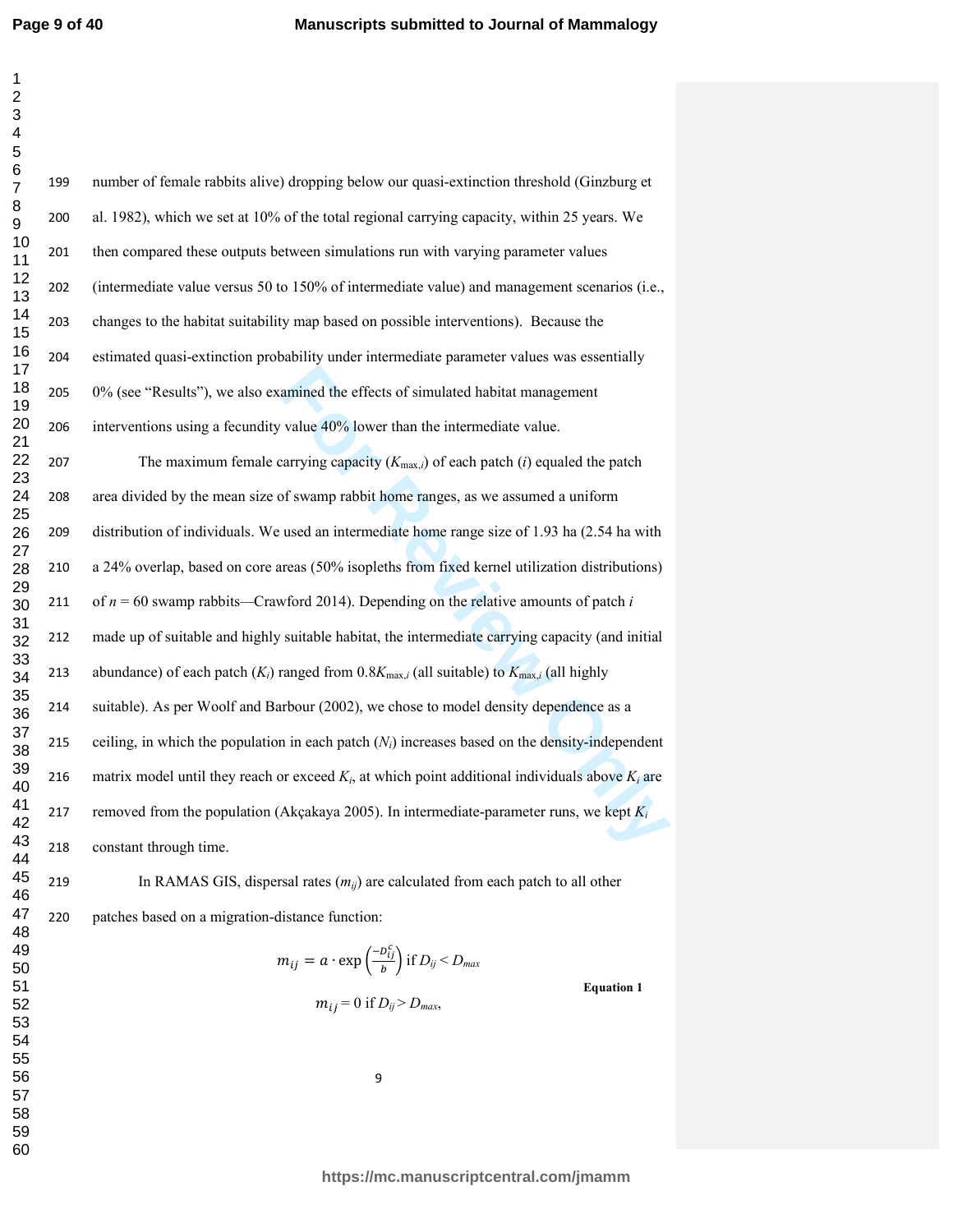$\mathbf{1}$  $\overline{2}$ 

| 1<br>$\overline{c}$        |                 |
|----------------------------|-----------------|
| 3                          |                 |
| 4<br>5                     |                 |
| 6<br>7                     | 19              |
| 8                          | 20              |
| 9<br>10                    | 20              |
| 11                         |                 |
| 12<br>13<br>14<br>15<br>16 | $_{20}$         |
|                            | 20              |
| 17                         | 20              |
| 18<br>19                   | $\overline{20}$ |
| 20<br>21                   | $\overline{20}$ |
| 22                         | 20              |
| 23<br>24                   | 20              |
| 25<br>26                   | 20              |
| 27<br>28                   | $\overline{21}$ |
| 29<br>30                   | 1               |
| $\frac{31}{2}$             | $\overline{21}$ |
| 32<br>33                   | 21              |
| $\frac{8}{34}$<br>-<br>35  | $\overline{21}$ |
| 36<br>37                   |                 |
| 38<br>39                   | $\overline{21}$ |
| 40<br>41                   | $\mathbf{1}$    |
| 42                         | 21              |
| 43<br>44                   | 21              |
| 45<br>46                   | 1               |
| 47<br>48                   |                 |
| 49<br>50                   |                 |
| 51                         |                 |
| -<br>52<br>53              |                 |
| 54<br>55                   |                 |
| 56<br>57                   |                 |
| 58                         |                 |
| 59<br>60                   |                 |

| 199 | number of female rabbits alive) dropping below our quasi-extinction threshold (Ginzburg et                             |
|-----|------------------------------------------------------------------------------------------------------------------------|
| 200 | al. 1982), which we set at $10\%$ of the total regional carrying capacity, within 25 years. We                         |
| 201 | then compared these outputs between simulations run with varying parameter values                                      |
| 202 | (intermediate value versus 50 to 150% of intermediate value) and management scenarios (i.e.,                           |
| 203 | changes to the habitat suitability map based on possible interventions). Because the                                   |
| 204 | estimated quasi-extinction probability under intermediate parameter values was essentially                             |
| 205 | 0% (see "Results"), we also examined the effects of simulated habitat management                                       |
| 206 | interventions using a fecundity value 40% lower than the intermediate value.                                           |
| 207 | The maximum female carrying capacity $(K_{\text{max},i})$ of each patch (i) equaled the patch                          |
| 208 | area divided by the mean size of swamp rabbit home ranges, as we assumed a uniform                                     |
| 209 | distribution of individuals. We used an intermediate home range size of 1.93 ha (2.54 ha with                          |
| 210 | a 24% overlap, based on core areas (50% isopleths from fixed kernel utilization distributions)                         |
| 211 | of $n = 60$ swamp rabbits—Crawford 2014). Depending on the relative amounts of patch i                                 |
| 212 | made up of suitable and highly suitable habitat, the intermediate carrying capacity (and initial                       |
| 213 | abundance) of each patch ( $K_i$ ) ranged from 0.8 $K_{\text{max},i}$ (all suitable) to $K_{\text{max},i}$ (all highly |
| 214 | suitable). As per Woolf and Barbour (2002), we chose to model density dependence as a                                  |
| 215 | ceiling, in which the population in each patch $(N_i)$ increases based on the density-independent                      |
| 216 | matrix model until they reach or exceed $K_i$ , at which point additional individuals above $K_i$ are                  |
| 217 | removed from the population (Akçakaya 2005). In intermediate-parameter runs, we kept $K_i$                             |
| 218 | constant through time.                                                                                                 |

219 In RAMAS GIS, dispersal rates  $(m_{ij})$  are calculated from each patch to all other patches based on a migration-distance function:

$$
m_{ij} = a \cdot \exp\left(\frac{-D_{ij}^c}{b}\right) \text{ if } D_{ij} < D_{max}
$$
\n
$$
m_{ij} = 0 \text{ if } D_{ij} > D_{max},
$$

**Equation 1** 

**https://mc.manuscriptcentral.com/jmamm**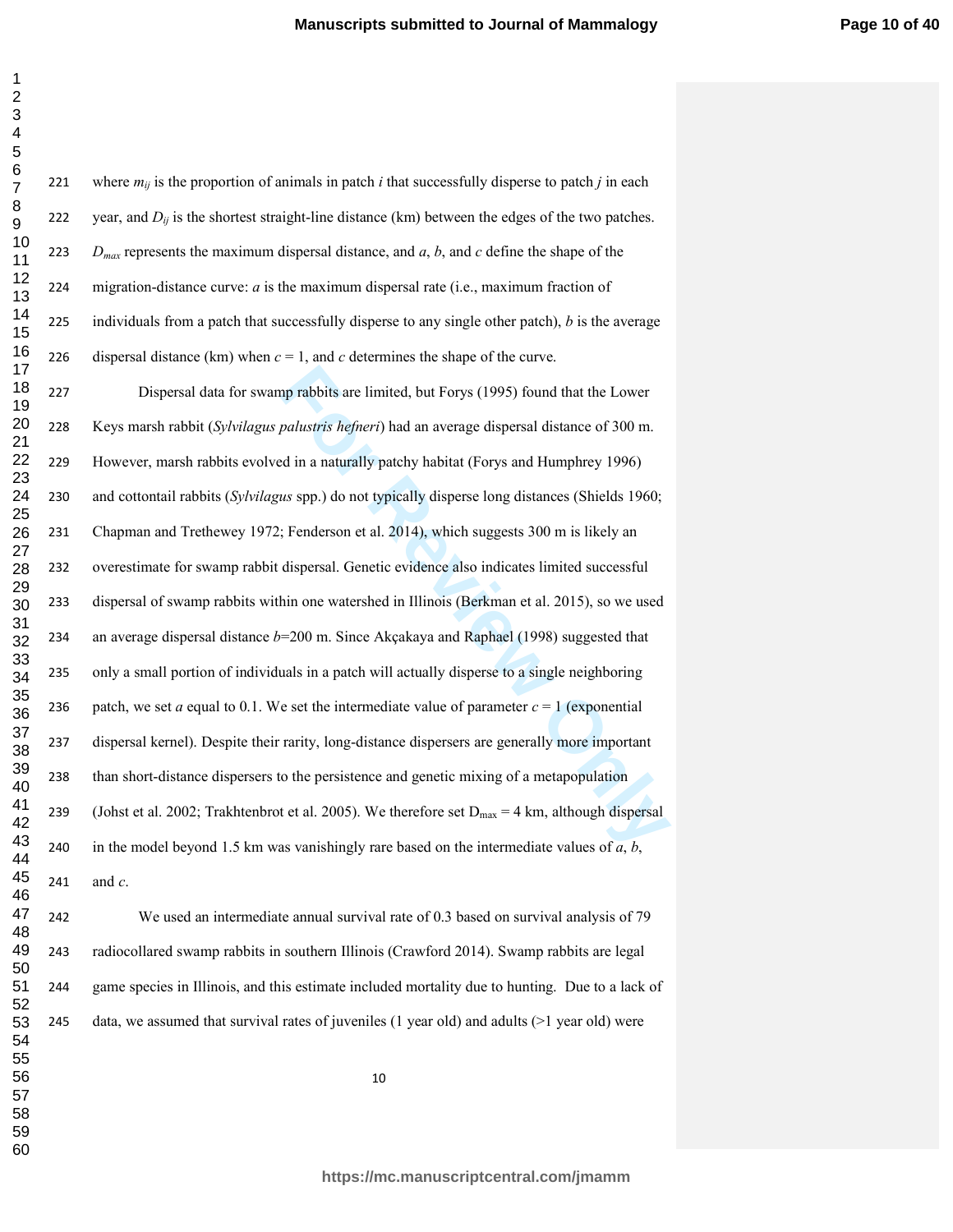| 221  | where $m_{ij}$ is the proportion of animals in patch <i>i</i> that successfully disperse to patch <i>j</i> in each    |
|------|-----------------------------------------------------------------------------------------------------------------------|
| 222  | year, and $D_{ij}$ is the shortest straight-line distance (km) between the edges of the two patches.                  |
| 223  | $D_{max}$ represents the maximum dispersal distance, and $a, b$ , and $c$ define the shape of the                     |
| 224  | migration-distance curve: $a$ is the maximum dispersal rate (i.e., maximum fraction of                                |
| 225  | individuals from a patch that successfully disperse to any single other patch), $b$ is the average                    |
| 226  | dispersal distance (km) when $c = 1$ , and c determines the shape of the curve.                                       |
| 227  | Dispersal data for swamp rabbits are limited, but Forys (1995) found that the Lower                                   |
| 228  | Keys marsh rabbit (Sylvilagus palustris hefneri) had an average dispersal distance of 300 m.                          |
| 229  | However, marsh rabbits evolved in a naturally patchy habitat (Forys and Humphrey 1996)                                |
| 230  | and cottontail rabbits (Sylvilagus spp.) do not typically disperse long distances (Shields 1960;                      |
| 231  | Chapman and Trethewey 1972; Fenderson et al. 2014), which suggests 300 m is likely an                                 |
| 232  | overestimate for swamp rabbit dispersal. Genetic evidence also indicates limited successful                           |
| 233  | dispersal of swamp rabbits within one watershed in Illinois (Berkman et al. 2015), so we used                         |
| 234  | an average dispersal distance $b=200$ m. Since Akçakaya and Raphael (1998) suggested that                             |
| 235  | only a small portion of individuals in a patch will actually disperse to a single neighboring                         |
| 236  | patch, we set <i>a</i> equal to 0.1. We set the intermediate value of parameter $c = 1$ (exponential                  |
| 237  | dispersal kernel). Despite their rarity, long-distance dispersers are generally more important                        |
| 238  | than short-distance dispersers to the persistence and genetic mixing of a metapopulation                              |
| 239  | (Johst et al. 2002; Trakhtenbrot et al. 2005). We therefore set $D_{max} = 4$ km, although dispersal                  |
| 240  | in the model beyond 1.5 km was vanishingly rare based on the intermediate values of $\overline{a}$ , $\overline{b}$ , |
| 241  | and $c$ .                                                                                                             |
| 2.42 | We used on intermediate enough sympathy at $2.62$ heard on sympathy analysis of 70                                    |

 $\mathbf 1$  $\overline{2}$  $\overline{\mathbf{4}}$  $\overline{7}$ 

We used an intermediate annual survival rate of 0.3 based on survival analysis of 79 radiocollared swamp rabbits in southern Illinois (Crawford 2014). Swamp rabbits are legal game species in Illinois, and this estimate included mortality due to hunting. Due to a lack of 245 data, we assumed that survival rates of juveniles (1 year old) and adults  $(>1$  year old) were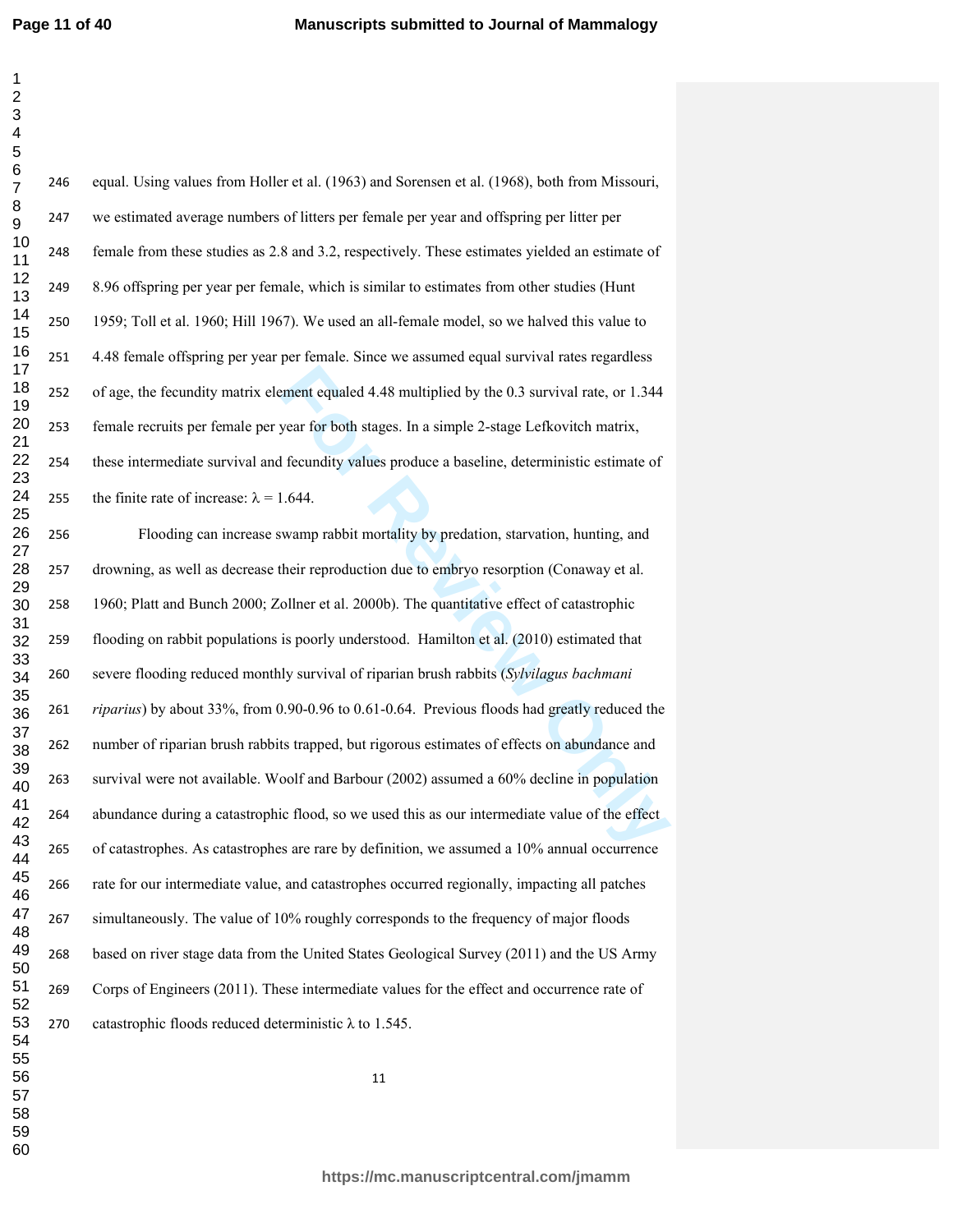ment equaled 4.48 multiplied by the 0.3 survival rate, or 1.344 year for both stages. In a simple 2-stage Lefkovitch matrix, fecundity values produce a baseline, deterministic estimate of 1.644.<br>
Hecundity values produce a equal. Using values from Holler et al. (1963) and Sorensen et al. (1968), both from Missouri, we estimated average numbers of litters per female per year and offspring per litter per female from these studies as 2.8 and 3.2, respectively. These estimates yielded an estimate of 8.96 offspring per year per female, which is similar to estimates from other studies (Hunt 1959; Toll et al. 1960; Hill 1967). We used an all-female model, so we halved this value to 4.48 female offspring per year per female. Since we assumed equal survival rates regardless of age, the fecundity matrix element equaled 4.48 multiplied by the 0.3 survival rate, or 1.344 female recruits per female per year for both stages. In a simple 2-stage Lefkovitch matrix, these intermediate survival and fecundity values produce a baseline, deterministic estimate of 255 the finite rate of increase:  $\lambda = 1.644$ . Flooding can increase swamp rabbit mortality by predation, starvation, hunting, and drowning, as well as decrease their reproduction due to embryo resorption (Conaway et al. 1960; Platt and Bunch 2000; Zollner et al. 2000b). The quantitative effect of catastrophic flooding on rabbit populations is poorly understood. Hamilton et al. (2010) estimated that severe flooding reduced monthly survival of riparian brush rabbits (*Sylvilagus bachmani riparius*) by about 33%, from 0.90-0.96 to 0.61-0.64. Previous floods had greatly reduced the number of riparian brush rabbits trapped, but rigorous estimates of effects on abundance and survival were not available. Woolf and Barbour (2002) assumed a 60% decline in population abundance during a catastrophic flood, so we used this as our intermediate value of the effect of catastrophes. As catastrophes are rare by definition, we assumed a 10% annual occurrence rate for our intermediate value, and catastrophes occurred regionally, impacting all patches simultaneously. The value of 10% roughly corresponds to the frequency of major floods based on river stage data from the United States Geological Survey (2011) and the US Army Corps of Engineers (2011). These intermediate values for the effect and occurrence rate of 270 catastrophic floods reduced deterministic  $\lambda$  to 1.545.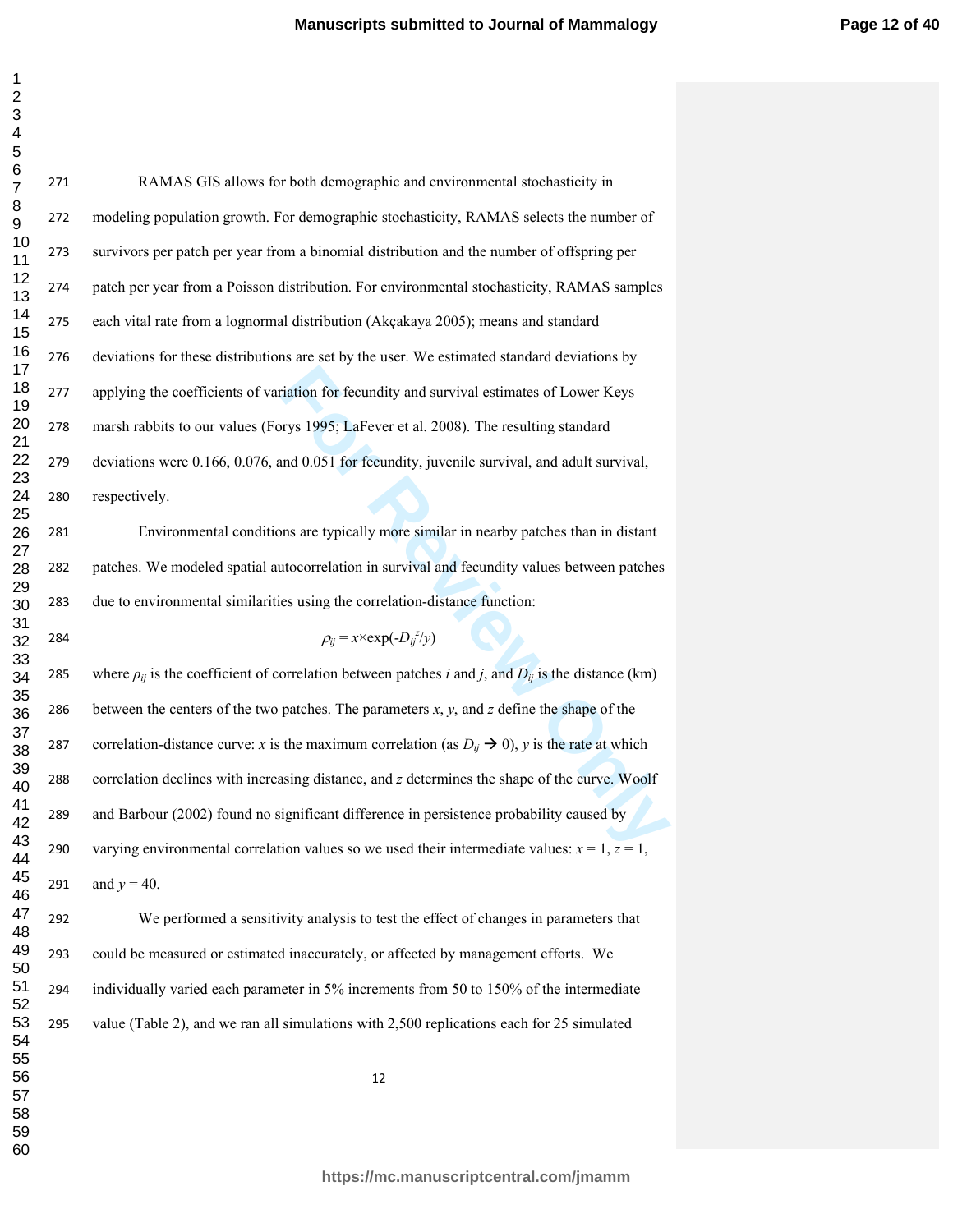| 1                                                   |
|-----------------------------------------------------|
| 2                                                   |
| $\mathbf{\hat{z}}$                                  |
| 34567.                                              |
|                                                     |
|                                                     |
|                                                     |
|                                                     |
|                                                     |
|                                                     |
|                                                     |
|                                                     |
|                                                     |
|                                                     |
|                                                     |
|                                                     |
|                                                     |
|                                                     |
|                                                     |
|                                                     |
|                                                     |
|                                                     |
| 89111213456789031                                   |
|                                                     |
| $\frac{1}{2}$<br>1                                  |
|                                                     |
|                                                     |
| 22<br>23<br>24<br>25<br>26<br>27<br>28              |
|                                                     |
|                                                     |
|                                                     |
|                                                     |
|                                                     |
| $^{29}$                                             |
|                                                     |
| 30<br>31<br>32<br>334<br>34<br>35<br>36<br>37<br>38 |
|                                                     |
|                                                     |
|                                                     |
|                                                     |
|                                                     |
|                                                     |
|                                                     |
|                                                     |
|                                                     |
|                                                     |
| 40                                                  |
| 41                                                  |
| 42                                                  |
|                                                     |
| 43                                                  |
| 44                                                  |
| 45                                                  |
| 46                                                  |
| 47                                                  |
|                                                     |
| 48                                                  |
| 49                                                  |
| 50                                                  |
| ر<br>51<br>52                                       |
| $\overline{ }$                                      |
| 3                                                   |
| E<br>×                                              |
| 54                                                  |
| 55                                                  |
| 56<br>ì                                             |
| 57                                                  |
| 58                                                  |
| 59                                                  |
| ۱                                                   |

| 272 | modeling population growth. For demographic stochasticity, RAMAS selects the number of                                        |
|-----|-------------------------------------------------------------------------------------------------------------------------------|
| 273 | survivors per patch per year from a binomial distribution and the number of offspring per                                     |
| 274 | patch per year from a Poisson distribution. For environmental stochasticity, RAMAS samples                                    |
| 275 | each vital rate from a lognormal distribution (Akçakaya 2005); means and standard                                             |
| 276 | deviations for these distributions are set by the user. We estimated standard deviations by                                   |
| 277 | applying the coefficients of variation for fecundity and survival estimates of Lower Keys                                     |
| 278 | marsh rabbits to our values (Forys 1995; LaFever et al. 2008). The resulting standard                                         |
| 279 | deviations were 0.166, 0.076, and 0.051 for fecundity, juvenile survival, and adult survival,                                 |
| 280 | respectively.                                                                                                                 |
| 281 | Environmental conditions are typically more similar in nearby patches than in distant                                         |
| 282 | patches. We modeled spatial autocorrelation in survival and fecundity values between patches                                  |
| 283 | due to environmental similarities using the correlation-distance function:                                                    |
| 284 | $\rho_{ii} = x \times \exp(-D_{ii}^{z}/y)$                                                                                    |
| 285 | where $\rho_{ij}$ is the coefficient of correlation between patches <i>i</i> and <i>j</i> , and $D_{ij}$ is the distance (km) |
| 286 | between the centers of the two patches. The parameters $x, y$ , and $z$ define the shape of the                               |
| 287 | correlation-distance curve: x is the maximum correlation (as $D_{ij} \rightarrow 0$ ), y is the rate at which                 |
| 288 | correlation declines with increasing distance, and $z$ determines the shape of the curve. Woolf                               |
| 289 | and Barbour (2002) found no significant difference in persistence probability caused by                                       |
| 290 | varying environmental correlation values so we used their intermediate values: $x = 1$ , $z = 1$ ,                            |

RAMAS GIS allows for both demographic and environmental stochasticity in

285 where  $\rho_{ij}$  is the coefficient of correlation between patches *i* and *j*, and  $D_{ij}$  is the distance (km) between the centers of the two patches. The parameters *x*, *y*, and *z* define the shape of the 287 correlation-distance curve: *x* is the maximum correlation (as  $D_{ij} \rightarrow 0$ ), *y* is the rate at which correlation declines with increasing distance, and *z* determines the shape of the curve. Woolf and Barbour (2002) found no significant difference in persistence probability caused by 290 varying environmental correlation values so we used their intermediate values:  $x = 1$ ,  $z = 1$ , 291 and  $y = 40$ .

We performed a sensitivity analysis to test the effect of changes in parameters that could be measured or estimated inaccurately, or affected by management efforts. We individually varied each parameter in 5% increments from 50 to 150% of the intermediate value (Table 2), and we ran all simulations with 2,500 replications each for 25 simulated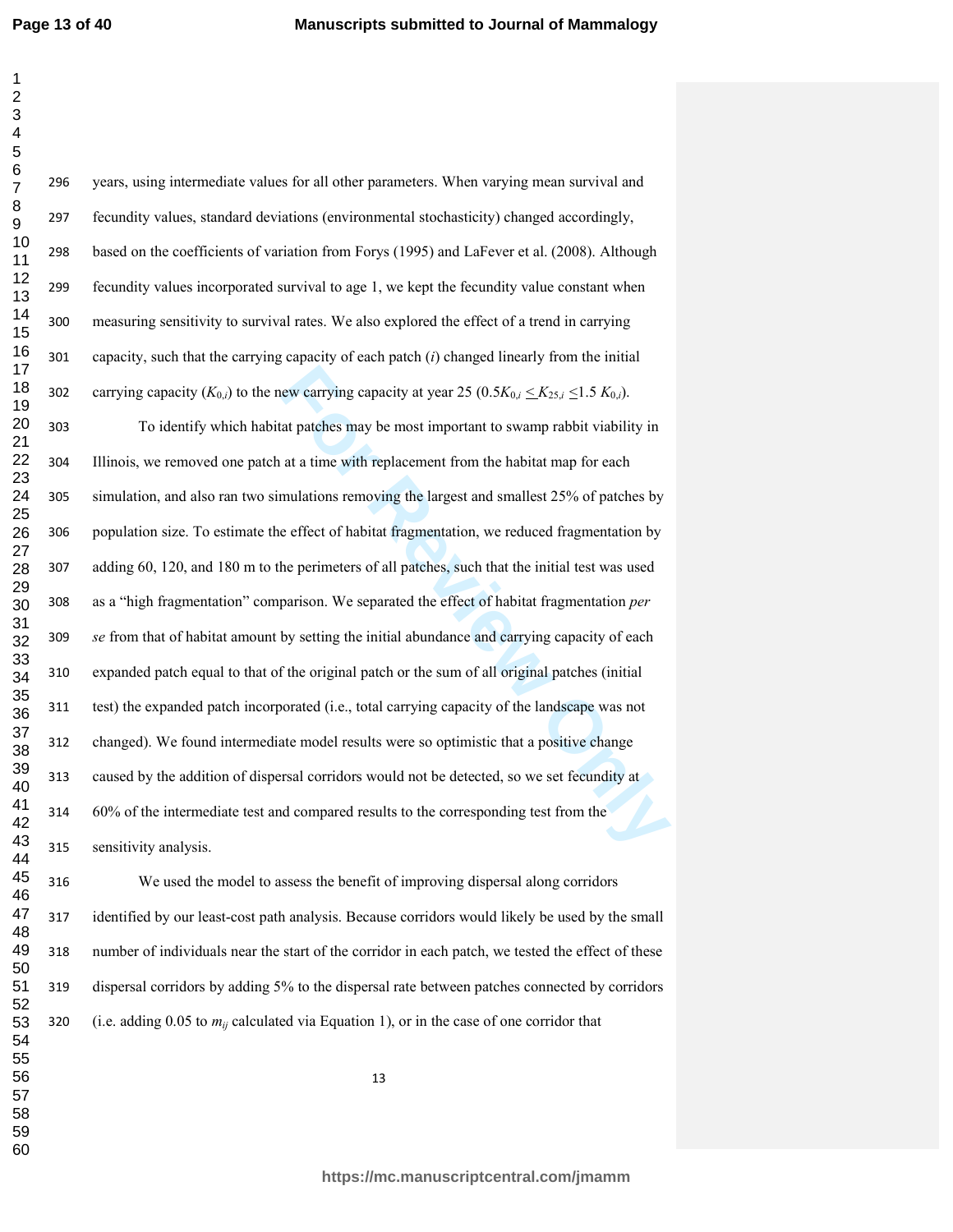$\mathbf{1}$  $\overline{2}$ 

years, using intermediate values for all other parameters. When varying mean survival and fecundity values, standard deviations (environmental stochasticity) changed accordingly, based on the coefficients of variation from Forys (1995) and LaFever et al. (2008). Although fecundity values incorporated survival to age 1, we kept the fecundity value constant when measuring sensitivity to survival rates. We also explored the effect of a trend in carrying capacity, such that the carrying capacity of each patch ( *i*) changed linearly from the initial 302 carrying capacity  $(K_{0,i})$  to the new carrying capacity at year 25  $(0.5K_{0,i} \leq K_{25,i} \leq 1.5 K_{0,i})$ .

Eventying capacity at year 25 ( $0.5K_{0,i} \leq K_{25,i} \leq 1.5 K_{0,i}$ ).<br>
at patches may be most important to swamp rabbit viability in<br>
at a time with replacement from the habitat map for each<br>
mulations removing the largest and To identify which habitat patches may be most important to swamp rabbit viability in Illinois, we removed one patch at a time with replacement from the habitat map for each simulation, and also ran two simulations removing the largest and smallest 25% of patches by population size. To estimate the effect of habitat fragmentation, we reduced fragmentation by adding 60, 120, and 180 m to the perimeters of all patches, such that the initial test was used as a "high fragmentation" comparison. We separated the effect of habitat fragmentation *per se* from that of habitat amount by setting the initial abundance and carrying capacity of each expanded patch equal to that of the original patch or the sum of all original patches (initial test) the expanded patch incorporated (i.e., total carrying capacity of the landscape was not changed). We found intermediate model results were so optimistic that a positive change caused by the addition of dispersal corridors would not be detected, so we set fecundity at 60% of the intermediate test and compared results to the corresponding test from the sensitivity analysis.

We used the model to assess the benefit of improving dispersal along corridors identified by our least-cost path analysis. Because corridors would likely be used by the small number of individuals near the start of the corridor in each patch, we tested the effect of these dispersal corridors by adding 5% to the dispersal rate between patches connected by corridors 320 (i.e. adding 0.05 to  $m_{ij}$  calculated via Equation 1), or in the case of one corridor that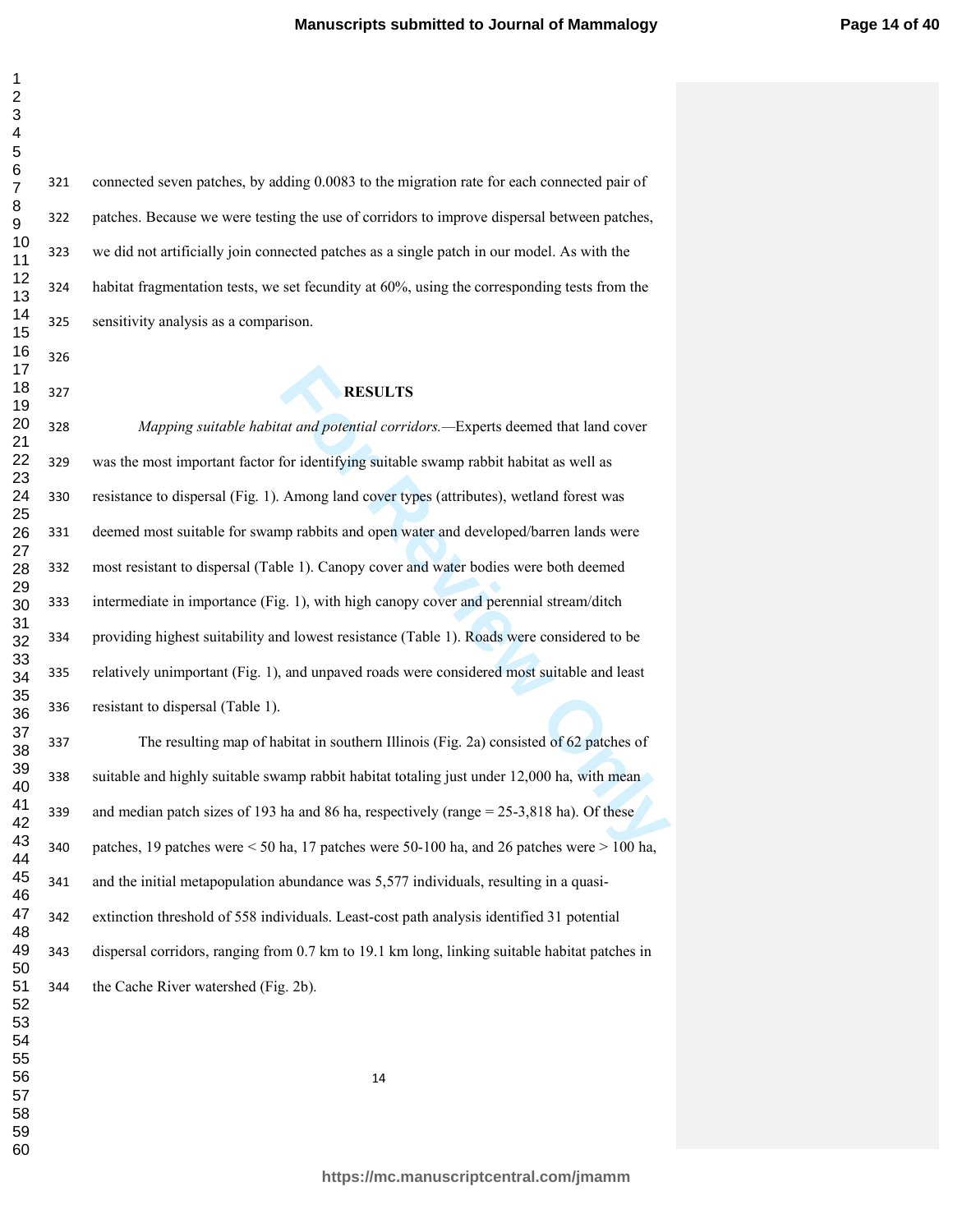connected seven patches, by adding 0.0083 to the migration rate for each connected pair of patches. Because we were testing the use of corridors to improve dispersal between patches, we did not artificially join connected patches as a single patch in our model. As with the habitat fragmentation tests, we set fecundity at 60%, using the corresponding tests from the sensitivity analysis as a comparison.

### **RESULTS**

**RESULTS**<br>at and potential corridors.—Experts deemed that land cover<br>for identifying suitable swamp rabbit habitat as well as<br>Among land cover types (attributes), wetland forest was<br>ap rabbits and open water and developed/ *Mapping suitable habitat and potential corridors.—*Experts deemed that land cover was the most important factor for identifying suitable swamp rabbit habitat as well as resistance to dispersal (Fig. 1). Among land cover types (attributes), wetland forest was deemed most suitable for swamp rabbits and open water and developed/barren lands were most resistant to dispersal (Table 1). Canopy cover and water bodies were both deemed intermediate in importance (Fig. 1), with high canopy cover and perennial stream/ditch providing highest suitability and lowest resistance (Table 1). Roads were considered to be relatively unimportant (Fig. 1), and unpaved roads were considered most suitable and least resistant to dispersal (Table 1).

The resulting map of habitat in southern Illinois (Fig. 2a) consisted of 62 patches of suitable and highly suitable swamp rabbit habitat totaling just under 12,000 ha, with mean and median patch sizes of 193 ha and 86 ha, respectively (range = 25-3,818 ha). Of these patches, 19 patches were < 50 ha, 17 patches were 50-100 ha, and 26 patches were > 100 ha, and the initial metapopulation abundance was 5,577 individuals, resulting in a quasi-extinction threshold of 558 individuals. Least-cost path analysis identified 31 potential dispersal corridors, ranging from 0.7 km to 19.1 km long, linking suitable habitat patches in the Cache River watershed (Fig. 2b).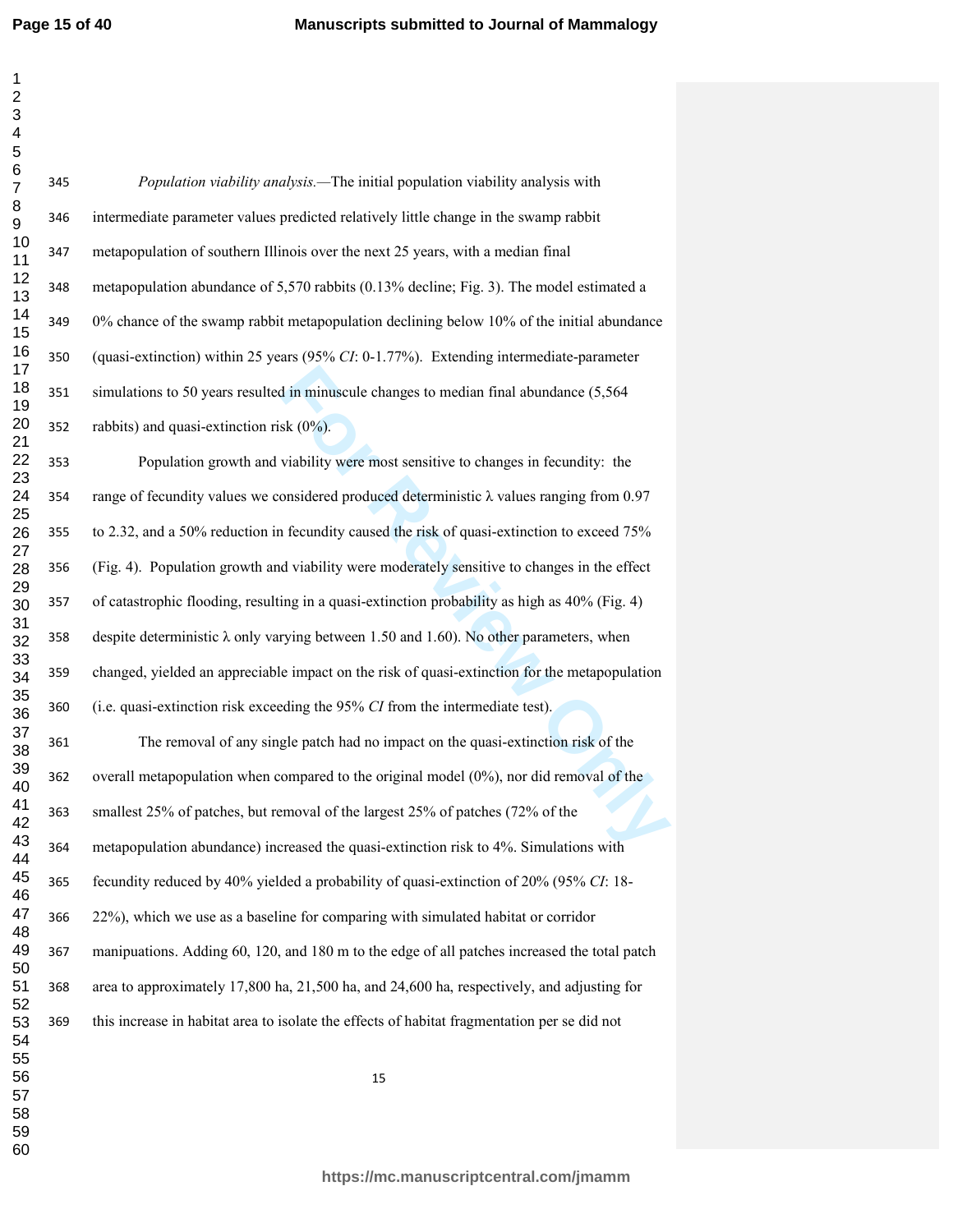| 1<br>$\overline{\mathbf{c}}$ |     |                                                                                                   |
|------------------------------|-----|---------------------------------------------------------------------------------------------------|
| 3                            |     |                                                                                                   |
| 4                            |     |                                                                                                   |
| 5<br>6<br>$\overline{7}$     | 345 | <i>Population viability analysis.</i> —The initial population viability analysis with             |
| 8<br>9                       | 346 | intermediate parameter values predicted relatively little change in the swamp rabbit              |
| 10<br>11                     | 347 | metapopulation of southern Illinois over the next 25 years, with a median final                   |
| 12<br>13                     | 348 | metapopulation abundance of 5,570 rabbits (0.13% decline; Fig. 3). The model estimated a          |
| 14<br>15                     | 349 | 0% chance of the swamp rabbit metapopulation declining below 10% of the initial abundance         |
| 16                           | 350 | (quasi-extinction) within 25 years (95% CI: 0-1.77%). Extending intermediate-parameter            |
| 17<br>18                     | 351 | simulations to 50 years resulted in minuscule changes to median final abundance (5,564)           |
| 19<br>20                     | 352 | rabbits) and quasi-extinction risk $(0\%)$ .                                                      |
| 21<br>22                     | 353 | Population growth and viability were most sensitive to changes in fecundity: the                  |
| 23<br>24                     | 354 | range of fecundity values we considered produced deterministic $\lambda$ values ranging from 0.97 |
| 25<br>26                     | 355 | to 2.32, and a 50% reduction in fecundity caused the risk of quasi-extinction to exceed 75%       |
| 27<br>28                     | 356 | (Fig. 4). Population growth and viability were moderately sensitive to changes in the effect      |
| 29<br>30                     | 357 | of catastrophic flooding, resulting in a quasi-extinction probability as high as 40% (Fig. 4)     |
| 31<br>32                     | 358 | despite deterministic $\lambda$ only varying between 1.50 and 1.60). No other parameters, when    |
| 33<br>34                     | 359 | changed, yielded an appreciable impact on the risk of quasi-extinction for the metapopulation     |
| 35<br>36                     | 360 | (i.e. quasi-extinction risk exceeding the 95% CI from the intermediate test).                     |
| 37<br>38                     | 361 | The removal of any single patch had no impact on the quasi-extinction risk of the                 |
| 39<br>40                     | 362 | overall metapopulation when compared to the original model $(0\%)$ , nor did removal of the       |
| 41<br>42                     | 363 | smallest 25% of patches, but removal of the largest 25% of patches (72% of the                    |
| 43<br>44                     | 364 | metapopulation abundance) increased the quasi-extinction risk to 4%. Simulations with             |
| 45<br>46                     | 365 | fecundity reduced by 40% yielded a probability of quasi-extinction of 20% (95% CI: 18-            |
| 47<br>48                     | 366 | 22%), which we use as a baseline for comparing with simulated habitat or corridor                 |
| 49<br>50                     | 367 | manipuations. Adding 60, 120, and 180 m to the edge of all patches increased the total patch      |
| 51<br>52                     | 368 | area to approximately 17,800 ha, 21,500 ha, and 24,600 ha, respectively, and adjusting for        |
| 53<br>54                     | 369 | this increase in habitat area to isolate the effects of habitat fragmentation per se did not      |
| 55<br>56                     |     | 15                                                                                                |
| 57                           |     |                                                                                                   |
| 58                           |     |                                                                                                   |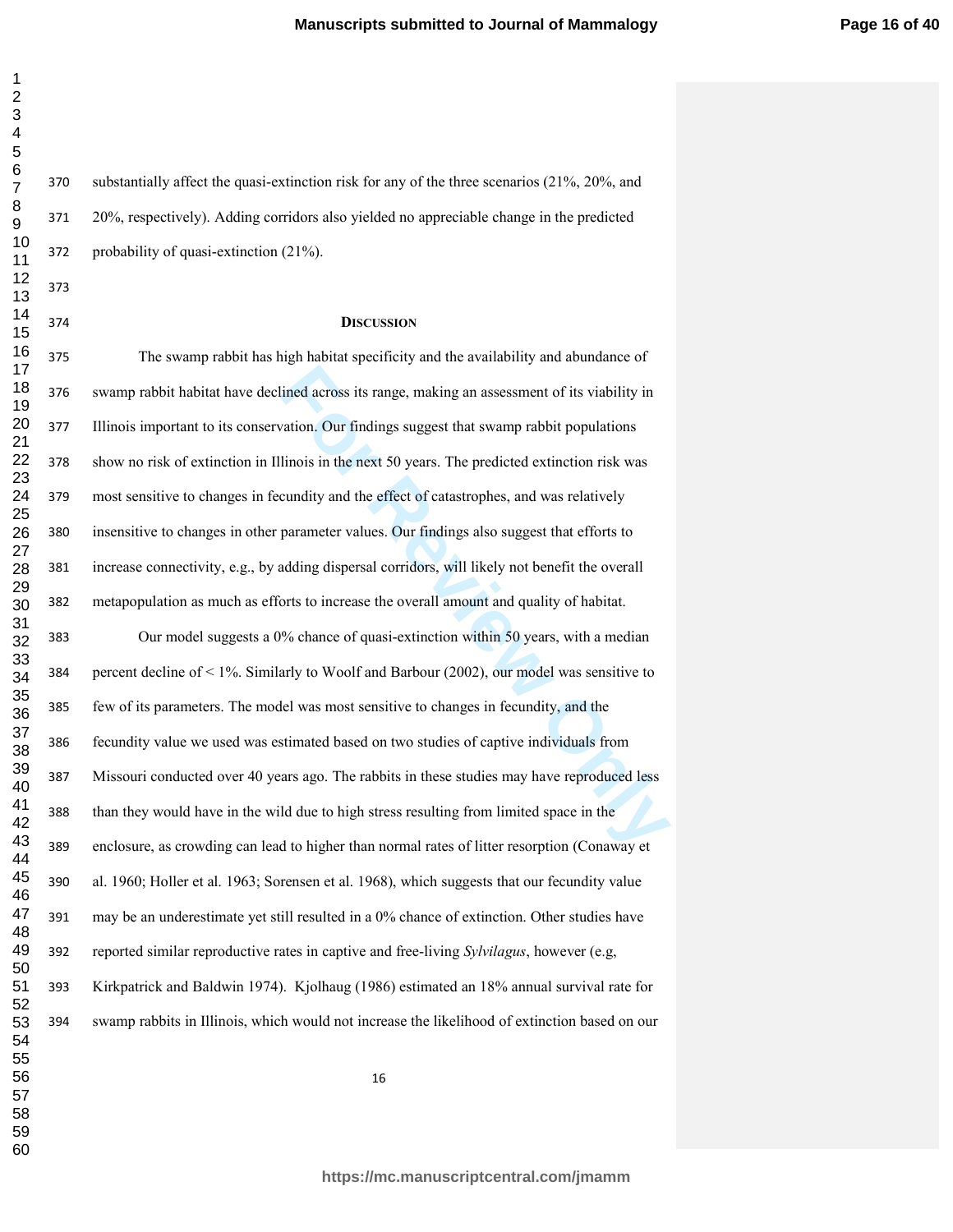substantially affect the quasi-extinction risk for any of the three scenarios (21%, 20%, and 20%, respectively). Adding corridors also yielded no appreciable change in the predicted probability of quasi-extinction (21%).

#### **DISCUSSION**

ined across its range, making an assessment of its viability in vation. Our findings suggest that swamp rabbit populations linois in the next 50 years. The predicted extinction risk was cundity and the effect of catastroph The swamp rabbit has high habitat specificity and the availability and abundance of swamp rabbit habitat have declined across its range, making an assessment of its viability in Illinois important to its conservation. Our findings suggest that swamp rabbit populations show no risk of extinction in Illinois in the next 50 years. The predicted extinction risk was most sensitive to changes in fecundity and the effect of catastrophes, and was relatively insensitive to changes in other parameter values. Our findings also suggest that efforts to increase connectivity, e.g., by adding dispersal corridors, will likely not benefit the overall metapopulation as much as efforts to increase the overall amount and quality of habitat. Our model suggests a 0% chance of quasi-extinction within 50 years, with a median percent decline of < 1%. Similarly to Woolf and Barbour (2002), our model was sensitive to few of its parameters. The model was most sensitive to changes in fecundity, and the fecundity value we used was estimated based on two studies of captive individuals from Missouri conducted over 40 years ago. The rabbits in these studies may have reproduced less than they would have in the wild due to high stress resulting from limited space in the enclosure, as crowding can lead to higher than normal rates of litter resorption (Conaway et al. 1960; Holler et al. 1963; Sorensen et al. 1968), which suggests that our fecundity value may be an underestimate yet still resulted in a 0% chance of extinction. Other studies have reported similar reproductive rates in captive and free-living *Sylvilagus*, however (e.g, Kirkpatrick and Baldwin 1974). Kjolhaug (1986) estimated an 18% annual survival rate for swamp rabbits in Illinois, which would not increase the likelihood of extinction based on our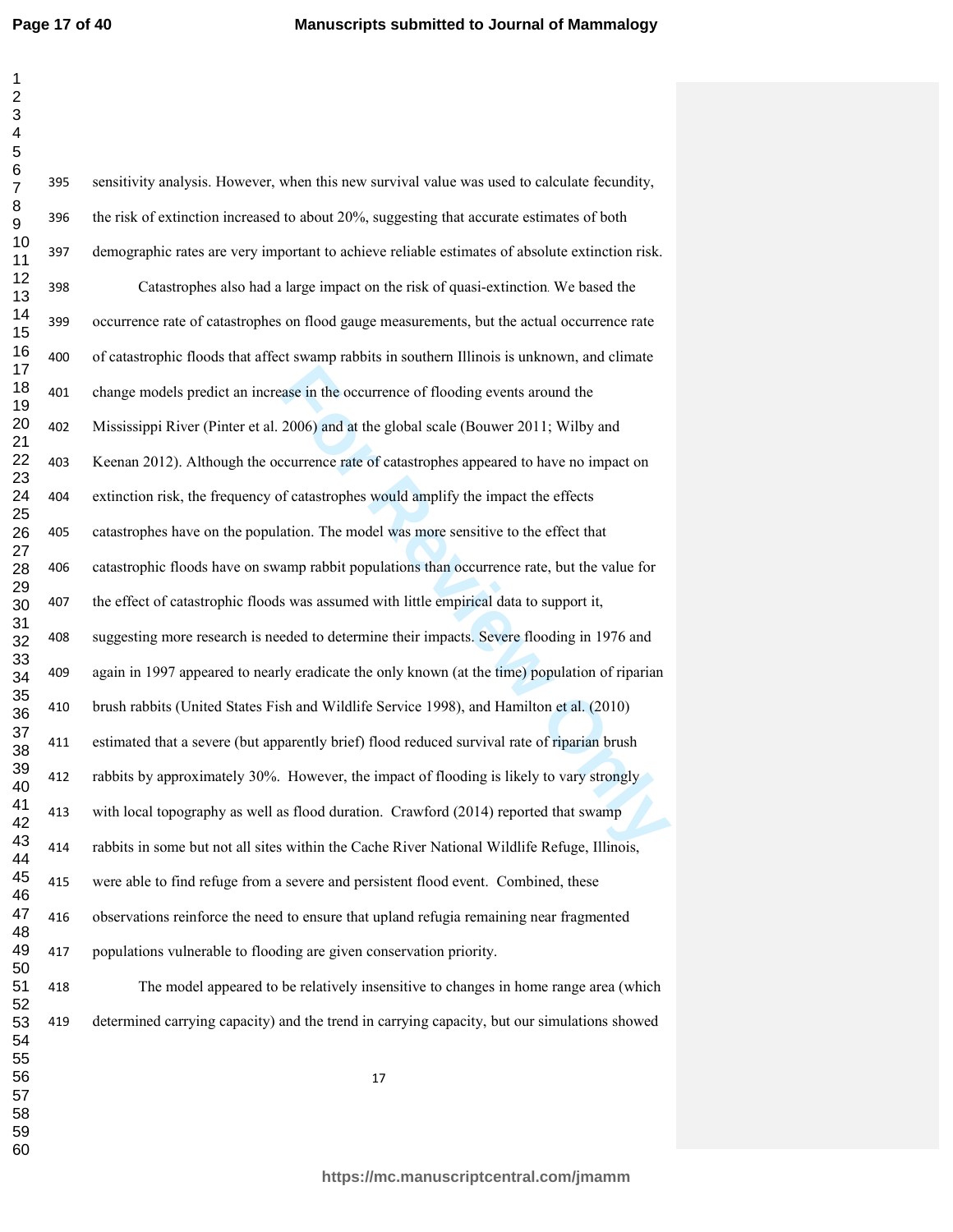$\mathbf{1}$  $\overline{2}$ 

| 1<br>$\mathbf 2$                                                                                                |                                                                                                                                                                                                                                                                                                                |                                                                                                 |  |  |  |
|-----------------------------------------------------------------------------------------------------------------|----------------------------------------------------------------------------------------------------------------------------------------------------------------------------------------------------------------------------------------------------------------------------------------------------------------|-------------------------------------------------------------------------------------------------|--|--|--|
| 3                                                                                                               |                                                                                                                                                                                                                                                                                                                |                                                                                                 |  |  |  |
| 4<br>$\,$ 5 $\,$                                                                                                |                                                                                                                                                                                                                                                                                                                |                                                                                                 |  |  |  |
| 6<br>$\overline{7}$                                                                                             | 395                                                                                                                                                                                                                                                                                                            | sensitivity analysis. However, when this new survival value was used to calculate fecundity,    |  |  |  |
| 8<br>9                                                                                                          | 396                                                                                                                                                                                                                                                                                                            | the risk of extinction increased to about 20%, suggesting that accurate estimates of both       |  |  |  |
| 10<br>11                                                                                                        | 397                                                                                                                                                                                                                                                                                                            | demographic rates are very important to achieve reliable estimates of absolute extinction risk. |  |  |  |
| 12<br>13                                                                                                        | 398                                                                                                                                                                                                                                                                                                            | Catastrophes also had a large impact on the risk of quasi-extinction. We based the              |  |  |  |
| 14<br>15                                                                                                        | 399                                                                                                                                                                                                                                                                                                            | occurrence rate of catastrophes on flood gauge measurements, but the actual occurrence rate     |  |  |  |
| 16<br>17                                                                                                        | 400                                                                                                                                                                                                                                                                                                            | of catastrophic floods that affect swamp rabbits in southern Illinois is unknown, and climate   |  |  |  |
| 18<br>19                                                                                                        | 401                                                                                                                                                                                                                                                                                                            | change models predict an increase in the occurrence of flooding events around the               |  |  |  |
| 20<br>21                                                                                                        | 402                                                                                                                                                                                                                                                                                                            | Mississippi River (Pinter et al. 2006) and at the global scale (Bouwer 2011; Wilby and          |  |  |  |
| 22<br>23                                                                                                        | 403                                                                                                                                                                                                                                                                                                            | Keenan 2012). Although the occurrence rate of catastrophes appeared to have no impact on        |  |  |  |
| 24<br>25                                                                                                        | 404                                                                                                                                                                                                                                                                                                            | extinction risk, the frequency of catastrophes would amplify the impact the effects             |  |  |  |
| 26<br>27                                                                                                        | 405                                                                                                                                                                                                                                                                                                            | catastrophes have on the population. The model was more sensitive to the effect that            |  |  |  |
| catastrophic floods have on swamp rabbit populations than occurrence rate, but the value for<br>406<br>28<br>29 |                                                                                                                                                                                                                                                                                                                |                                                                                                 |  |  |  |
| 30<br>31                                                                                                        | 407                                                                                                                                                                                                                                                                                                            | the effect of catastrophic floods was assumed with little empirical data to support it,         |  |  |  |
| 32<br>33                                                                                                        | 408                                                                                                                                                                                                                                                                                                            | suggesting more research is needed to determine their impacts. Severe flooding in 1976 and      |  |  |  |
| 34<br>35                                                                                                        | 409                                                                                                                                                                                                                                                                                                            | again in 1997 appeared to nearly eradicate the only known (at the time) population of riparian  |  |  |  |
| 36<br>37                                                                                                        | 410                                                                                                                                                                                                                                                                                                            | brush rabbits (United States Fish and Wildlife Service 1998), and Hamilton et al. (2010)        |  |  |  |
| 38                                                                                                              | 411                                                                                                                                                                                                                                                                                                            | estimated that a severe (but apparently brief) flood reduced survival rate of riparian brush    |  |  |  |
| 39<br>40                                                                                                        | 412                                                                                                                                                                                                                                                                                                            | rabbits by approximately 30%. However, the impact of flooding is likely to vary strongly        |  |  |  |
| 41<br>42                                                                                                        | 413                                                                                                                                                                                                                                                                                                            | with local topography as well as flood duration. Crawford (2014) reported that swamp            |  |  |  |
| 43<br>44                                                                                                        | 414                                                                                                                                                                                                                                                                                                            | rabbits in some but not all sites within the Cache River National Wildlife Refuge, Illinois,    |  |  |  |
| 45<br>46                                                                                                        | 415                                                                                                                                                                                                                                                                                                            | were able to find refuge from a severe and persistent flood event. Combined, these              |  |  |  |
| 47<br>48                                                                                                        | 416                                                                                                                                                                                                                                                                                                            | observations reinforce the need to ensure that upland refugia remaining near fragmented         |  |  |  |
| 50                                                                                                              | 49<br>populations vulnerable to flooding are given conservation priority.<br>417<br>51<br>The model appeared to be relatively insensitive to changes in home range area (which<br>418<br>52<br>determined carrying capacity) and the trend in carrying capacity, but our simulations showed<br>53<br>419<br>54 |                                                                                                 |  |  |  |
|                                                                                                                 |                                                                                                                                                                                                                                                                                                                |                                                                                                 |  |  |  |
|                                                                                                                 |                                                                                                                                                                                                                                                                                                                |                                                                                                 |  |  |  |
| 55<br>56<br>57                                                                                                  |                                                                                                                                                                                                                                                                                                                | 17                                                                                              |  |  |  |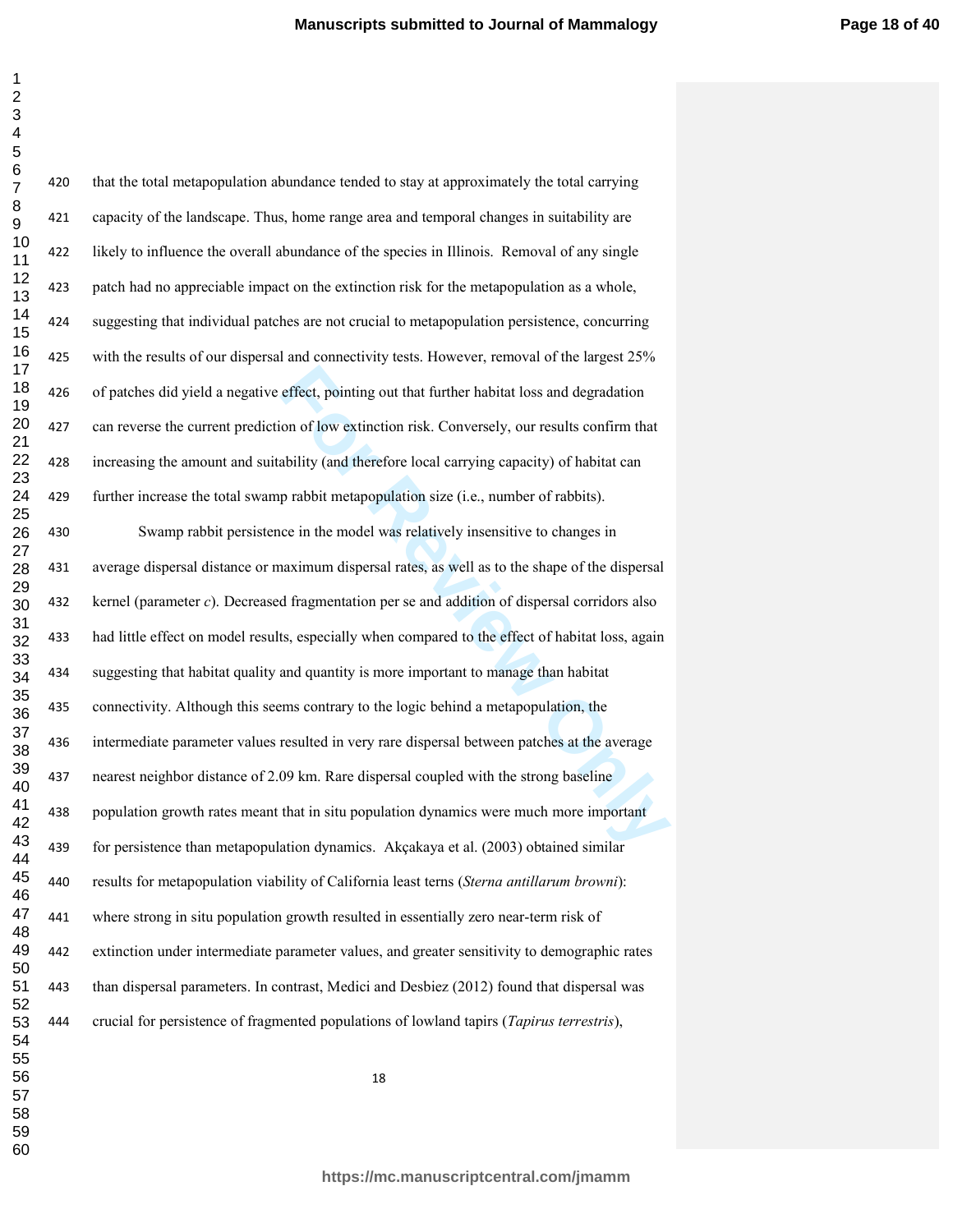| 420 | that the total metapopulation abundance tended to stay at approximately the total carrying        |
|-----|---------------------------------------------------------------------------------------------------|
| 421 | capacity of the landscape. Thus, home range area and temporal changes in suitability are          |
| 422 | likely to influence the overall abundance of the species in Illinois. Removal of any single       |
| 423 | patch had no appreciable impact on the extinction risk for the metapopulation as a whole,         |
| 424 | suggesting that individual patches are not crucial to metapopulation persistence, concurring      |
| 425 | with the results of our dispersal and connectivity tests. However, removal of the largest 25%     |
| 426 | of patches did yield a negative effect, pointing out that further habitat loss and degradation    |
| 427 | can reverse the current prediction of low extinction risk. Conversely, our results confirm that   |
| 428 | increasing the amount and suitability (and therefore local carrying capacity) of habitat can      |
| 429 | further increase the total swamp rabbit metapopulation size (i.e., number of rabbits).            |
| 430 | Swamp rabbit persistence in the model was relatively insensitive to changes in                    |
| 431 | average dispersal distance or maximum dispersal rates, as well as to the shape of the dispersal   |
| 432 | kernel (parameter $c$ ). Decreased fragmentation per se and addition of dispersal corridors also  |
| 433 | had little effect on model results, especially when compared to the effect of habitat loss, again |
| 434 | suggesting that habitat quality and quantity is more important to manage than habitat             |
| 435 | connectivity. Although this seems contrary to the logic behind a metapopulation, the              |
| 436 | intermediate parameter values resulted in very rare dispersal between patches at the average      |
| 437 | nearest neighbor distance of 2.09 km. Rare dispersal coupled with the strong baseline             |
| 438 | population growth rates meant that in situ population dynamics were much more important           |
| 439 | for persistence than metapopulation dynamics. Akçakaya et al. (2003) obtained similar             |
| 440 | results for metapopulation viability of California least terns (Sterna antillarum browni):        |
| 441 | where strong in situ population growth resulted in essentially zero near-term risk of             |
| 442 | extinction under intermediate parameter values, and greater sensitivity to demographic rates      |
| 443 | than dispersal parameters. In contrast, Medici and Desbiez (2012) found that dispersal was        |
| 444 | crucial for persistence of fragmented populations of lowland tapirs (Tapirus terrestris),         |
|     |                                                                                                   |

 $\mathbf 1$  $\overline{2}$  $\overline{\mathbf{4}}$  $\,6$  $\boldsymbol{7}$  $\bf 8$  $\boldsymbol{9}$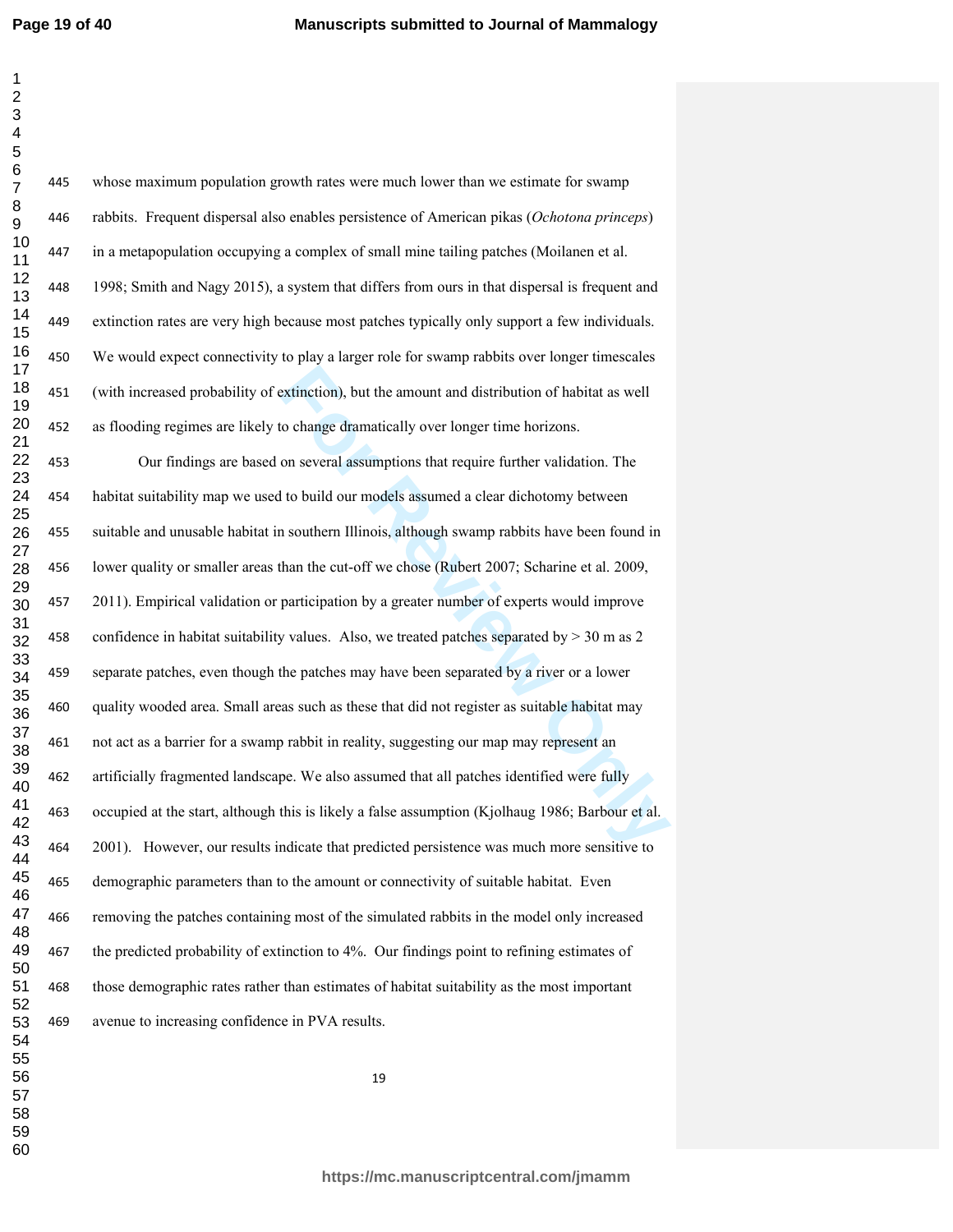extinction), but the amount and distribution of habitat as well<br>o change dramatically over longer time horizons.<br>on several assumptions that require further validation. The<br>to build our models assumed a clear dichotomy bet whose maximum population growth rates were much lower than we estimate for swamp rabbits. Frequent dispersal also enables persistence of American pikas (*Ochotona princeps*) in a metapopulation occupying a complex of small mine tailing patches (Moilanen et al. 1998; Smith and Nagy 2015), a system that differs from ours in that dispersal is frequent and extinction rates are very high because most patches typically only support a few individuals. We would expect connectivity to play a larger role for swamp rabbits over longer timescales (with increased probability of extinction), but the amount and distribution of habitat as well as flooding regimes are likely to change dramatically over longer time horizons. Our findings are based on several assumptions that require further validation. The habitat suitability map we used to build our models assumed a clear dichotomy between suitable and unusable habitat in southern Illinois, although swamp rabbits have been found in lower quality or smaller areas than the cut-off we chose (Rubert 2007; Scharine et al. 2009, 2011). Empirical validation or participation by a greater number of experts would improve 458 confidence in habitat suitability values. Also, we treated patches separated by  $>$  30 m as 2 separate patches, even though the patches may have been separated by a river or a lower quality wooded area. Small areas such as these that did not register as suitable habitat may not act as a barrier for a swamp rabbit in reality, suggesting our map may represent an artificially fragmented landscape. We also assumed that all patches identified were fully occupied at the start, although this is likely a false assumption (Kjolhaug 1986; Barbour et al. 2001). However, our results indicate that predicted persistence was much more sensitive to demographic parameters than to the amount or connectivity of suitable habitat. Even removing the patches containing most of the simulated rabbits in the model only increased the predicted probability of extinction to 4%. Our findings point to refining estimates of those demographic rates rather than estimates of habitat suitability as the most important avenue to increasing confidence in PVA results.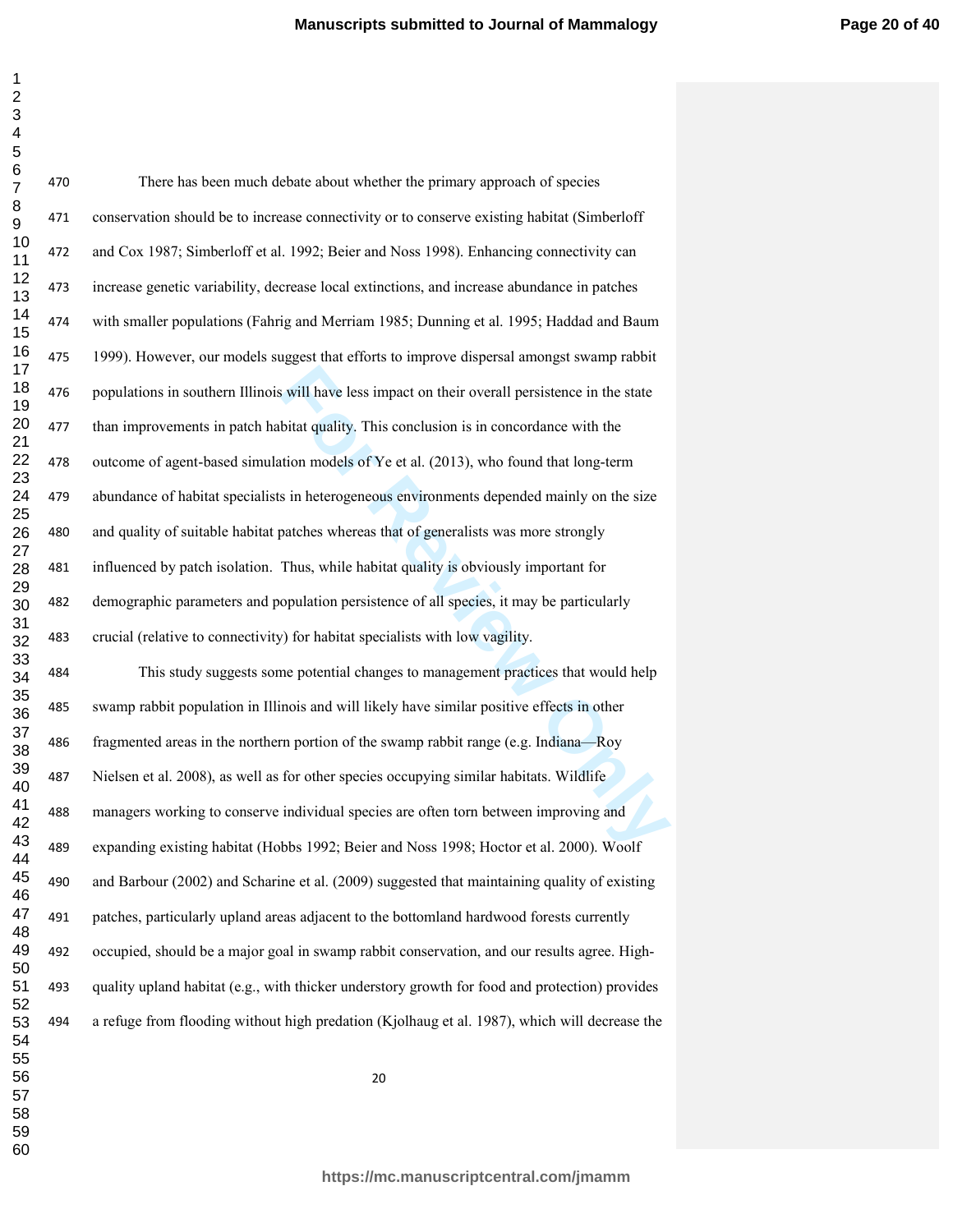| 470 | There has been much debate about whether the primary approach of species                         |
|-----|--------------------------------------------------------------------------------------------------|
| 471 | conservation should be to increase connectivity or to conserve existing habitat (Simberloff      |
| 472 | and Cox 1987; Simberloff et al. 1992; Beier and Noss 1998). Enhancing connectivity can           |
| 473 | increase genetic variability, decrease local extinctions, and increase abundance in patches      |
| 474 | with smaller populations (Fahrig and Merriam 1985; Dunning et al. 1995; Haddad and Baum          |
| 475 | 1999). However, our models suggest that efforts to improve dispersal amongst swamp rabbit        |
| 476 | populations in southern Illinois will have less impact on their overall persistence in the state |
| 477 | than improvements in patch habitat quality. This conclusion is in concordance with the           |
| 478 | outcome of agent-based simulation models of Ye et al. (2013), who found that long-term           |
| 479 | abundance of habitat specialists in heterogeneous environments depended mainly on the size       |
| 480 | and quality of suitable habitat patches whereas that of generalists was more strongly            |
| 481 | influenced by patch isolation. Thus, while habitat quality is obviously important for            |
| 482 | demographic parameters and population persistence of all species, it may be particularly         |
| 483 | crucial (relative to connectivity) for habitat specialists with low vagility.                    |
| 484 | This study suggests some potential changes to management practices that would help               |
| 485 | swamp rabbit population in Illinois and will likely have similar positive effects in other       |
| 486 | fragmented areas in the northern portion of the swamp rabbit range (e.g. Indiana—Roy             |
| 487 | Nielsen et al. 2008), as well as for other species occupying similar habitats. Wildlife          |
| 488 | managers working to conserve individual species are often torn between improving and             |
| 489 | expanding existing habitat (Hobbs 1992; Beier and Noss 1998; Hoctor et al. 2000). Woolf          |
| 490 | and Barbour (2002) and Scharine et al. (2009) suggested that maintaining quality of existing     |
| 491 | patches, particularly upland areas adjacent to the bottomland hardwood forests currently         |
| 492 | occupied, should be a major goal in swamp rabbit conservation, and our results agree. High-      |
| 493 | quality upland habitat (e.g., with thicker understory growth for food and protection) provides   |
| 494 | a refuge from flooding without high predation (Kjolhaug et al. 1987), which will decrease the    |
|     |                                                                                                  |

 $\mathbf 1$  $\overline{2}$  $\overline{\mathbf{4}}$  $\,6$  $\boldsymbol{7}$  $\bf 8$  $\boldsymbol{9}$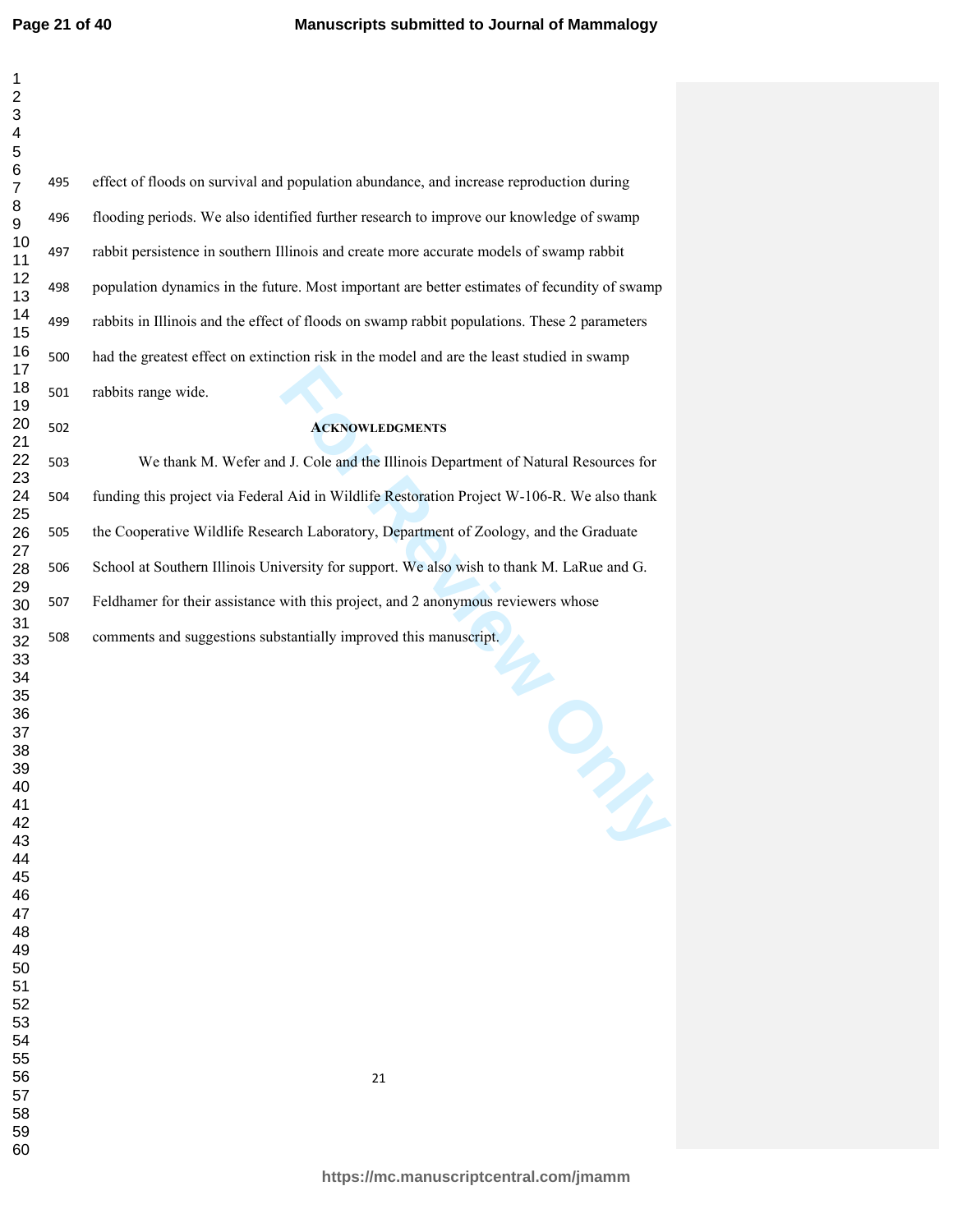$\mathbf{1}$  $\overline{2}$ 

 effect of floods on survival and population abundance, and increase reproduction during  $\overline{7}$ flooding periods. We also identified further research to improve our knowledge of swamp rabbit persistence in southern Illinois and create more accurate models of swamp rabbit population dynamics in the future. Most important are better estimates of fecundity of swamp rabbits in Illinois and the effect of floods on swamp rabbit populations. These 2 parameters had the greatest effect on extinction risk in the model and are the least studied in swamp rabbits range wide. **ACKNOWLEDGMENTS** We thank M. Wefer and J. Cole and the Illinois Department of Natural Resources for funding this project via Federal Aid in Wildlife Restoration Project W-106-R. We also thank the Cooperative Wildlife Research Laboratory, Department of Zoology, and the Graduate School at Southern Illinois University for support. We also wish to thank M. LaRue and G. Feldhamer for their assistance with this project, and 2 anonymous reviewers whose comments and suggestions substantially improved this manuscript. **https://mc.manuscriptcentral.com/jmamm**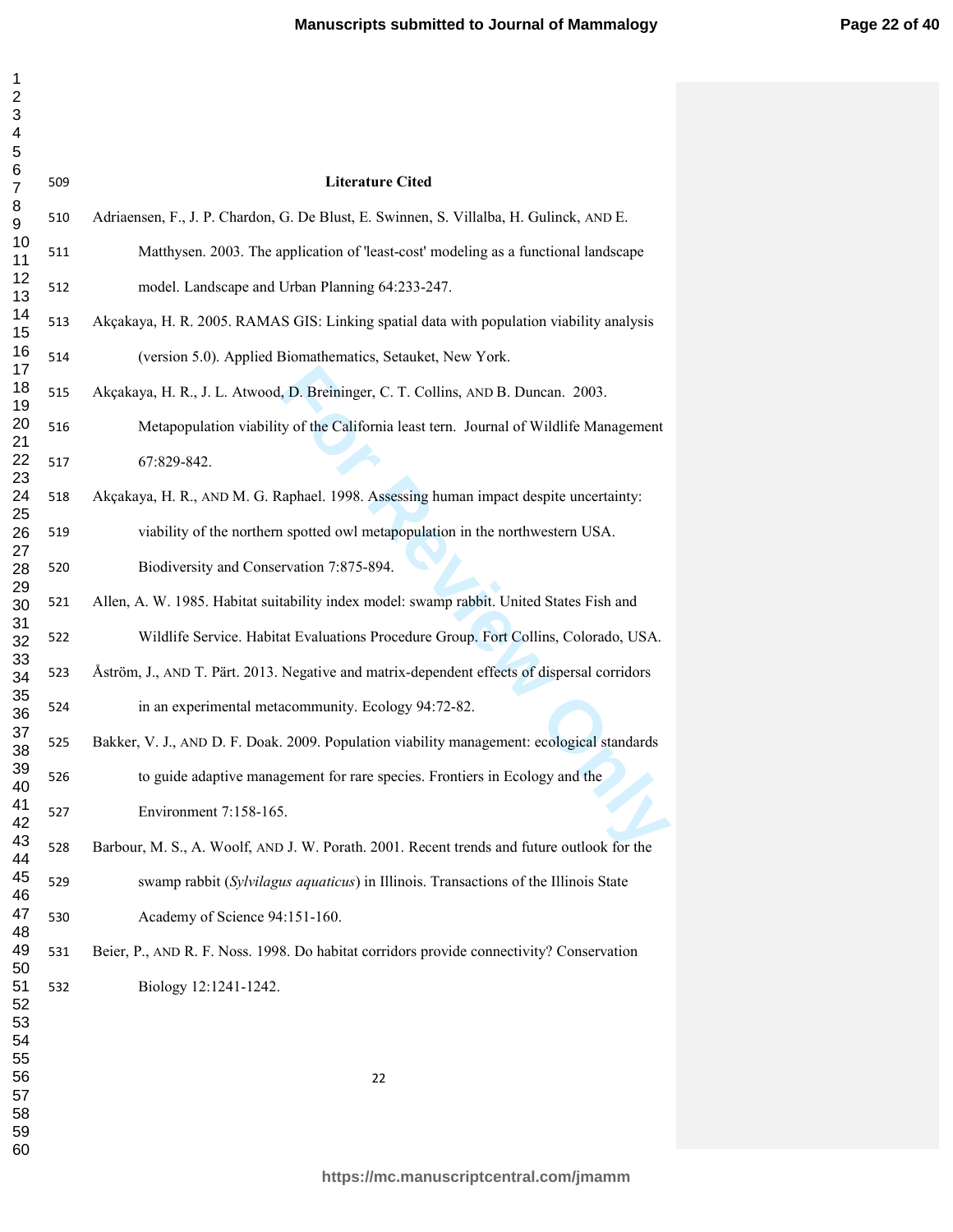| 1<br>$\overline{2}$              |                        |                                                                                             |  |  |  |  |  |
|----------------------------------|------------------------|---------------------------------------------------------------------------------------------|--|--|--|--|--|
| 3                                |                        |                                                                                             |  |  |  |  |  |
| 4<br>5                           |                        |                                                                                             |  |  |  |  |  |
| 6<br>$\overline{7}$              | 509                    | <b>Literature Cited</b>                                                                     |  |  |  |  |  |
| 8<br>9                           | 510                    | Adriaensen, F., J. P. Chardon, G. De Blust, E. Swinnen, S. Villalba, H. Gulinck, AND E.     |  |  |  |  |  |
| 10<br>11                         | 511                    | Matthysen. 2003. The application of 'least-cost' modeling as a functional landscape         |  |  |  |  |  |
| 12<br>13                         | 512                    | model. Landscape and Urban Planning 64:233-247.                                             |  |  |  |  |  |
| 14<br>15                         | 513                    | Akçakaya, H. R. 2005. RAMAS GIS: Linking spatial data with population viability analysis    |  |  |  |  |  |
| 16<br>17                         | 514                    | (version 5.0). Applied Biomathematics, Setauket, New York.                                  |  |  |  |  |  |
| 18<br>19                         | 515                    | Akçakaya, H. R., J. L. Atwood, D. Breininger, C. T. Collins, AND B. Duncan. 2003.           |  |  |  |  |  |
| 20<br>21                         | 516                    | Metapopulation viability of the California least tern. Journal of Wildlife Management       |  |  |  |  |  |
| 22                               | 517                    | 67:829-842.                                                                                 |  |  |  |  |  |
| 23<br>24                         | 518                    | Akçakaya, H. R., AND M. G. Raphael. 1998. Assessing human impact despite uncertainty:       |  |  |  |  |  |
| 25<br>26                         | 519                    | viability of the northern spotted owl metapopulation in the northwestern USA.               |  |  |  |  |  |
| 27<br>28<br>29<br>30<br>31<br>32 | 520                    | Biodiversity and Conservation 7:875-894.                                                    |  |  |  |  |  |
|                                  | 521                    | Allen, A. W. 1985. Habitat suitability index model: swamp rabbit. United States Fish and    |  |  |  |  |  |
|                                  | 522                    | Wildlife Service. Habitat Evaluations Procedure Group. Fort Collins, Colorado, USA.         |  |  |  |  |  |
| 33<br>34                         | 523                    | Åström, J., AND T. Pärt. 2013. Negative and matrix-dependent effects of dispersal corridors |  |  |  |  |  |
| 35<br>36                         | 524                    | in an experimental metacommunity. Ecology 94:72-82.                                         |  |  |  |  |  |
| 37<br>38                         | 525                    | Bakker, V. J., AND D. F. Doak. 2009. Population viability management: ecological standards  |  |  |  |  |  |
| 39<br>40                         | 526                    | to guide adaptive management for rare species. Frontiers in Ecology and the                 |  |  |  |  |  |
| 41<br>42                         | Environment 7:158-165. |                                                                                             |  |  |  |  |  |
| 43<br>44                         | 528                    | Barbour, M. S., A. Woolf, AND J. W. Porath. 2001. Recent trends and future outlook for the  |  |  |  |  |  |
| 45<br>46                         | 529                    | swamp rabbit (Sylvilagus aquaticus) in Illinois. Transactions of the Illinois State         |  |  |  |  |  |
| 47<br>48                         | 530                    | Academy of Science 94:151-160.                                                              |  |  |  |  |  |
| 49<br>50                         | 531                    | Beier, P., AND R. F. Noss. 1998. Do habitat corridors provide connectivity? Conservation    |  |  |  |  |  |
| 51<br>52                         | 532                    | Biology 12:1241-1242.                                                                       |  |  |  |  |  |
| 53                               |                        |                                                                                             |  |  |  |  |  |
| 54<br>55                         |                        |                                                                                             |  |  |  |  |  |
| 56<br>57                         |                        | 22                                                                                          |  |  |  |  |  |
| 58<br>59                         |                        |                                                                                             |  |  |  |  |  |

 $\mathbf{1}$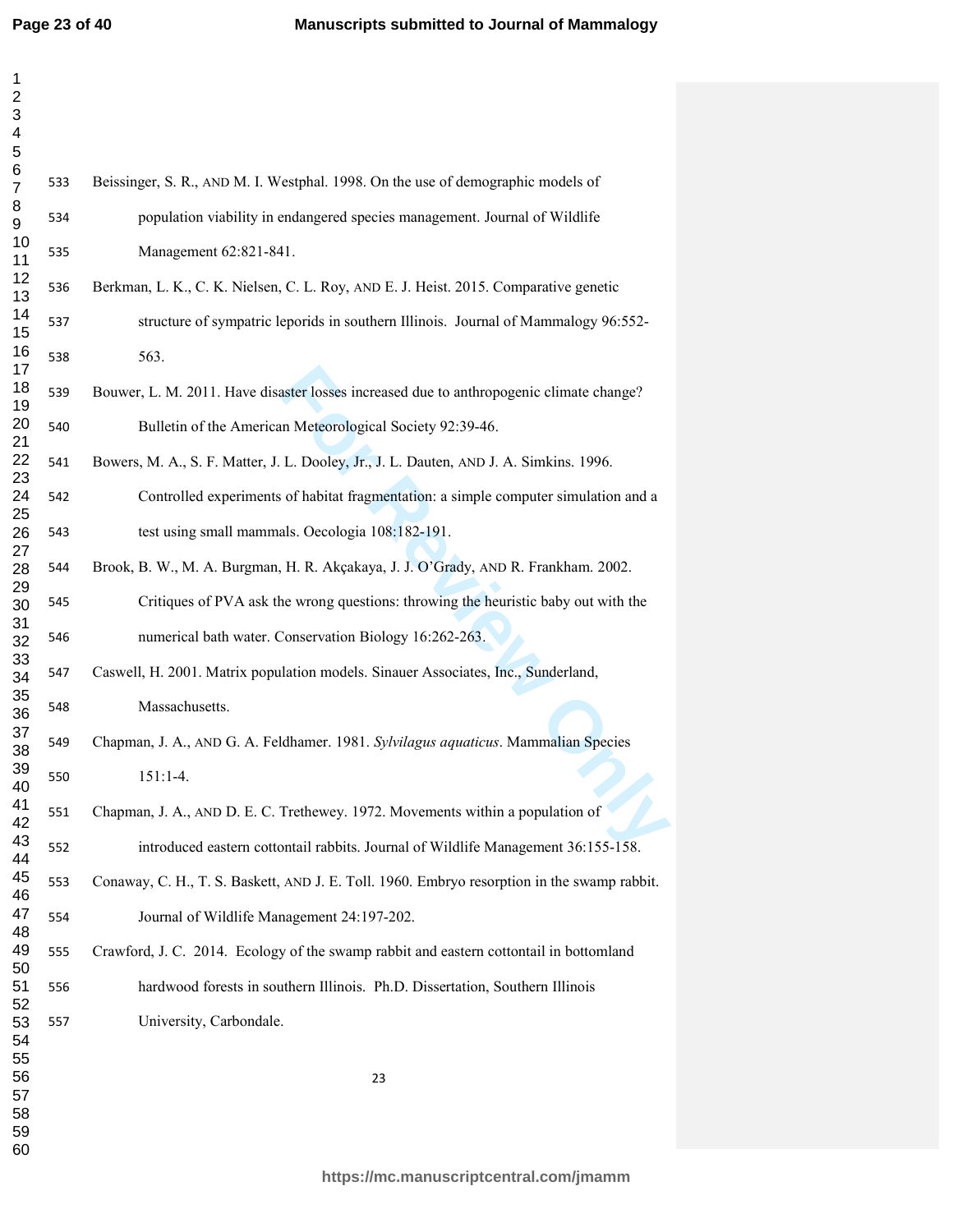$\mathbf{1}$ 

| 1<br>$\overline{c}$<br>3<br>4     |                                                                                           |                                                                                             |  |  |  |
|-----------------------------------|-------------------------------------------------------------------------------------------|---------------------------------------------------------------------------------------------|--|--|--|
| 5<br>6                            |                                                                                           |                                                                                             |  |  |  |
| $\overline{7}$                    | 533                                                                                       | Beissinger, S. R., AND M. I. Westphal. 1998. On the use of demographic models of            |  |  |  |
| 8<br>$\boldsymbol{9}$             | 534                                                                                       | population viability in endangered species management. Journal of Wildlife                  |  |  |  |
| 10<br>11                          | 535                                                                                       | Management 62:821-841.                                                                      |  |  |  |
| 12<br>13                          | 536                                                                                       | Berkman, L. K., C. K. Nielsen, C. L. Roy, AND E. J. Heist. 2015. Comparative genetic        |  |  |  |
| 14<br>15                          | 537                                                                                       | structure of sympatric leporids in southern Illinois. Journal of Mammalogy 96:552-          |  |  |  |
| 16<br>17                          | 538                                                                                       | 563.                                                                                        |  |  |  |
| 18<br>19                          | 539                                                                                       | Bouwer, L. M. 2011. Have disaster losses increased due to anthropogenic climate change?     |  |  |  |
| 20                                | 540                                                                                       | Bulletin of the American Meteorological Society 92:39-46.                                   |  |  |  |
| 21<br>22                          | 541                                                                                       | Bowers, M. A., S. F. Matter, J. L. Dooley, Jr., J. L. Dauten, AND J. A. Simkins. 1996.      |  |  |  |
| 23<br>24                          | 542                                                                                       | Controlled experiments of habitat fragmentation: a simple computer simulation and a         |  |  |  |
| 25<br>26                          | 543                                                                                       | test using small mammals. Oecologia 108:182-191.                                            |  |  |  |
| 27<br>28                          | 544                                                                                       | Brook, B. W., M. A. Burgman, H. R. Akçakaya, J. J. O'Grady, AND R. Frankham. 2002.          |  |  |  |
| 29<br>30                          | 545                                                                                       | Critiques of PVA ask the wrong questions: throwing the heuristic baby out with the          |  |  |  |
| 31<br>32                          | 546                                                                                       | numerical bath water. Conservation Biology 16:262-263.                                      |  |  |  |
| 33<br>34                          | 547                                                                                       | Caswell, H. 2001. Matrix population models. Sinauer Associates, Inc., Sunderland,           |  |  |  |
| 35<br>Massachusetts.<br>548<br>36 |                                                                                           |                                                                                             |  |  |  |
| 37<br>38                          | Chapman, J. A., AND G. A. Feldhamer. 1981. Sylvilagus aquaticus. Mammalian Species<br>549 |                                                                                             |  |  |  |
| 39<br>40                          | 550                                                                                       | $151:1-4.$                                                                                  |  |  |  |
| 41<br>42                          | 551                                                                                       | Chapman, J. A., AND D. E. C. Trethewey. 1972. Movements within a population of              |  |  |  |
| 43<br>44                          | 552                                                                                       | introduced eastern cottontail rabbits. Journal of Wildlife Management 36:155-158.           |  |  |  |
| 45                                | 553                                                                                       | Conaway, C. H., T. S. Baskett, AND J. E. Toll. 1960. Embryo resorption in the swamp rabbit. |  |  |  |
| 47                                | 46<br>Journal of Wildlife Management 24:197-202.<br>554                                   |                                                                                             |  |  |  |
| 48<br>49                          | 555                                                                                       | Crawford, J. C. 2014. Ecology of the swamp rabbit and eastern cottontail in bottomland      |  |  |  |
| 50<br>51                          | 556                                                                                       | hardwood forests in southern Illinois. Ph.D. Dissertation, Southern Illinois                |  |  |  |
| 52<br>53<br>54                    | University, Carbondale.                                                                   |                                                                                             |  |  |  |
| 55<br>56<br>57<br>58<br>59        |                                                                                           | 23                                                                                          |  |  |  |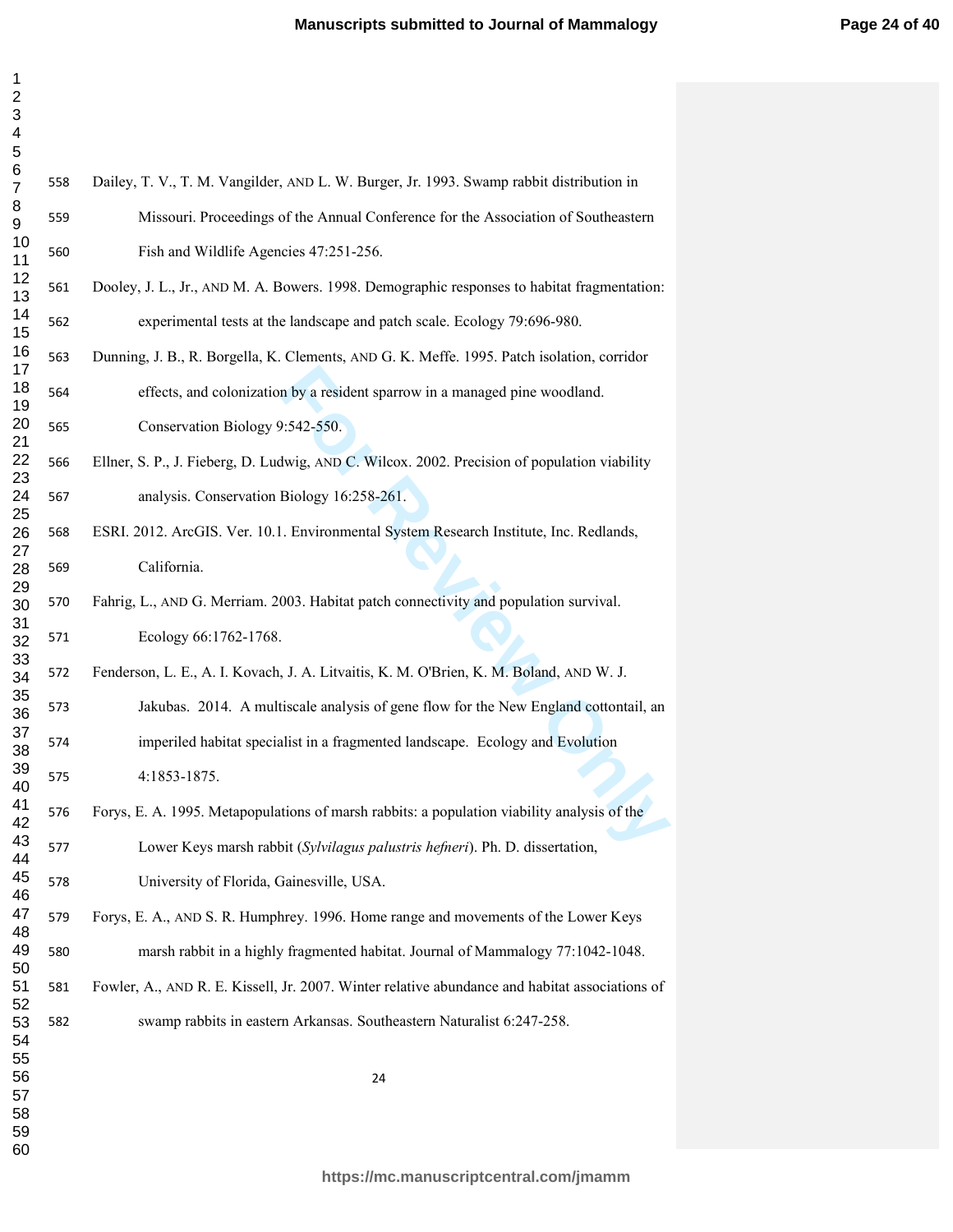| 1                                    |
|--------------------------------------|
| 2                                    |
| $\mathbf{S}$                         |
|                                      |
| 3<br>4<br>5<br>6                     |
|                                      |
| 7                                    |
|                                      |
|                                      |
|                                      |
| 891011234151617                      |
|                                      |
|                                      |
|                                      |
|                                      |
|                                      |
|                                      |
|                                      |
| 18                                   |
| - 19<br>20<br>-                      |
|                                      |
| 21<br>22<br>-                        |
|                                      |
|                                      |
|                                      |
|                                      |
|                                      |
|                                      |
|                                      |
| ∠2 3 4 5 6 7 7 8 9 3 1 3 1 3 3 3 3 1 |
|                                      |
|                                      |
|                                      |
| 31<br>32<br>$\overline{ }$           |
|                                      |
|                                      |
|                                      |
| 33<br>34<br>35<br>36<br>37           |
|                                      |
|                                      |
| 38<br>39                             |
|                                      |
| 40                                   |
| 41                                   |
| 42                                   |
| 43<br>Š                              |
| 44                                   |
| 45                                   |
| 46                                   |
| 47                                   |
| 48                                   |
| 49                                   |
| 50                                   |
| 51                                   |
| ۔<br>52                              |
| $\overline{ }$                       |
| 53                                   |
| 54                                   |
| 55                                   |
| 56<br>ć                              |
| 57                                   |
| 58                                   |
| 59                                   |
| 60                                   |

| 558 | Dailey, T. V., T. M. Vangilder, AND L. W. Burger, Jr. 1993. Swamp rabbit distribution in    |
|-----|---------------------------------------------------------------------------------------------|
| 559 | Missouri. Proceedings of the Annual Conference for the Association of Southeastern          |
| 560 | Fish and Wildlife Agencies 47:251-256.                                                      |
| 561 | Dooley, J. L., Jr., AND M. A. Bowers. 1998. Demographic responses to habitat fragmentation: |
| 562 | experimental tests at the landscape and patch scale. Ecology 79:696-980.                    |

- Dunning, J. B., R. Borgella, K. Clements, AND G. K. Meffe. 1995. Patch isolation, corridor effects, and colonization by a resident sparrow in a managed pine woodland.
- Conservation Biology 9:542-550.
- Ellner, S. P., J. Fieberg, D. Ludwig, AND C. Wilcox. 2002. Precision of population viability analysis. Conservation Biology 16:258-261.
- ESRI. 2012. ArcGIS. Ver. 10.1. Environmental System Research Institute, Inc. Redlands, California.
- Fahrig, L., AND G. Merriam. 2003. Habitat patch connectivity and population survival. Ecology 66:1762-1768.
- In by a resident sparrow in a managed pine woodland.<br>
For Ford 2-542-550.<br>
Hwig, AND C. Wilcox. 2002. Precision of population viability<br>
Biology 16:258-261.<br> **For Review Review Research Institute, Inc. Redlands,**<br> **For Rev** Fenderson, L. E., A. I. Kovach, J. A. Litvaitis, K. M. O'Brien, K. M. Boland, AND W. J. Jakubas. 2014. A multiscale analysis of gene flow for the New England cottontail, an imperiled habitat specialist in a fragmented landscape. Ecology and Evolution 4:1853-1875.
- Forys, E. A. 1995. Metapopulations of marsh rabbits: a population viability analysis of the Lower Keys marsh rabbit (*Sylvilagus palustris hefneri*). Ph. D. dissertation, University of Florida, Gainesville, USA.
- Forys, E. A., AND S. R. Humphrey. 1996. Home range and movements of the Lower Keys marsh rabbit in a highly fragmented habitat. Journal of Mammalogy 77:1042-1048.
- Fowler, A., AND R. E. Kissell, Jr. 2007. Winter relative abundance and habitat associations of swamp rabbits in eastern Arkansas. Southeastern Naturalist 6:247-258.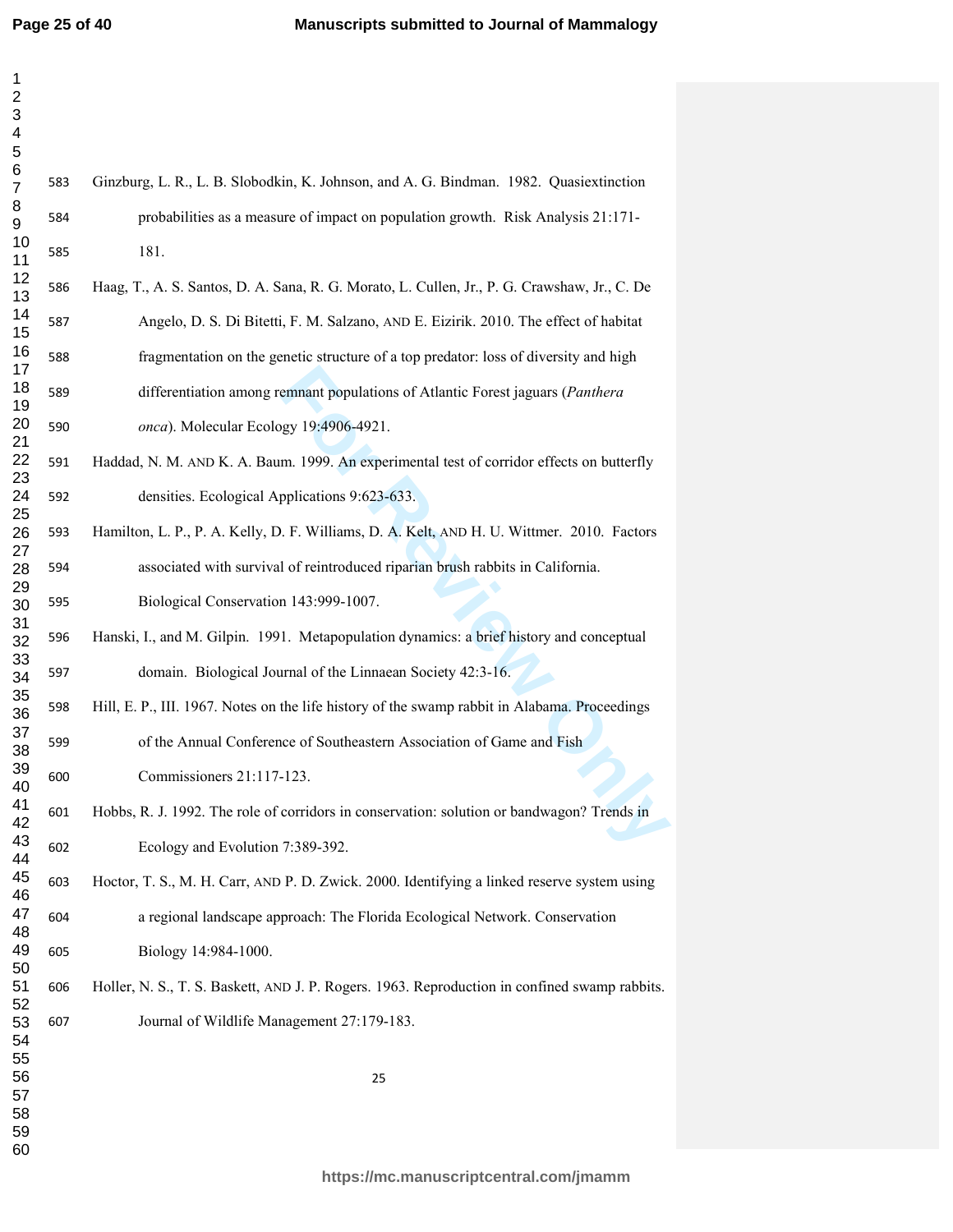| $\mathbf{1}$<br>$\overline{\mathbf{c}}$<br>3 |     |                                                                                               |
|----------------------------------------------|-----|-----------------------------------------------------------------------------------------------|
| 4<br>5                                       |     |                                                                                               |
| 6<br>$\overline{7}$                          | 583 | Ginzburg, L. R., L. B. Slobodkin, K. Johnson, and A. G. Bindman. 1982. Quasiextinction        |
| 8<br>9                                       | 584 | probabilities as a measure of impact on population growth. Risk Analysis 21:171-              |
| 10<br>11                                     | 585 | 181.                                                                                          |
| 12<br>13                                     | 586 | Haag, T., A. S. Santos, D. A. Sana, R. G. Morato, L. Cullen, Jr., P. G. Crawshaw, Jr., C. De  |
| 14<br>15                                     | 587 | Angelo, D. S. Di Bitetti, F. M. Salzano, AND E. Eizirik. 2010. The effect of habitat          |
| 16<br>17                                     | 588 | fragmentation on the genetic structure of a top predator: loss of diversity and high          |
| 18                                           | 589 | differentiation among remnant populations of Atlantic Forest jaguars (Panthera                |
| 19<br>20                                     | 590 | onca). Molecular Ecology 19:4906-4921.                                                        |
| 21<br>22                                     | 591 | Haddad, N. M. AND K. A. Baum. 1999. An experimental test of corridor effects on butterfly     |
| 23<br>24                                     | 592 | densities. Ecological Applications 9:623-633.                                                 |
| 25<br>26                                     | 593 | Hamilton, L. P., P. A. Kelly, D. F. Williams, D. A. Kelt, AND H. U. Wittmer. 2010. Factors    |
| 27<br>28                                     | 594 | associated with survival of reintroduced riparian brush rabbits in California.                |
| 29<br>30                                     | 595 | Biological Conservation 143:999-1007.                                                         |
| 31<br>32                                     | 596 | Hanski, I., and M. Gilpin. 1991. Metapopulation dynamics: a brief history and conceptual      |
| 33<br>34                                     | 597 | domain. Biological Journal of the Linnaean Society 42:3-16.                                   |
| 35<br>36                                     | 598 | Hill, E. P., III. 1967. Notes on the life history of the swamp rabbit in Alabama. Proceedings |
| 37<br>38                                     | 599 | of the Annual Conference of Southeastern Association of Game and Fish                         |
| 39<br>40                                     | 600 | Commissioners 21:117-123.                                                                     |
| 41<br>42                                     | 601 | Hobbs, R. J. 1992. The role of corridors in conservation: solution or bandwagon? Trends in    |
| 43<br>44                                     | 602 | Ecology and Evolution 7:389-392.                                                              |
| 45<br>46                                     | 603 | Hoctor, T. S., M. H. Carr, AND P. D. Zwick. 2000. Identifying a linked reserve system using   |
| 47                                           | 604 | a regional landscape approach: The Florida Ecological Network. Conservation                   |
| 48<br>49<br>605<br>50                        |     | Biology 14:984-1000.                                                                          |
| 51<br>52                                     | 606 | Holler, N. S., T. S. Baskett, AND J. P. Rogers. 1963. Reproduction in confined swamp rabbits. |
| 53                                           | 607 | Journal of Wildlife Management 27:179-183.                                                    |
| 54<br>55                                     |     |                                                                                               |
| 56<br>57                                     |     | 25                                                                                            |
| 58<br>59                                     |     |                                                                                               |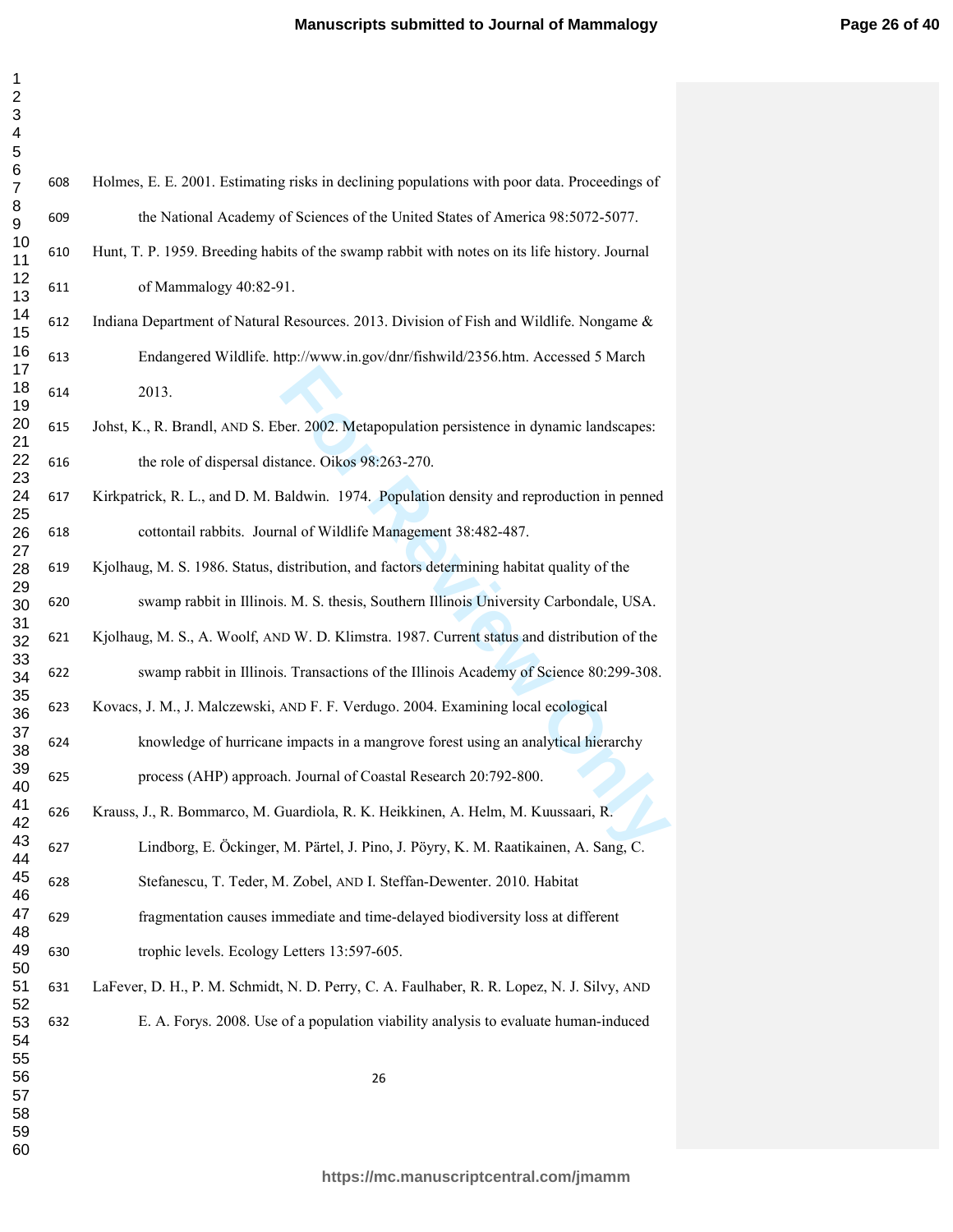$\mathbf 1$  $\overline{2}$ 

| 608 | Holmes, E. E. 2001. Estimating risks in declining populations with poor data. Proceedings of  |
|-----|-----------------------------------------------------------------------------------------------|
| 609 | the National Academy of Sciences of the United States of America 98:5072-5077.                |
| 610 | Hunt, T. P. 1959. Breeding habits of the swamp rabbit with notes on its life history. Journal |
| 611 | of Mammalogy 40:82-91.                                                                        |
| 612 | Indiana Department of Natural Resources. 2013. Division of Fish and Wildlife. Nongame &       |
| 613 | Endangered Wildlife. http://www.in.gov/dnr/fishwild/2356.htm. Accessed 5 March                |
| 614 | 2013.                                                                                         |
| 615 | Johst, K., R. Brandl, AND S. Eber. 2002. Metapopulation persistence in dynamic landscapes:    |
| 616 | the role of dispersal distance. Oikos 98:263-270.                                             |
| 617 | Kirkpatrick, R. L., and D. M. Baldwin. 1974. Population density and reproduction in penned    |
| 618 | cottontail rabbits. Journal of Wildlife Management 38:482-487.                                |
| 619 | Kjolhaug, M. S. 1986. Status, distribution, and factors determining habitat quality of the    |
| 620 | swamp rabbit in Illinois. M. S. thesis, Southern Illinois University Carbondale, USA.         |
| 621 | Kjolhaug, M. S., A. Woolf, AND W. D. Klimstra. 1987. Current status and distribution of the   |
| 622 | swamp rabbit in Illinois. Transactions of the Illinois Academy of Science 80:299-308.         |
| 623 | Kovacs, J. M., J. Malczewski, AND F. F. Verdugo. 2004. Examining local ecological             |
| 624 | knowledge of hurricane impacts in a mangrove forest using an analytical hierarchy             |
| 625 | process (AHP) approach. Journal of Coastal Research 20:792-800.                               |
| 626 | Krauss, J., R. Bommarco, M. Guardiola, R. K. Heikkinen, A. Helm, M. Kuussaari, R.             |
| 627 | Lindborg, E. Öckinger, M. Pärtel, J. Pino, J. Pöyry, K. M. Raatikainen, A. Sang, C.           |
| 628 | Stefanescu, T. Teder, M. Zobel, AND I. Steffan-Dewenter. 2010. Habitat                        |
| 629 | fragmentation causes immediate and time-delayed biodiversity loss at different                |
| 630 | trophic levels. Ecology Letters 13:597-605.                                                   |
| 631 | LaFever, D. H., P. M. Schmidt, N. D. Perry, C. A. Faulhaber, R. R. Lopez, N. J. Silvy, AND    |
| 632 | E. A. Forys. 2008. Use of a population viability analysis to evaluate human-induced           |
|     |                                                                                               |
|     | 26                                                                                            |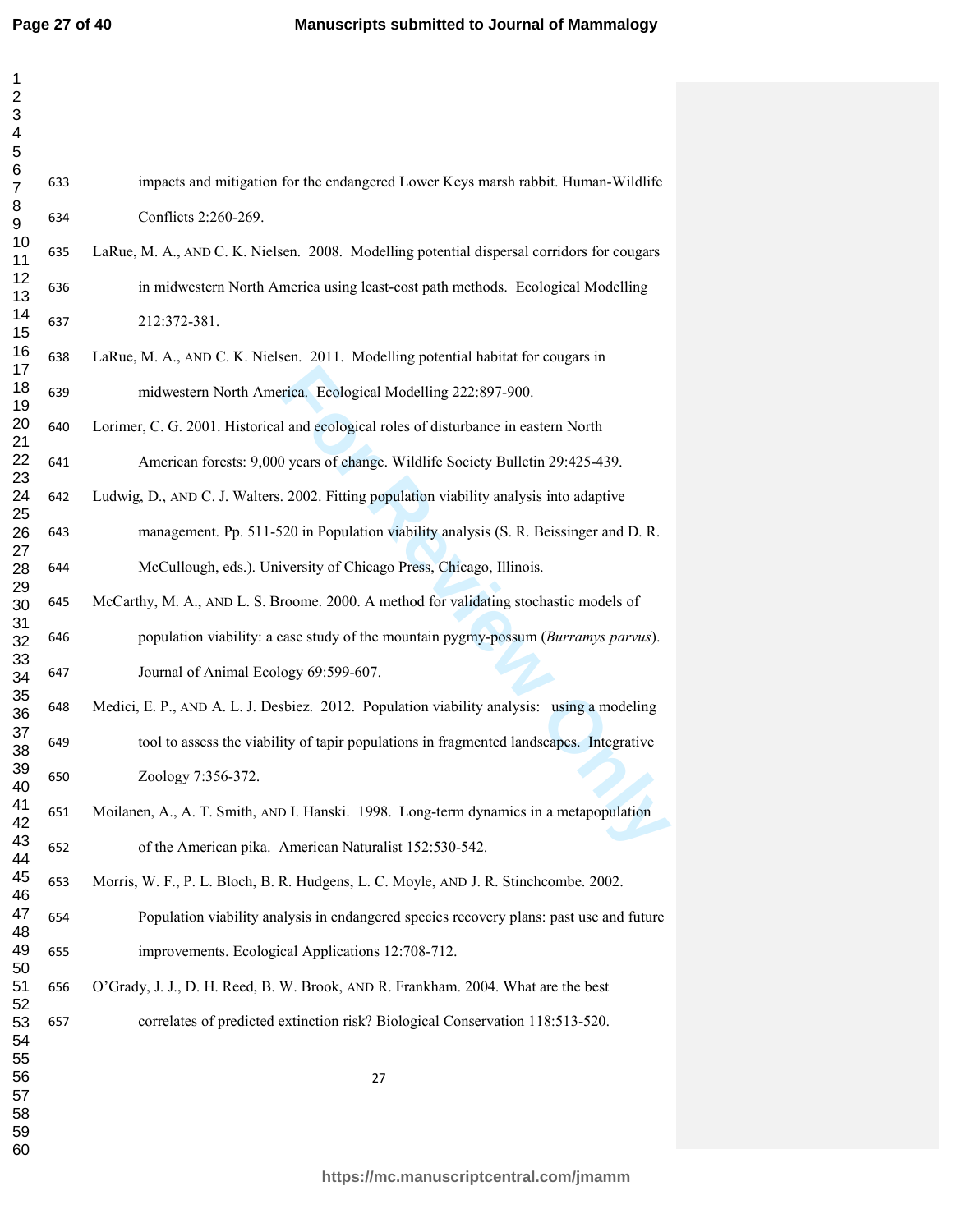$\overline{A}$ 

| 1<br>$\overline{c}$ |     |              |
|---------------------|-----|--------------|
| 3                   |     |              |
| 4<br>5              |     |              |
| 6<br>7              | 633 | $\mathbf{i}$ |
| 8<br>9              | 634 | $\mathbf$    |
| 10<br>11            | 635 | LaRue, l     |
| 12<br>13            | 636 | i            |
| 14<br>15            | 637 | 2            |
| 16                  | 638 | LaRue, l     |
| 17<br>18            | 639 | ľ            |
| 19<br>20            | 640 | Lorimer      |
| 21<br>22            | 641 | I            |
| 23<br>24            | 642 | Ludwig,      |
| 25<br>26            | 643 | ľ            |
| 27<br>28            | 644 | ľ            |
| 29<br>30            | 645 | McCartl      |
| 31<br>32            | 646 | ľ            |
| 33<br>34            | 647 | J            |
| 35<br>36            | 648 | Medici,      |
| 37<br>38            | 649 | t            |
| 39<br>40            | 650 | 2            |
| 41<br>42            | 651 | Moilane      |
| 43<br>44            | 652 | C            |
| 45<br>46            | 653 | Morris,      |
| 47<br>48            | 654 | I            |
| 49<br>50            | 655 | i            |
| 51                  | 656 | O'Grady      |
| 52<br>53            | 657 | C            |
| 54<br>55            |     |              |
| 56<br>57            |     |              |
| 58<br>59            |     |              |
| 60                  |     |              |

Frica. Ecological Modelling 222:897-900.<br>
I and ecological roles of disturbance in eastern North<br>
1) years of change. Wildlife Society Bulletin 29:425-439.<br>
2002. Fitting population viability analysis into adaptive<br>
520 in mpacts and mitigation for the endangered Lower Keys marsh rabbit. Human-Wildlife Conflicts 2:260-269. M. A., AND C. K. Nielsen. 2008. Modelling potential dispersal corridors for cougars in midwestern North America using least-cost path methods. Ecological Modelling 212:372-381. M. A., AND C. K. Nielsen. 2011. Modelling potential habitat for cougars in midwestern North America. Ecological Modelling 222:897-900. 6, C. G. 2001. Historical and ecological roles of disturbance in eastern North American forests: 9,000 years of change. Wildlife Society Bulletin 29:425-439. D., AND C. J. Walters. 2002. Fitting population viability analysis into adaptive management. Pp. 511-520 in Population viability analysis (S. R. Beissinger and D. R. McCullough, eds.). University of Chicago Press, Chicago, Illinois. hy, M. A., AND L. S. Broome. 2000. A method for validating stochastic models of population viability: a case study of the mountain pygmy-possum (*Burramys parvus*). fournal of Animal Ecology 69:599-607. E. P., AND A. L. J. Desbiez. 2012. Population viability analysis: using a modeling fronties to assess the viability of tapir populations in fragmented landscapes. Integrative Zoology 7:356-372. en, A., A. T. Smith, AND I. Hanski. 1998. Long-term dynamics in a metapopulation of the American pika. American Naturalist 152:530-542. W. F., P. L. Bloch, B. R. Hudgens, L. C. Moyle, AND J. R. Stinchcombe. 2002. Population viability analysis in endangered species recovery plans: past use and future mprovements. Ecological Applications 12:708-712. y, J. J., D. H. Reed, B. W. Brook, AND R. Frankham. 2004. What are the best correlates of predicted extinction risk? Biological Conservation 118:513-520.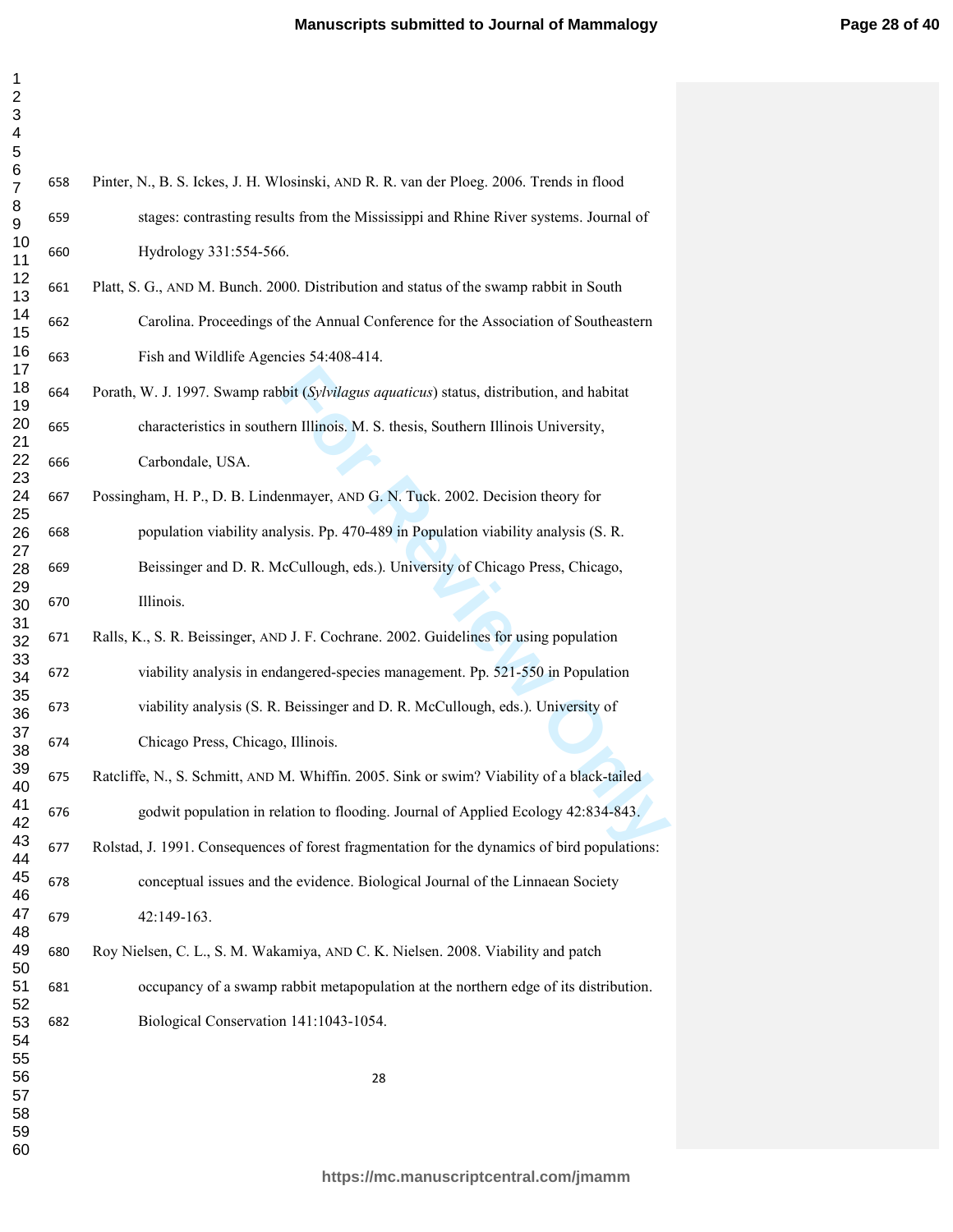| 1                                                    |            |
|------------------------------------------------------|------------|
| $\overline{c}$                                       |            |
|                                                      |            |
|                                                      |            |
|                                                      | Е          |
|                                                      |            |
|                                                      |            |
|                                                      |            |
|                                                      |            |
| _3 4 5 6 7 8 9 10 11 12 13 14 15 16 17 18 19 0 1 2 . |            |
|                                                      |            |
|                                                      |            |
|                                                      |            |
|                                                      |            |
|                                                      |            |
|                                                      |            |
|                                                      |            |
|                                                      |            |
|                                                      |            |
|                                                      |            |
| 2234567899013333456738                               |            |
|                                                      |            |
|                                                      |            |
|                                                      |            |
|                                                      |            |
|                                                      |            |
|                                                      |            |
|                                                      |            |
|                                                      |            |
|                                                      | $\epsilon$ |
| oo<br>39                                             | t          |
| 40<br>41                                             |            |
| 42                                                   | Е          |
| 43                                                   | Е          |
| 44                                                   |            |
| 45<br>46                                             | Є          |
| 47                                                   | Е          |
| 48                                                   |            |
| 49<br>50                                             | Е          |
| 51                                                   | б          |
| -<br>52                                              |            |
| 53                                                   |            |
| 54                                                   |            |
| 55<br>56<br>ć                                        |            |
| 57                                                   |            |
| 58                                                   |            |
| 59                                                   |            |

 $\mathbf{1}$ 

| Pinter, N., B. S. Ickes, J. H. Wlosinski, AND R. R. van der Ploeg. 2006. Trends in flood     |
|----------------------------------------------------------------------------------------------|
| stages: contrasting results from the Mississippi and Rhine River systems. Journal of         |
|                                                                                              |
| Hydrology 331:554-566.                                                                       |
| Platt, S. G., AND M. Bunch. 2000. Distribution and status of the swamp rabbit in South       |
| Carolina. Proceedings of the Annual Conference for the Association of Southeastern           |
| Fish and Wildlife Agencies 54:408-414.                                                       |
| Porath, W. J. 1997. Swamp rabbit (Sylvilagus aquaticus) status, distribution, and habitat    |
| characteristics in southern Illinois. M. S. thesis, Southern Illinois University,            |
| Carbondale, USA.                                                                             |
| Possingham, H. P., D. B. Lindenmayer, AND G. N. Tuck. 2002. Decision theory for              |
| population viability analysis. Pp. 470-489 in Population viability analysis (S. R.           |
| Beissinger and D. R. McCullough, eds.). University of Chicago Press, Chicago,                |
| Illinois.                                                                                    |
| Ralls, K., S. R. Beissinger, AND J. F. Cochrane. 2002. Guidelines for using population       |
| viability analysis in endangered-species management. Pp. 521-550 in Population               |
| viability analysis (S. R. Beissinger and D. R. McCullough, eds.). University of              |
| Chicago Press, Chicago, Illinois.                                                            |
| Ratcliffe, N., S. Schmitt, AND M. Whiffin. 2005. Sink or swim? Viability of a black-tailed   |
| godwit population in relation to flooding. Journal of Applied Ecology 42:834-843.            |
| Rolstad, J. 1991. Consequences of forest fragmentation for the dynamics of bird populations: |
| conceptual issues and the evidence. Biological Journal of the Linnaean Society               |
| $42:149-163.$                                                                                |
| Roy Nielsen, C. L., S. M. Wakamiya, AND C. K. Nielsen. 2008. Viability and patch             |
| occupancy of a swamp rabbit metapopulation at the northern edge of its distribution.         |
| Biological Conservation 141:1043-1054.                                                       |
| 28                                                                                           |
|                                                                                              |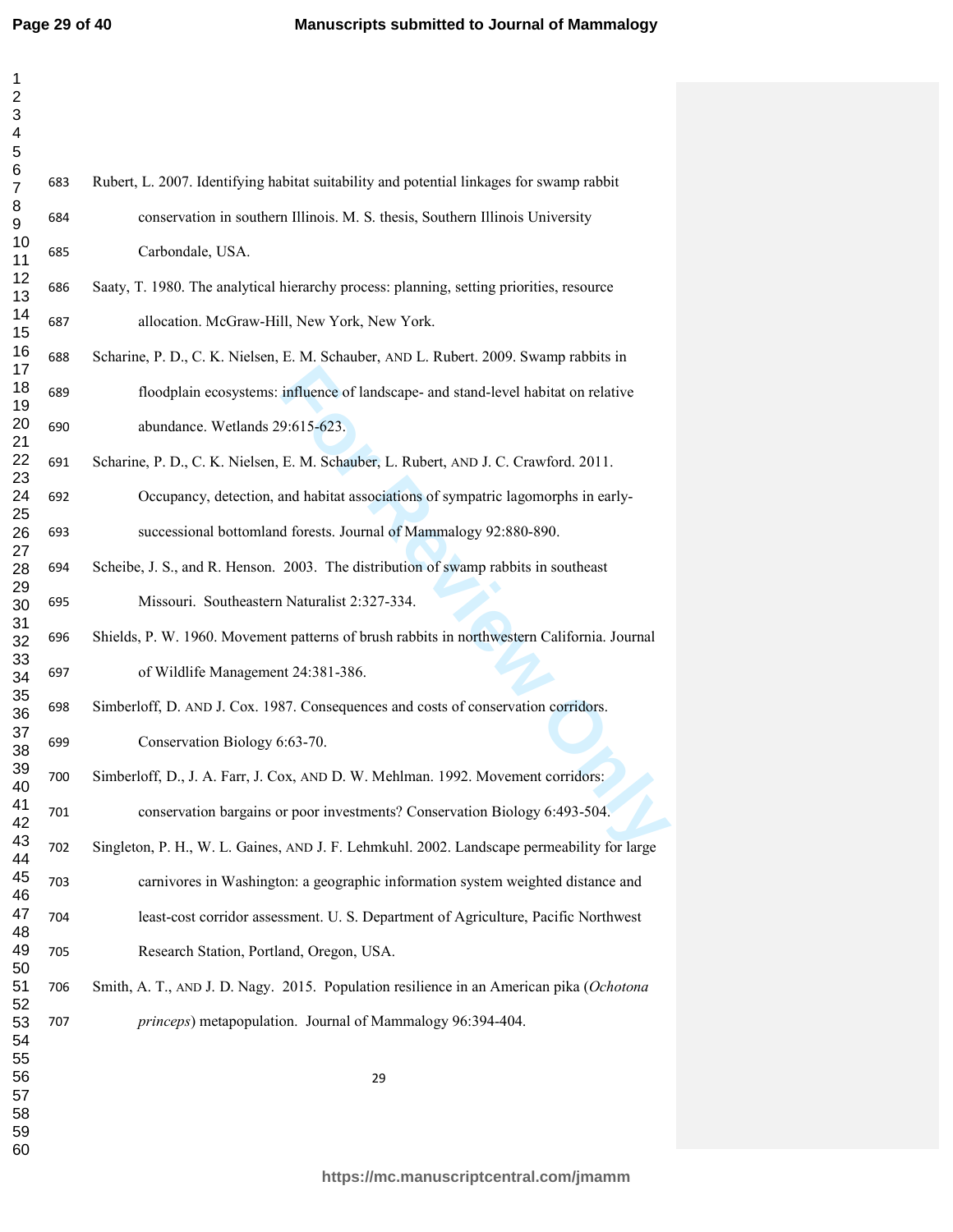| $\mathbf{1}$<br>$\boldsymbol{2}$                                                             |     |                                                                                             |
|----------------------------------------------------------------------------------------------|-----|---------------------------------------------------------------------------------------------|
| 3<br>4                                                                                       |     |                                                                                             |
| $\mathbf 5$                                                                                  |     |                                                                                             |
| 6<br>$\overline{7}$                                                                          | 683 | Rubert, L. 2007. Identifying habitat suitability and potential linkages for swamp rabbit    |
| 8<br>$\boldsymbol{9}$<br>10<br>11<br>12<br>13                                                | 684 | conservation in southern Illinois. M. S. thesis, Southern Illinois University               |
|                                                                                              | 685 | Carbondale, USA.                                                                            |
|                                                                                              | 686 | Saaty, T. 1980. The analytical hierarchy process: planning, setting priorities, resource    |
| 14<br>15                                                                                     | 687 | allocation. McGraw-Hill, New York, New York.                                                |
| 16<br>17                                                                                     | 688 | Scharine, P. D., C. K. Nielsen, E. M. Schauber, AND L. Rubert. 2009. Swamp rabbits in       |
| 18<br>19                                                                                     | 689 | floodplain ecosystems: influence of landscape- and stand-level habitat on relative          |
| 20<br>21                                                                                     | 690 | abundance. Wetlands 29:615-623.                                                             |
| 22                                                                                           | 691 | Scharine, P. D., C. K. Nielsen, E. M. Schauber, L. Rubert, AND J. C. Crawford. 2011.        |
| 23<br>24                                                                                     | 692 | Occupancy, detection, and habitat associations of sympatric lagomorphs in early-            |
| 25<br>26<br>27<br>28<br>29<br>30<br>31<br>32<br>33<br>34<br>35<br>36<br>37<br>38<br>39<br>40 | 693 | successional bottomland forests. Journal of Mammalogy 92:880-890.                           |
|                                                                                              | 694 | Scheibe, J. S., and R. Henson. 2003. The distribution of swamp rabbits in southeast         |
|                                                                                              | 695 | Missouri. Southeastern Naturalist 2:327-334.                                                |
|                                                                                              | 696 | Shields, P. W. 1960. Movement patterns of brush rabbits in northwestern California. Journal |
|                                                                                              | 697 | of Wildlife Management 24:381-386.                                                          |
|                                                                                              | 698 | Simberloff, D. AND J. Cox. 1987. Consequences and costs of conservation corridors.          |
|                                                                                              | 699 | Conservation Biology 6:63-70.                                                               |
|                                                                                              | 700 | Simberloff, D., J. A. Farr, J. Cox, AND D. W. Mehlman. 1992. Movement corridors:            |
| 41<br>42                                                                                     | 701 | conservation bargains or poor investments? Conservation Biology 6:493-504.                  |
| 43<br>44                                                                                     | 702 | Singleton, P. H., W. L. Gaines, AND J. F. Lehmkuhl. 2002. Landscape permeability for large  |
| 45<br>46                                                                                     | 703 | carnivores in Washington: a geographic information system weighted distance and             |
| 47                                                                                           | 704 | least-cost corridor assessment. U. S. Department of Agriculture, Pacific Northwest          |
| 48<br>49                                                                                     | 705 | Research Station, Portland, Oregon, USA.                                                    |
| 50<br>51                                                                                     | 706 | Smith, A. T., AND J. D. Nagy. 2015. Population resilience in an American pika (Ochotona     |
| 52<br>53                                                                                     | 707 | princeps) metapopulation. Journal of Mammalogy 96:394-404.                                  |
| 54<br>55                                                                                     |     |                                                                                             |
| 56<br>57                                                                                     |     | 29                                                                                          |
| 58<br>59                                                                                     |     |                                                                                             |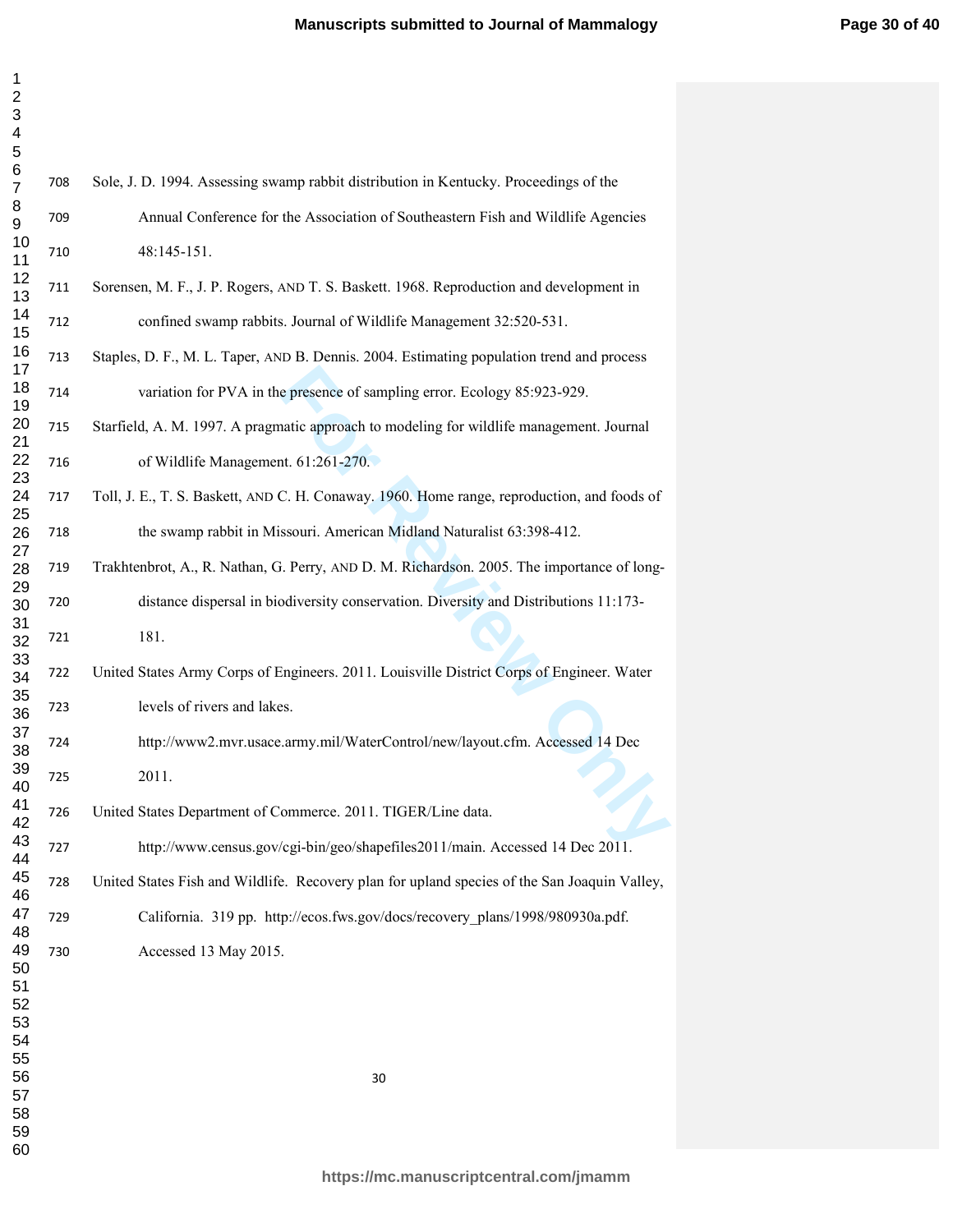| 1                                             |
|-----------------------------------------------|
| 2                                             |
|                                               |
|                                               |
|                                               |
| 34567                                         |
|                                               |
|                                               |
|                                               |
|                                               |
|                                               |
|                                               |
|                                               |
|                                               |
|                                               |
|                                               |
|                                               |
|                                               |
| 891011213141516178                            |
| $1920$<br>$20223$<br>$2425$<br>$2627$<br>$28$ |
|                                               |
|                                               |
|                                               |
|                                               |
|                                               |
|                                               |
|                                               |
|                                               |
|                                               |
|                                               |
| 29                                            |
|                                               |
|                                               |
| $30$ 31 $32$ 33 $34$ 35 $36$ 37 $38$          |
|                                               |
|                                               |
|                                               |
|                                               |
|                                               |
|                                               |
| -<br>39                                       |
| 40                                            |
| 41                                            |
| $\ddot{a}$                                    |
| 4.                                            |
| 44                                            |
| 45                                            |
|                                               |
| 46                                            |
| 47                                            |
| 48                                            |
| 49                                            |
| 50                                            |
| 51                                            |
| $\frac{1}{5}$<br>$\overline{ }$               |
| E<br>X<br>3                                   |
| 54                                            |
| 55                                            |
| 56<br>ć                                       |
| 57                                            |
| 58                                            |
| 59                                            |
| 60                                            |
|                                               |

| 708 | Sole, J. D. 1994. Assessing swamp rabbit distribution in Kentucky. Proceedings of the |
|-----|---------------------------------------------------------------------------------------|
| 709 | Annual Conference for the Association of Southeastern Fish and Wildlife Agencies      |
| 710 | 48:145-151.                                                                           |

- Sorensen, M. F., J. P. Rogers, AND T. S. Baskett. 1968. Reproduction and development in confined swamp rabbits. Journal of Wildlife Management 32:520-531.
- Staples, D. F., M. L. Taper, AND B. Dennis. 2004. Estimating population trend and process variation for PVA in the presence of sampling error. Ecology 85:923-929.
- Starfield, A. M. 1997. A pragmatic approach to modeling for wildlife management. Journal 716 of Wildlife Management. 61:261-270.
- Toll, J. E., T. S. Baskett, AND C. H. Conaway. 1960. Home range, reproduction, and foods of the swamp rabbit in Missouri. American Midland Naturalist 63:398-412.
- resence of sampling error. Ecology 85:923-929.<br>
attic approach to modeling for wildlife management. Journal<br>
att. 61:261-270.<br>
C. H. Conaway. 1960. Home range, reproduction, and foods of<br>
ssouri. American Midland Naturalis Trakhtenbrot, A., R. Nathan, G. Perry, AND D. M. Richardson. 2005. The importance of long-distance dispersal in biodiversity conservation. Diversity and Distributions 11:173-
- 181.
- United States Army Corps of Engineers. 2011. Louisville District Corps of Engineer. Water levels of rivers and lakes.
- http://www2.mvr.usace.army.mil/WaterControl/new/layout.cfm. Accessed 14 Dec 2011.
- United States Department of Commerce. 2011. TIGER/Line data.
- http://www.census.gov/cgi-bin/geo/shapefiles2011/main. Accessed 14 Dec 2011.
- United States Fish and Wildlife. Recovery plan for upland species of the San Joaquin Valley, California. 319 pp. http://ecos.fws.gov/docs/recovery\_plans/1998/980930a.pdf.
	- Accessed 13 May 2015.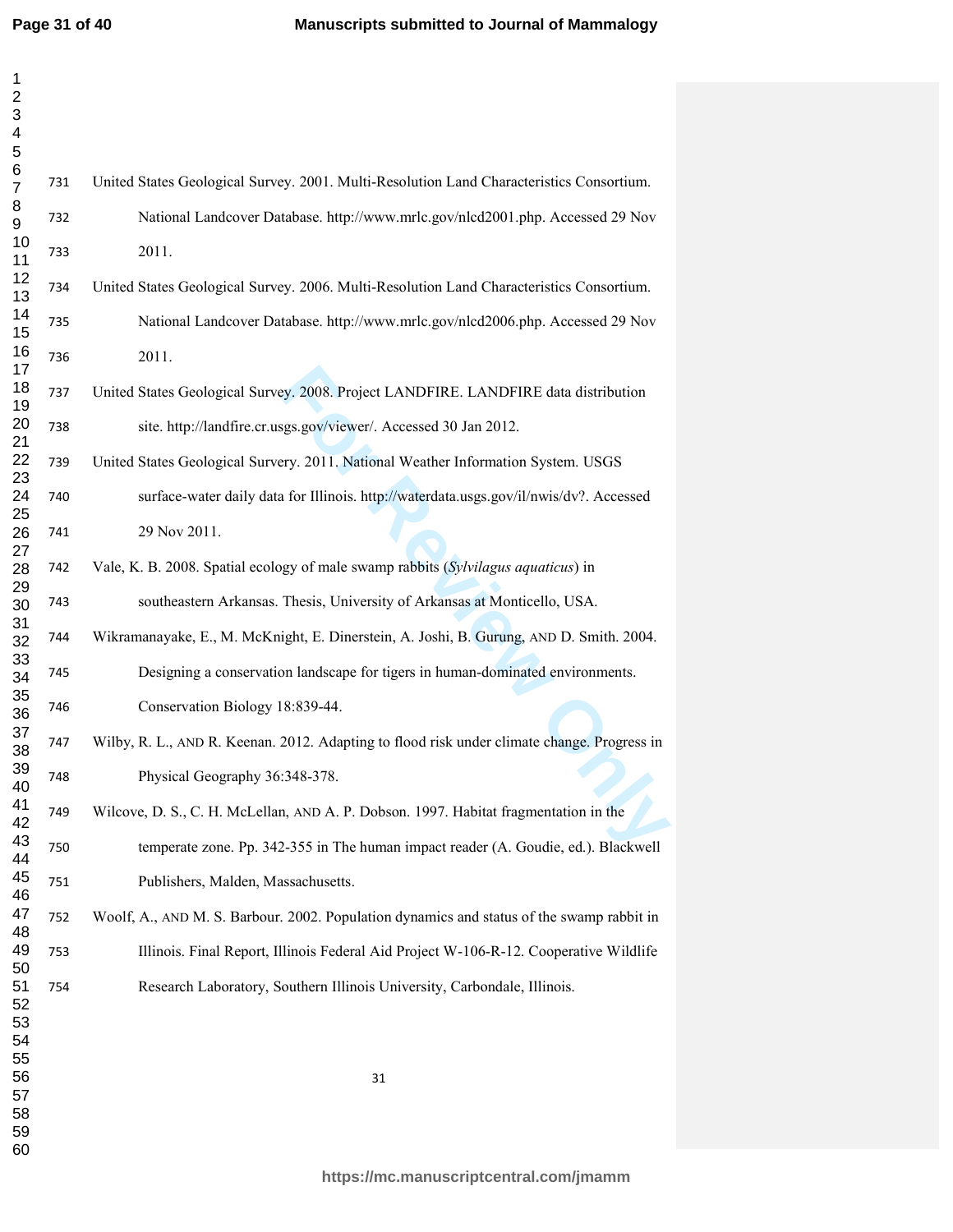| $\mathbf{1}$<br>$\overline{c}$   |     |                                                                                             |
|----------------------------------|-----|---------------------------------------------------------------------------------------------|
| 3<br>4<br>$\mathbf 5$            |     |                                                                                             |
| 6<br>$\overline{7}$              | 731 | United States Geological Survey. 2001. Multi-Resolution Land Characteristics Consortium.    |
| 8<br>9                           | 732 | National Landcover Database. http://www.mrlc.gov/nlcd2001.php. Accessed 29 Nov              |
| 10<br>11                         | 733 | 2011.                                                                                       |
| 12<br>13                         | 734 | United States Geological Survey. 2006. Multi-Resolution Land Characteristics Consortium.    |
| 14<br>15                         | 735 | National Landcover Database. http://www.mrlc.gov/nlcd2006.php. Accessed 29 Nov              |
| 16<br>17                         | 736 | 2011.                                                                                       |
| 18<br>19                         | 737 | United States Geological Survey. 2008. Project LANDFIRE. LANDFIRE data distribution         |
| 20<br>21                         | 738 | site. http://landfire.cr.usgs.gov/viewer/. Accessed 30 Jan 2012.                            |
| 22                               | 739 | United States Geological Survery. 2011. National Weather Information System. USGS           |
| 23<br>24                         | 740 | surface-water daily data for Illinois. http://waterdata.usgs.gov/il/nwis/dv?. Accessed      |
| 25<br>26                         | 741 | 29 Nov 2011.                                                                                |
| 27<br>28<br>29<br>30<br>31<br>32 | 742 | Vale, K. B. 2008. Spatial ecology of male swamp rabbits (Sylvilagus aquaticus) in           |
|                                  | 743 | southeastern Arkansas. Thesis, University of Arkansas at Monticello, USA.                   |
|                                  | 744 | Wikramanayake, E., M. McKnight, E. Dinerstein, A. Joshi, B. Gurung, AND D. Smith. 2004.     |
| 33<br>34                         | 745 | Designing a conservation landscape for tigers in human-dominated environments.              |
| 35<br>36                         | 746 | Conservation Biology 18:839-44.                                                             |
| 37<br>38                         | 747 | Wilby, R. L., AND R. Keenan. 2012. Adapting to flood risk under climate change. Progress in |
| 39<br>40                         | 748 | Physical Geography 36:348-378.                                                              |
| 41<br>42                         | 749 | Wilcove, D. S., C. H. McLellan, AND A. P. Dobson. 1997. Habitat fragmentation in the        |
| 43<br>44                         | 750 | temperate zone. Pp. 342-355 in The human impact reader (A. Goudie, ed.). Blackwell          |
| 45<br>46                         | 751 | Publishers, Malden, Massachusetts.                                                          |
| 47<br>48                         | 752 | Woolf, A., AND M. S. Barbour. 2002. Population dynamics and status of the swamp rabbit in   |
| 49<br>50                         | 753 | Illinois. Final Report, Illinois Federal Aid Project W-106-R-12. Cooperative Wildlife       |
| 51<br>52<br>53                   | 754 | Research Laboratory, Southern Illinois University, Carbondale, Illinois.                    |
| 54<br>55<br>56<br>57<br>58       |     | 31                                                                                          |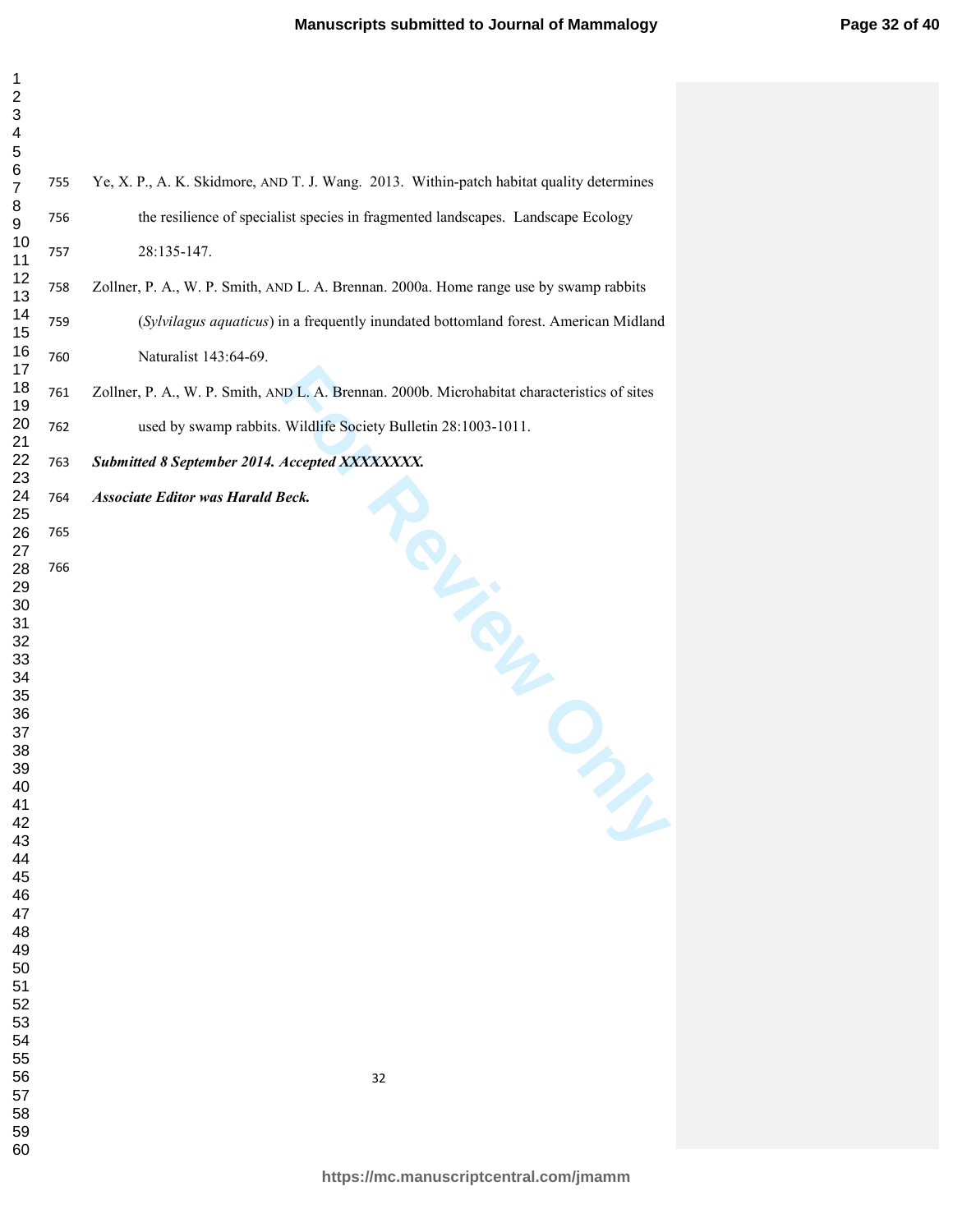| 1                     |     |
|-----------------------|-----|
| $\overline{c}$<br>3   |     |
| 4                     |     |
| 5                     |     |
| 6<br>7                | 755 |
| 8<br>9                | 756 |
| 10<br>11              | 757 |
| 12                    | 758 |
| 13<br>14<br>15<br>16  | 59  |
|                       | 760 |
| 17<br>18              | 761 |
| 19<br>20              | 762 |
| $\overline{21}$<br>22 | 763 |
| 23<br>24              | 764 |
| 25<br>26              | 765 |
| 27<br>28              | 766 |
| 29                    |     |
| 30<br>31              |     |
| 32                    |     |
| 33                    |     |
| -<br>34               |     |
| 35<br>36              |     |
| 37                    |     |
| 38                    |     |
| 39                    |     |
| 40                    |     |
| 41<br>42              |     |
| 43                    |     |
| 44                    |     |
| 45                    |     |
| 46                    |     |
| 47                    |     |
| 48<br>49              |     |
| 50                    |     |
| 51                    |     |
| 52                    |     |
| 53                    |     |
| 54<br>55              |     |
| 56                    |     |
| 57                    |     |
| 58                    |     |
| 59                    |     |
| 60                    |     |

55 Ye, X. P., A. K. Skidmore, AND T. J. Wang. 2013. Within-patch habitat quality determines the resilience of specialist species in fragmented landscapes. Landscape Ecology 28:135-147.

# 58 Zollner, P. A., W. P. Smith, AND L. A. Brennan. 2000a. Home range use by swamp rabbits (*Sylvilagus aquaticus*) in a frequently inundated bottomland forest. American Midland Naturalist 143:64-69.

- New Kitch Control Control Control Control Control Control Control Control Control Control Control Control Control Control Control Control Control Control Control Control Control Control Control Control Control Control Cont Zollner, P. A., W. P. Smith, AND L. A. Brennan. 2000b. Microhabitat characteristics of sites 62 used by swamp rabbits. Wildlife Society Bulletin 28:1003-1011.
- *Submitted 8 September 2014. Accepted XXXXXXXX.*
- *Associate Editor was Harald Beck.*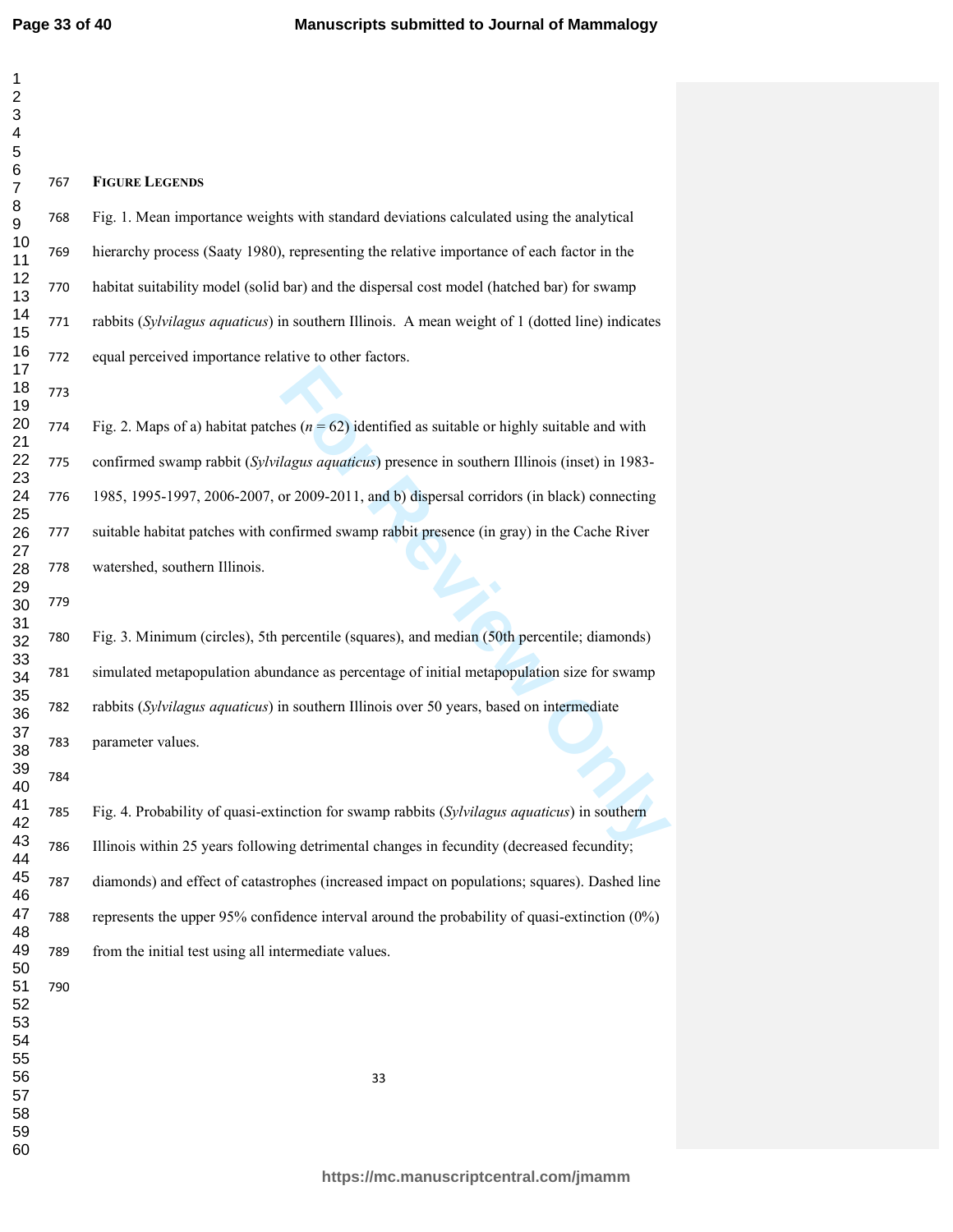| $\mathbf{1}$<br>$\mathbf 2$      |     |                                                                                                    |  |
|----------------------------------|-----|----------------------------------------------------------------------------------------------------|--|
| 3<br>4                           |     |                                                                                                    |  |
| $\,$ 5 $\,$                      |     |                                                                                                    |  |
| 6<br>$\overline{7}$              | 767 | <b>FIGURE LEGENDS</b>                                                                              |  |
| 8<br>9                           | 768 | Fig. 1. Mean importance weights with standard deviations calculated using the analytical           |  |
| 10<br>11                         | 769 | hierarchy process (Saaty 1980), representing the relative importance of each factor in the         |  |
| 12<br>13                         | 770 | habitat suitability model (solid bar) and the dispersal cost model (hatched bar) for swamp         |  |
| 14<br>15                         | 771 | rabbits (Sylvilagus aquaticus) in southern Illinois. A mean weight of 1 (dotted line) indicates    |  |
| 16<br>17                         | 772 | equal perceived importance relative to other factors.                                              |  |
| 18<br>19                         | 773 |                                                                                                    |  |
| 20<br>21                         | 774 | Fig. 2. Maps of a) habitat patches ( $n = 62$ ) identified as suitable or highly suitable and with |  |
| 22<br>23                         | 775 | confirmed swamp rabbit (Sylvilagus aquaticus) presence in southern Illinois (inset) in 1983-       |  |
| 24                               | 776 | 1985, 1995-1997, 2006-2007, or 2009-2011, and b) dispersal corridors (in black) connecting         |  |
| 25<br>26                         | 777 | suitable habitat patches with confirmed swamp rabbit presence (in gray) in the Cache River         |  |
| 27<br>28                         | 778 | watershed, southern Illinois.                                                                      |  |
| 29<br>30                         | 779 |                                                                                                    |  |
| 31<br>32<br>33<br>34<br>35<br>36 | 780 | Fig. 3. Minimum (circles), 5th percentile (squares), and median (50th percentile; diamonds)        |  |
|                                  | 781 | simulated metapopulation abundance as percentage of initial metapopulation size for swamp          |  |
|                                  | 782 | rabbits (Sylvilagus aquaticus) in southern Illinois over 50 years, based on intermediate           |  |
| 37<br>38                         | 783 | parameter values.                                                                                  |  |
| 39<br>40                         | 784 |                                                                                                    |  |
| 41<br>42                         | 785 | Fig. 4. Probability of quasi-extinction for swamp rabbits (Sylvilagus aquaticus) in southern       |  |
| 43<br>44                         | 786 | Illinois within 25 years following detrimental changes in fecundity (decreased fecundity;          |  |
| 45<br>46                         | 787 | diamonds) and effect of catastrophes (increased impact on populations; squares). Dashed line       |  |
| 47<br>48                         | 788 | represents the upper 95% confidence interval around the probability of quasi-extinction $(0\%)$    |  |
| 49<br>50                         | 789 | from the initial test using all intermediate values.                                               |  |
| 51<br>52                         | 790 |                                                                                                    |  |
| 53<br>54                         |     |                                                                                                    |  |
| 55                               |     |                                                                                                    |  |
| 56                               |     | 33                                                                                                 |  |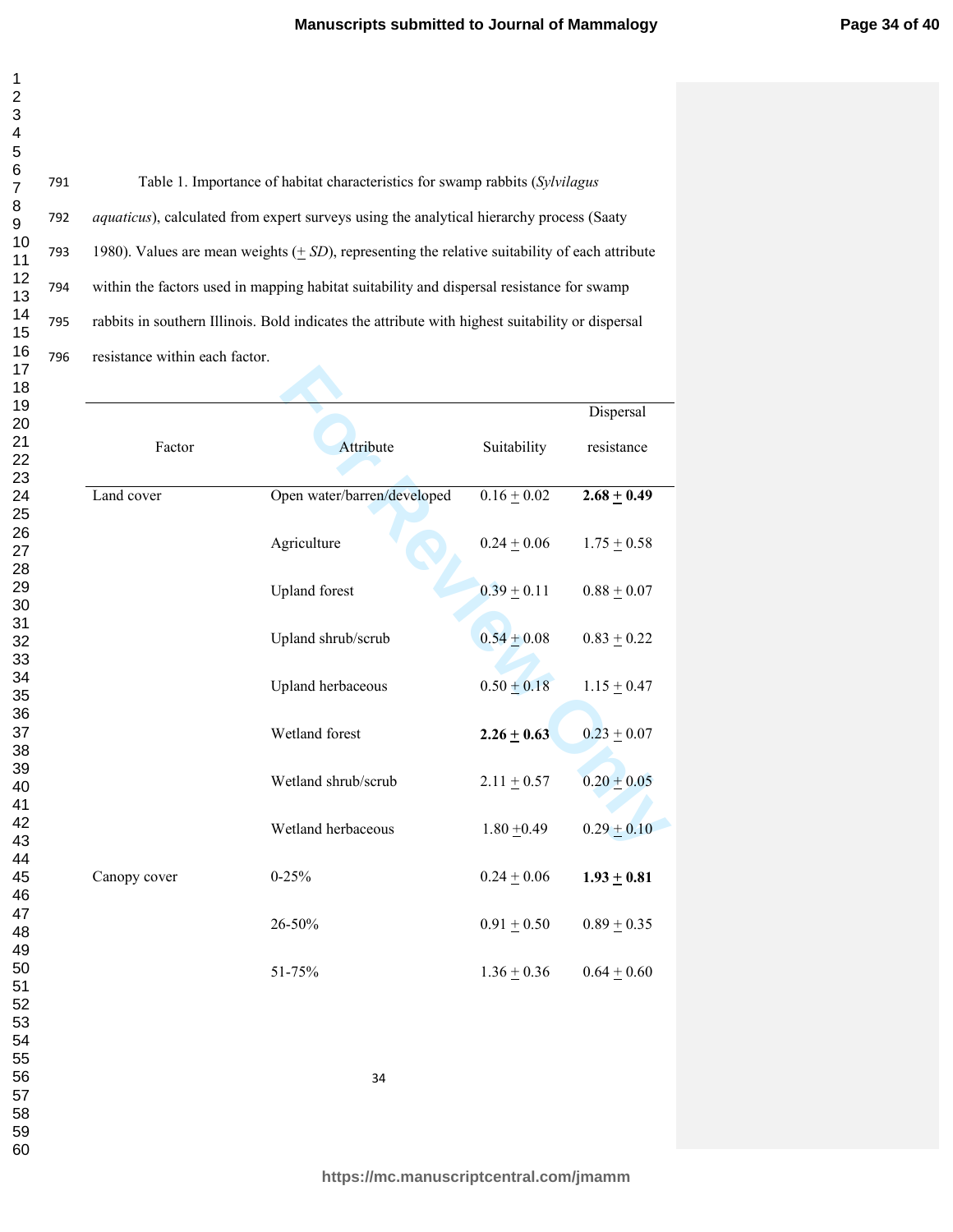Table 1. Importance of habitat characteristics for swamp rabbits (*Sylvilagus aquaticus*), calculated from expert surveys using the analytical hierarchy process (Saaty 1980). Values are mean weights (+ *SD*), representing the relative suitability of each attribute within the factors used in mapping habitat suitability and dispersal resistance for swamp rabbits in southern Illinois. Bold indicates the attribute with highest suitability or dispersal resistance within each factor.

|              |                             |                 | Dispersal       |
|--------------|-----------------------------|-----------------|-----------------|
| Factor       | Attribute                   | Suitability     | resistance      |
| Land cover   | Open water/barren/developed | $0.16 \pm 0.02$ | $2.68 + 0.49$   |
|              | Agriculture                 | $0.24 \pm 0.06$ | $1.75 \pm 0.58$ |
|              | <b>Upland</b> forest        | $0.39 \pm 0.11$ | $0.88 \pm 0.07$ |
|              | Upland shrub/scrub          | $0.54 \pm 0.08$ | $0.83 \pm 0.22$ |
|              | Upland herbaceous           | $0.50 \pm 0.18$ | $1.15 \pm 0.47$ |
|              | Wetland forest              | $2.26 \pm 0.63$ | $0.23 \pm 0.07$ |
|              | Wetland shrub/scrub         | $2.11 \pm 0.57$ | $0.20 \pm 0.05$ |
|              | Wetland herbaceous          | $1.80 + 0.49$   | $0.29 \pm 0.10$ |
| Canopy cover | $0 - 25%$                   | $0.24 \pm 0.06$ | $1.93 \pm 0.81$ |
|              | 26-50%                      | $0.91 \pm 0.50$ | $0.89 \pm 0.35$ |
|              | 51-75%                      | $1.36 \pm 0.36$ | $0.64 \pm 0.60$ |

**https://mc.manuscriptcentral.com/jmamm**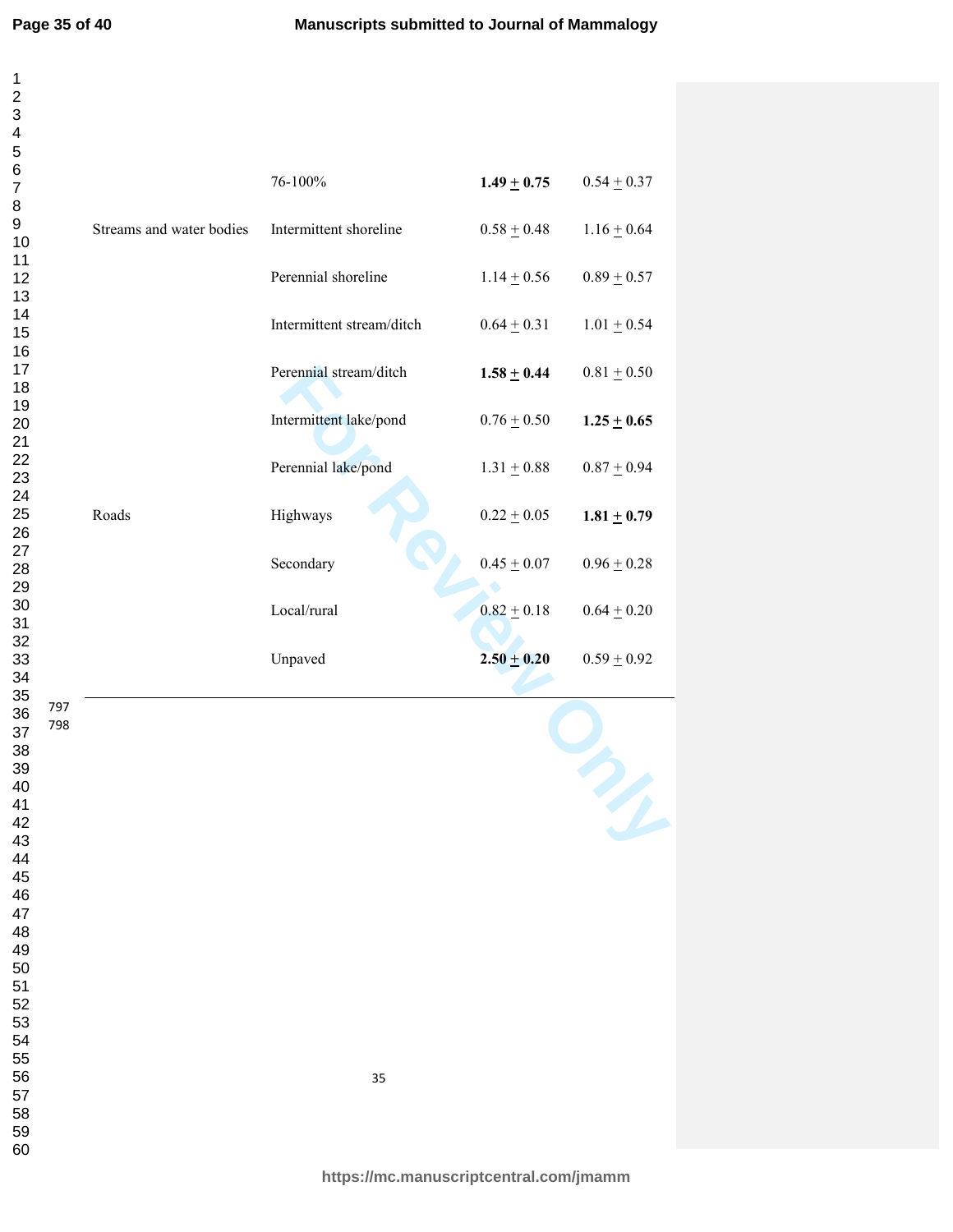$\mathbf 1$  $\overline{2}$  $\overline{\mathbf{4}}$  $\overline{7}$  $\bf 8$ 

| 4<br>5                                                                        |                          |                           |                 |                 |
|-------------------------------------------------------------------------------|--------------------------|---------------------------|-----------------|-----------------|
| $\overline{6}$<br>$\overline{7}$                                              |                          | 76-100%                   | $1.49 \pm 0.75$ | $0.54 \pm 0.37$ |
| 8<br>$\mathsf 9$<br>10                                                        | Streams and water bodies | Intermittent shoreline    | $0.58 \pm 0.48$ | $1.16 \pm 0.64$ |
| 11<br>12<br>13                                                                |                          | Perennial shoreline       | $1.14 \pm 0.56$ | $0.89 \pm 0.57$ |
| 14<br>15                                                                      |                          | Intermittent stream/ditch | $0.64 \pm 0.31$ | $1.01 \pm 0.54$ |
| 16<br>17<br>18                                                                |                          | Perennial stream/ditch    | $1.58 \pm 0.44$ | $0.81 \pm 0.50$ |
| 19<br>20<br>21                                                                |                          | Intermittent lake/pond    | $0.76 \pm 0.50$ | $1.25 \pm 0.65$ |
| 22<br>23                                                                      | Roads                    | Perennial lake/pond       | $1.31 \pm 0.88$ | $0.87 \pm 0.94$ |
| 24<br>25<br>26                                                                |                          | Highways                  | $0.22 \pm 0.05$ | $1.81 \pm 0.79$ |
| 27<br>28<br>29                                                                |                          | Secondary                 | $0.45 \pm 0.07$ | $0.96 \pm 0.28$ |
| 30<br>31                                                                      |                          | Local/rural               | $0.82 \pm 0.18$ | $0.64 \pm 0.20$ |
| 32<br>33<br>34                                                                |                          | Unpaved                   | $2.50 \pm 0.20$ | $0.59 \pm 0.92$ |
| 35<br>797<br>36<br>798<br>37<br>38<br>39<br>40<br>41<br>42<br>43<br>$\Lambda$ |                          |                           |                 |                 |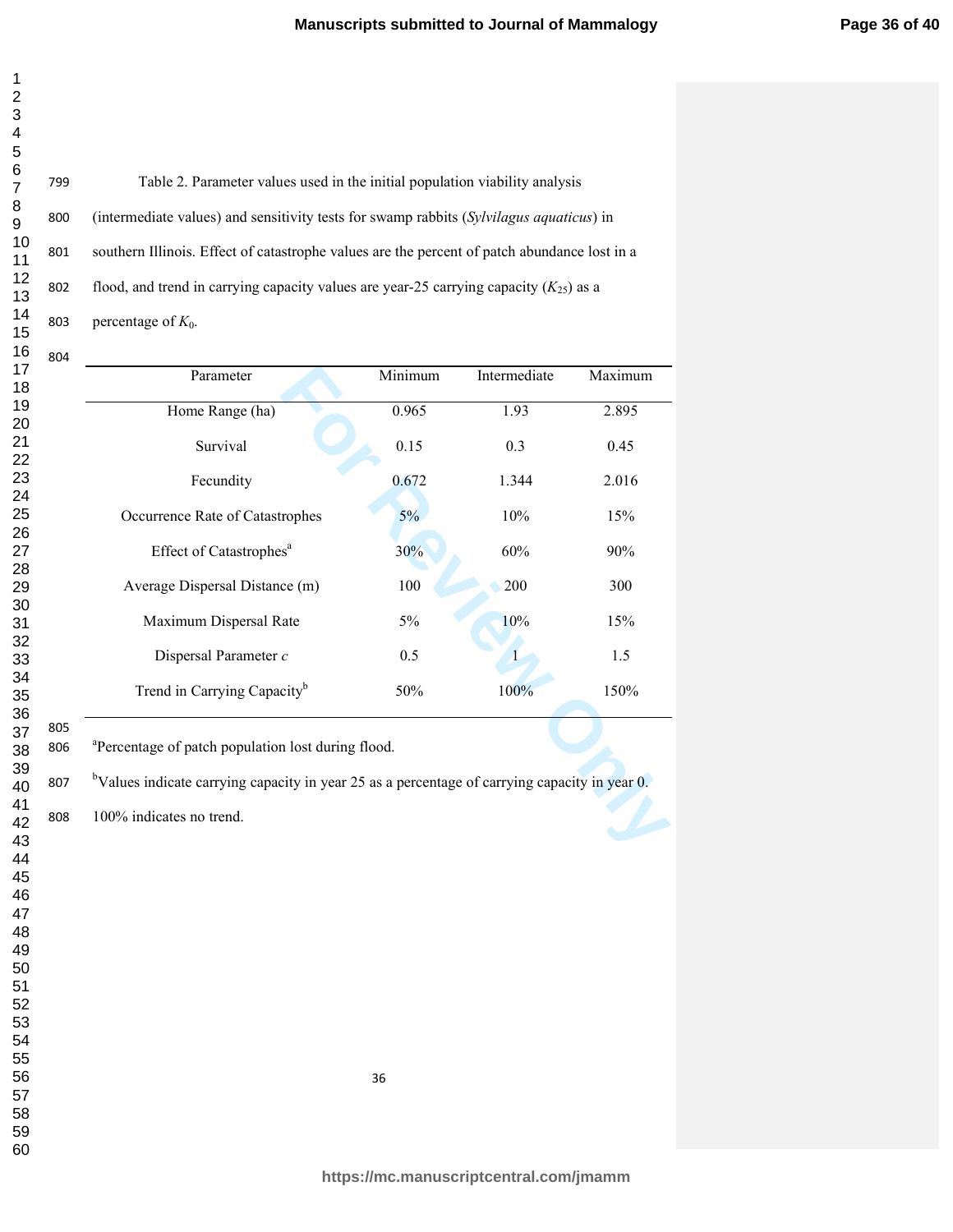| 799 | Table 2. Parameter values used in the initial population viability analysis                      |
|-----|--------------------------------------------------------------------------------------------------|
| 800 | (intermediate values) and sensitivity tests for swamp rabbits ( <i>Sylvilagus aquaticus</i> ) in |
| 801 | southern Illinois. Effect of catastrophe values are the percent of patch abundance lost in a     |
| 802 | flood, and trend in carrying capacity values are year-25 carrying capacity $(K_{25})$ as a       |
| 803 | percentage of $K_0$ .                                                                            |

| 804        |                                                                                                           |         |              |                        |  |
|------------|-----------------------------------------------------------------------------------------------------------|---------|--------------|------------------------|--|
|            | Parameter                                                                                                 | Minimum | Intermediate | Maximum                |  |
|            | Home Range (ha)                                                                                           | 0.965   | 1.93<br>0.3  | 2.895<br>0.45<br>2.016 |  |
|            | Survival                                                                                                  | 0.15    |              |                        |  |
|            | Fecundity                                                                                                 | 0.672   | 1.344        |                        |  |
|            | Occurrence Rate of Catastrophes                                                                           | $5\%$   | 10%          | 15%                    |  |
|            | Effect of Catastrophes <sup>a</sup>                                                                       | 30%     | 60%          | 90%<br>300             |  |
|            | Average Dispersal Distance (m)                                                                            | 100     | 200          |                        |  |
|            | Maximum Dispersal Rate                                                                                    | 5%      | 10%          | 15%                    |  |
|            | Dispersal Parameter c                                                                                     | 0.5     | 1            | 1.5                    |  |
|            | Trend in Carrying Capacity <sup>b</sup>                                                                   | 50%     | 100%         | 150%                   |  |
| 805<br>806 | <sup>a</sup> Percentage of patch population lost during flood.                                            |         |              |                        |  |
| 807        | <sup>b</sup> Values indicate carrying capacity in year 25 as a percentage of carrying capacity in year 0. |         |              |                        |  |
| 808        | 100% indicates no trend.                                                                                  |         |              |                        |  |

100% indicates no trend.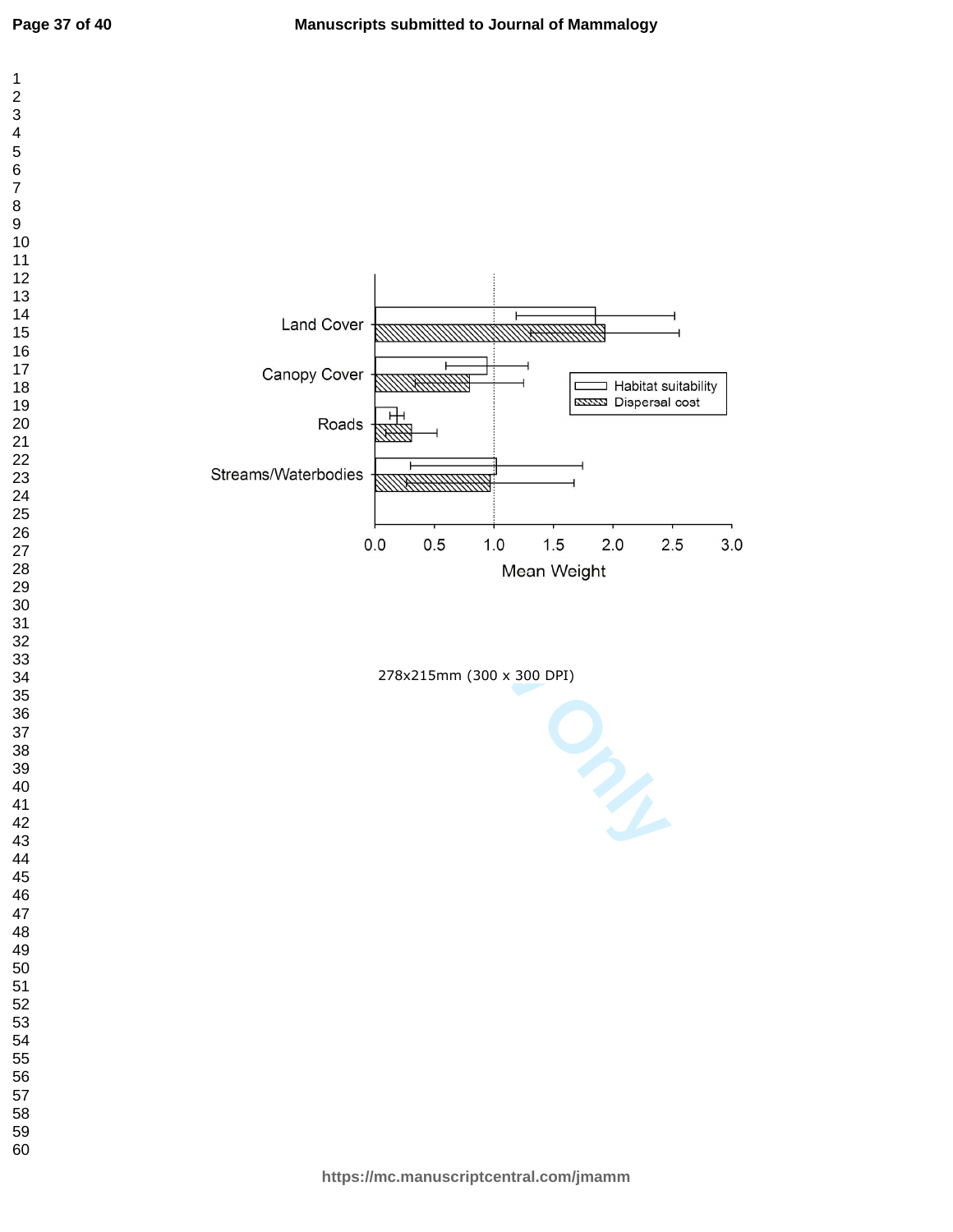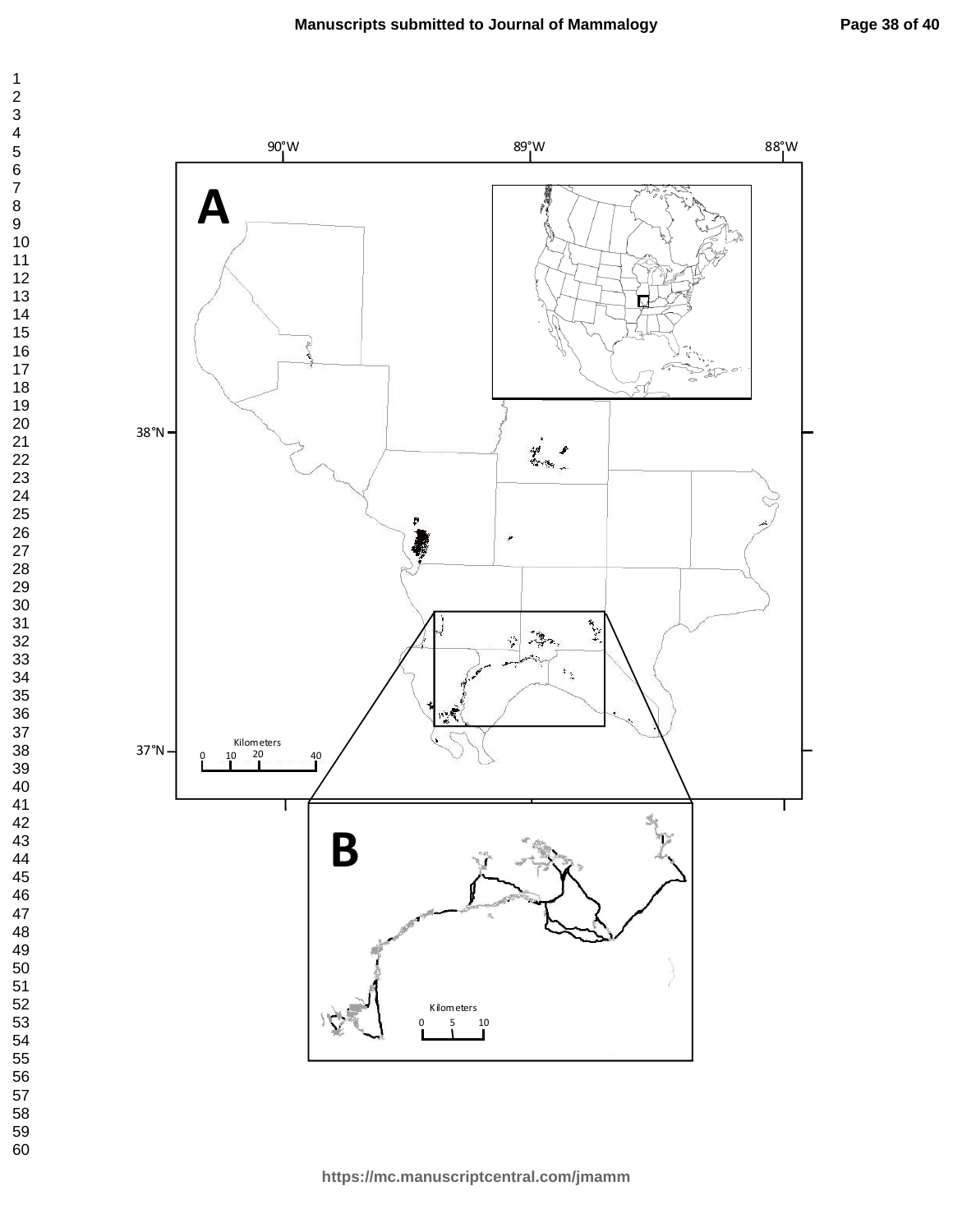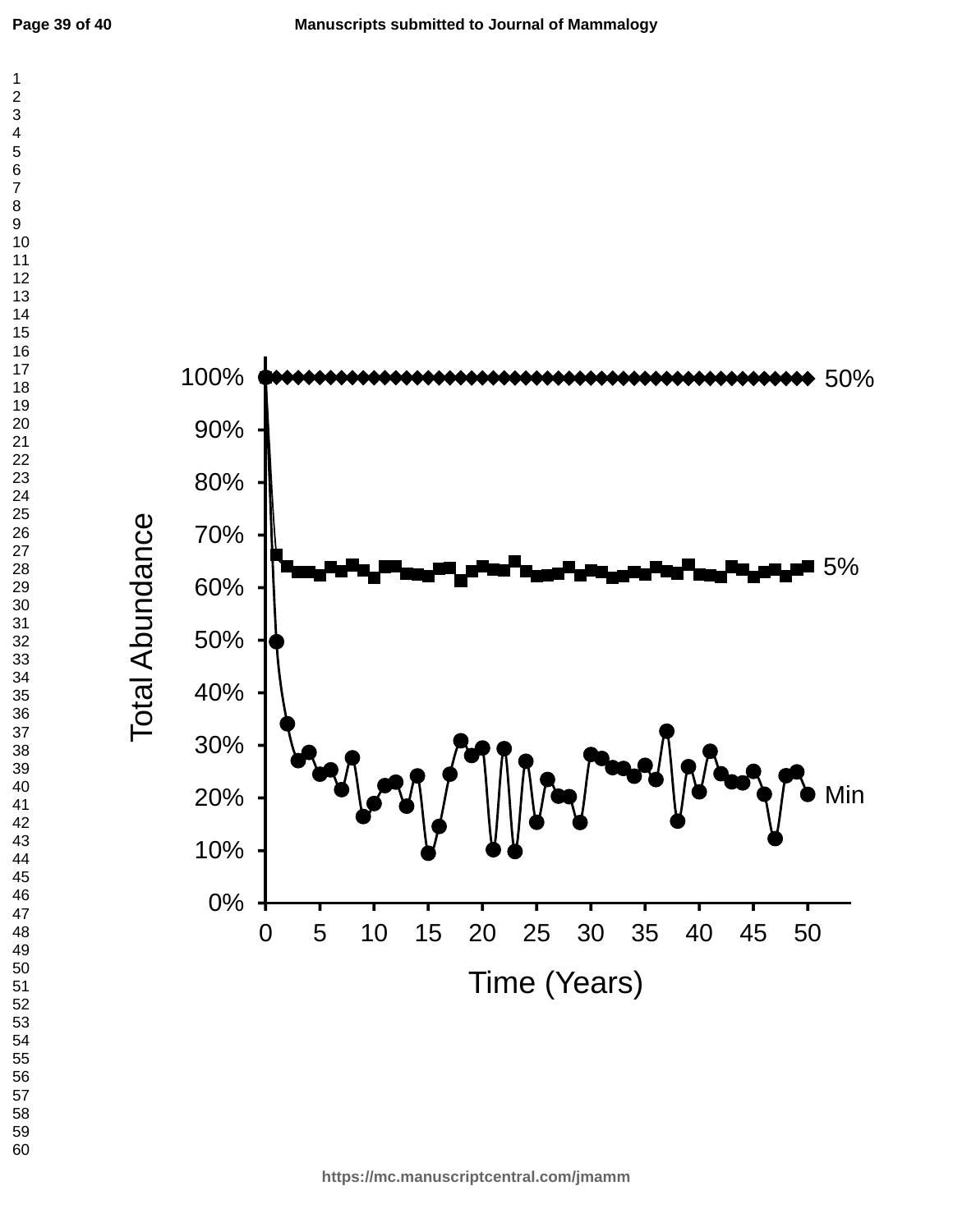